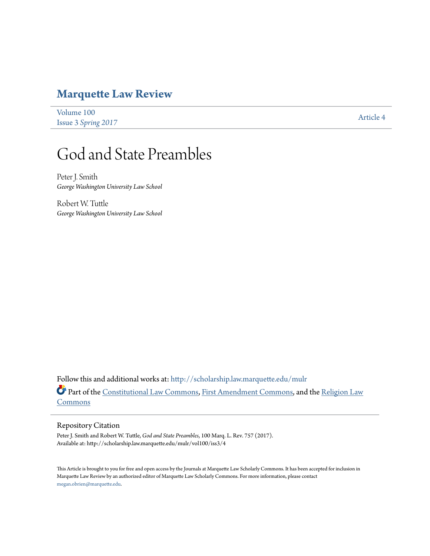# **[Marquette Law Review](http://scholarship.law.marquette.edu/mulr?utm_source=scholarship.law.marquette.edu%2Fmulr%2Fvol100%2Fiss3%2F4&utm_medium=PDF&utm_campaign=PDFCoverPages)**

[Volume 100](http://scholarship.law.marquette.edu/mulr/vol100?utm_source=scholarship.law.marquette.edu%2Fmulr%2Fvol100%2Fiss3%2F4&utm_medium=PDF&utm_campaign=PDFCoverPages) Issue 3 *[Spring 2017](http://scholarship.law.marquette.edu/mulr/vol100/iss3?utm_source=scholarship.law.marquette.edu%2Fmulr%2Fvol100%2Fiss3%2F4&utm_medium=PDF&utm_campaign=PDFCoverPages)* [Article 4](http://scholarship.law.marquette.edu/mulr/vol100/iss3/4?utm_source=scholarship.law.marquette.edu%2Fmulr%2Fvol100%2Fiss3%2F4&utm_medium=PDF&utm_campaign=PDFCoverPages)

# God and State Preambles

Peter J. Smith *George Washington University Law School*

Robert W. Tuttle *George Washington University Law School*

Follow this and additional works at: [http://scholarship.law.marquette.edu/mulr](http://scholarship.law.marquette.edu/mulr?utm_source=scholarship.law.marquette.edu%2Fmulr%2Fvol100%2Fiss3%2F4&utm_medium=PDF&utm_campaign=PDFCoverPages) Part of the [Constitutional Law Commons,](http://network.bepress.com/hgg/discipline/589?utm_source=scholarship.law.marquette.edu%2Fmulr%2Fvol100%2Fiss3%2F4&utm_medium=PDF&utm_campaign=PDFCoverPages) [First Amendment Commons](http://network.bepress.com/hgg/discipline/1115?utm_source=scholarship.law.marquette.edu%2Fmulr%2Fvol100%2Fiss3%2F4&utm_medium=PDF&utm_campaign=PDFCoverPages), and the [Religion Law](http://network.bepress.com/hgg/discipline/872?utm_source=scholarship.law.marquette.edu%2Fmulr%2Fvol100%2Fiss3%2F4&utm_medium=PDF&utm_campaign=PDFCoverPages) [Commons](http://network.bepress.com/hgg/discipline/872?utm_source=scholarship.law.marquette.edu%2Fmulr%2Fvol100%2Fiss3%2F4&utm_medium=PDF&utm_campaign=PDFCoverPages)

## Repository Citation

Peter J. Smith and Robert W. Tuttle, *God and State Preambles*, 100 Marq. L. Rev. 757 (2017). Available at: http://scholarship.law.marquette.edu/mulr/vol100/iss3/4

This Article is brought to you for free and open access by the Journals at Marquette Law Scholarly Commons. It has been accepted for inclusion in Marquette Law Review by an authorized editor of Marquette Law Scholarly Commons. For more information, please contact [megan.obrien@marquette.edu.](mailto:megan.obrien@marquette.edu)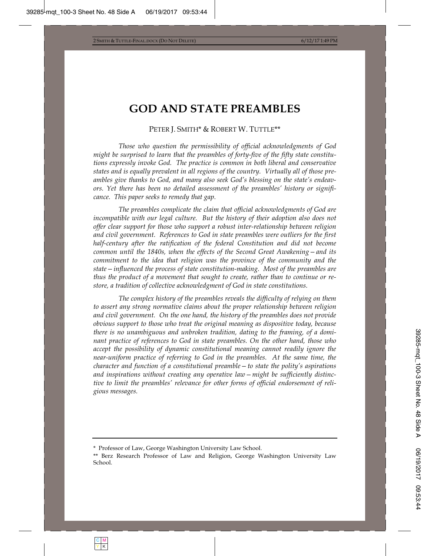## **GOD AND STATE PREAMBLES**

#### PETER J. SMITH\* & ROBERT W. TUTTLE\*\*

*Those who question the permissibility of official acknowledgments of God might be surprised to learn that the preambles of forty-five of the fifty state constitutions expressly invoke God. The practice is common in both liberal and conservative states and is equally prevalent in all regions of the country. Virtually all of those preambles give thanks to God, and many also seek God's blessing on the state's endeavors. Yet there has been no detailed assessment of the preambles' history or significance. This paper seeks to remedy that gap.* 

*The preambles complicate the claim that official acknowledgments of God are incompatible with our legal culture. But the history of their adoption also does not offer clear support for those who support a robust inter-relationship between religion and civil government. References to God in state preambles were outliers for the first half-century after the ratification of the federal Constitution and did not become common until the 1840s, when the effects of the Second Great Awakening—and its commitment to the idea that religion was the province of the community and the state—influenced the process of state constitution-making. Most of the preambles are thus the product of a movement that sought to create, rather than to continue or restore, a tradition of collective acknowledgment of God in state constitutions.* 

*The complex history of the preambles reveals the difficulty of relying on them to assert any strong normative claims about the proper relationship between religion and civil government. On the one hand, the history of the preambles does not provide obvious support to those who treat the original meaning as dispositive today, because there is no unambiguous and unbroken tradition, dating to the framing, of a dominant practice of references to God in state preambles. On the other hand, those who accept the possibility of dynamic constitutional meaning cannot readily ignore the near-uniform practice of referring to God in the preambles. At the same time, the character and function of a constitutional preamble—to state the polity's aspirations and inspirations without creating any operative law—might be sufficiently distinctive to limit the preambles' relevance for other forms of official endorsement of religious messages.* 

<sup>\*</sup> Professor of Law, George Washington University Law School.

<sup>\*\*</sup> Berz Research Professor of Law and Religion, George Washington University Law School.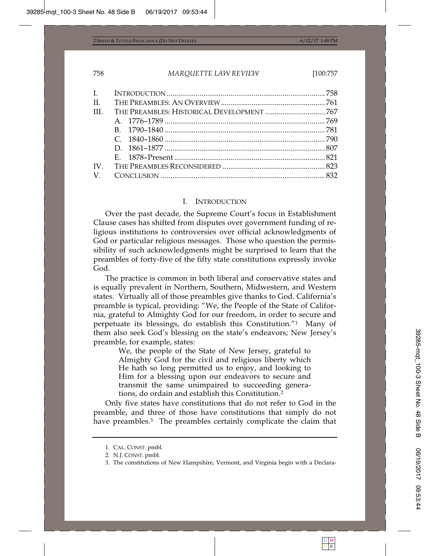| $\Pi$ .     |  |
|-------------|--|
| Ш           |  |
|             |  |
|             |  |
|             |  |
|             |  |
|             |  |
| IV          |  |
| $\mathbf V$ |  |
|             |  |

#### I. INTRODUCTION

Over the past decade, the Supreme Court's focus in Establishment Clause cases has shifted from disputes over government funding of religious institutions to controversies over official acknowledgments of God or particular religious messages. Those who question the permissibility of such acknowledgments might be surprised to learn that the preambles of forty-five of the fifty state constitutions expressly invoke God.

The practice is common in both liberal and conservative states and is equally prevalent in Northern, Southern, Midwestern, and Western states. Virtually all of those preambles give thanks to God. California's preamble is typical, providing: "We, the People of the State of California, grateful to Almighty God for our freedom, in order to secure and perpetuate its blessings, do establish this Constitution."1 Many of them also seek God's blessing on the state's endeavors; New Jersey's preamble, for example, states:

> We, the people of the State of New Jersey, grateful to Almighty God for the civil and religious liberty which He hath so long permitted us to enjoy, and looking to Him for a blessing upon our endeavors to secure and transmit the same unimpaired to succeeding generations, do ordain and establish this Constitution.2

Only five states have constitutions that do not refer to God in the preamble, and three of those have constitutions that simply do not have preambles.<sup>3</sup> The preambles certainly complicate the claim that

<sup>1.</sup> CAL. CONST. pmbl.

<sup>2.</sup> N.J. CONST. pmbl.

<sup>3.</sup> The constitutions of New Hampshire, Vermont, and Virginia begin with a Declara-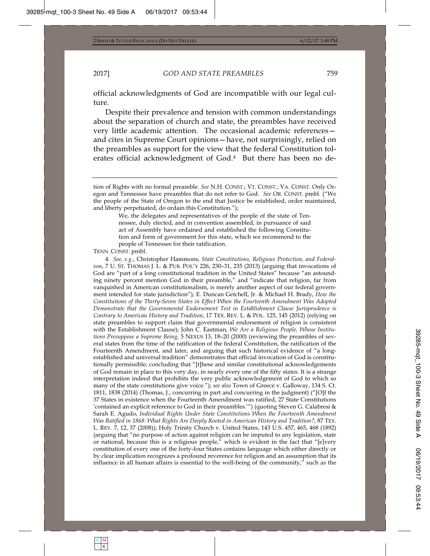official acknowledgments of God are incompatible with our legal culture.

Despite their prevalence and tension with common understandings about the separation of church and state, the preambles have received very little academic attention. The occasional academic references and cites in Supreme Court opinions—have, not surprisingly, relied on the preambles as support for the view that the federal Constitution tolerates official acknowledgment of God.4 But there has been no de-

tion of Rights with no formal preamble. *See* N.H. CONST.; VT. CONST.; VA. CONST. Only Oregon and Tennessee have preambles that do not refer to God. *See* OR. CONST. pmbl. ("We the people of the State of Oregon to the end that Justice be established, order maintained, and liberty perpetuated, do ordain this Constitution.");

> We, the delegates and representatives of the people of the state of Tennessee, duly elected, and in convention assembled, in pursuance of said act of Assembly have ordained and established the following Constitution and form of government for this state, which we recommend to the people of Tennessee for their ratification.

TENN. CONST. pmbl.

4*. See, e.g.*, Christopher Hammons, *State Constitutions, Religious Protection, and Federalism*, 7 U. ST. THOMAS J. L. & PUB. POL'Y 226, 230–31, 235 (2013) (arguing that invocations of God are "part of a long constitutional tradition in the United States" because "an astounding ninety percent mention God in their preamble," and "indicate that religion, far from vanquished in American constitutionalism, is merely another aspect of our federal government intended for state jurisdiction"); E. Duncan Getchell, Jr. & Michael H. Brady, *How the Constitutions of the Thirty-Seven States in Effect When the Fourteenth Amendment Was Adopted Demonstrate that the Governmental Endorsement Test in Establishment Clause Jurisprudence is Contrary to American History and Tradition*, 17 TEX. REV. L. & POL. 125, 145 (2012) (relying on state preambles to support claim that governmental endorsement of religion is consistent with the Establishment Clause); John C. Eastman, *We Are a Religious People, Whose Institutions Presuppose a Supreme Being,* 5 NEXUS 13, 18–20 (2000) (reviewing the preambles of several states from the time of the ratification of the federal Constitution, the ratification of the Fourteenth Amendment, and later, and arguing that such historical evidence of "a longestablished and universal tradition" demonstrates that official invocation of God is constitutionally permissible; concluding that "[t]hese and similar constitutional acknowledgements of God remain in place to this very day, in nearly every one of the fifty states. It is a strange interpretation indeed that prohibits the very public acknowledgement of God to which so many of the state constitutions give voice."); *see also* Town of Greece v. Galloway, 134 S. Ct. 1811, 1838 (2014) (Thomas, J., concurring in part and concurring in the judgment) ("[O]f the 37 States in existence when the Fourteenth Amendment was ratified, 27 State Constitutions 'contained an explicit reference to God in their preambles.'") (quoting Steven G. Calabresi & Sarah E. Agudo, *Individual Rights Under State Constitutions When the Fourteenth Amendment Was Ratified in 1868: What Rights Are Deeply Rooted in American History and Tradition?*, 87 TEX. L. REV. 7, 12, 37 (2008)); Holy Trinity Church v. United States, 143 U.S. 457, 465, 468 (1892) (arguing that "no purpose of action against religion can be imputed to any legislation, state or national, because this is a religious people," which is evident in the fact that "[e]very constitution of every one of the forty-four States contains language which either directly or by clear implication recognizes a profound reverence for religion and an assumption that its influence in all human affairs is essential to the well-being of the community," such as the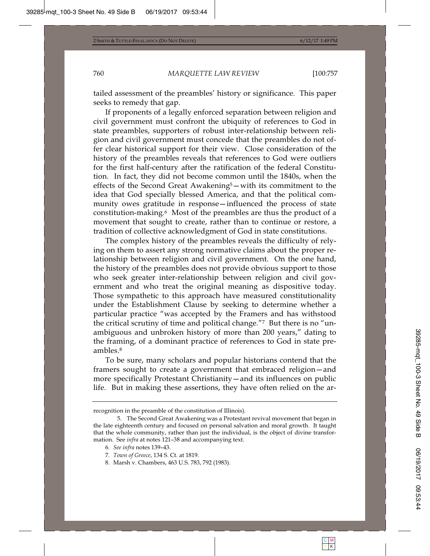tailed assessment of the preambles' history or significance. This paper seeks to remedy that gap.

If proponents of a legally enforced separation between religion and civil government must confront the ubiquity of references to God in state preambles, supporters of robust inter-relationship between religion and civil government must concede that the preambles do not offer clear historical support for their view. Close consideration of the history of the preambles reveals that references to God were outliers for the first half-century after the ratification of the federal Constitution. In fact, they did not become common until the 1840s, when the effects of the Second Great Awakening5—with its commitment to the idea that God specially blessed America, and that the political community owes gratitude in response—influenced the process of state constitution-making.6 Most of the preambles are thus the product of a movement that sought to create, rather than to continue or restore, a tradition of collective acknowledgment of God in state constitutions.

The complex history of the preambles reveals the difficulty of relying on them to assert any strong normative claims about the proper relationship between religion and civil government. On the one hand, the history of the preambles does not provide obvious support to those who seek greater inter-relationship between religion and civil government and who treat the original meaning as dispositive today. Those sympathetic to this approach have measured constitutionality under the Establishment Clause by seeking to determine whether a particular practice "was accepted by the Framers and has withstood the critical scrutiny of time and political change."7 But there is no "unambiguous and unbroken history of more than 200 years," dating to the framing, of a dominant practice of references to God in state preambles.8

To be sure, many scholars and popular historians contend that the framers sought to create a government that embraced religion—and more specifically Protestant Christianity—and its influences on public life. But in making these assertions, they have often relied on the ar-

recognition in the preamble of the constitution of Illinois).

<sup>5.</sup> The Second Great Awakening was a Protestant revival movement that began in the late eighteenth century and focused on personal salvation and moral growth. It taught that the whole community, rather than just the individual, is the object of divine transformation. See *infra* at notes 121–38 and accompanying text.

<sup>6</sup>*. See infra* notes 139–43.

<sup>7</sup>*. Town of Greece*, 134 S. Ct. at 1819.

<sup>8.</sup> Marsh v. Chambers, 463 U.S. 783, 792 (1983).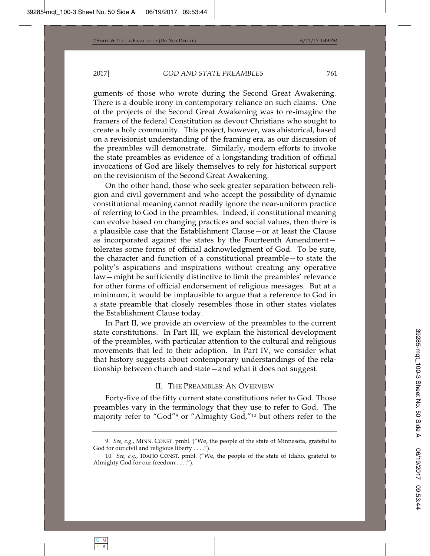guments of those who wrote during the Second Great Awakening. There is a double irony in contemporary reliance on such claims. One of the projects of the Second Great Awakening was to re-imagine the framers of the federal Constitution as devout Christians who sought to create a holy community. This project, however, was ahistorical, based on a revisionist understanding of the framing era, as our discussion of the preambles will demonstrate. Similarly, modern efforts to invoke the state preambles as evidence of a longstanding tradition of official invocations of God are likely themselves to rely for historical support on the revisionism of the Second Great Awakening.

On the other hand, those who seek greater separation between religion and civil government and who accept the possibility of dynamic constitutional meaning cannot readily ignore the near-uniform practice of referring to God in the preambles. Indeed, if constitutional meaning can evolve based on changing practices and social values, then there is a plausible case that the Establishment Clause—or at least the Clause as incorporated against the states by the Fourteenth Amendment tolerates some forms of official acknowledgment of God. To be sure, the character and function of a constitutional preamble—to state the polity's aspirations and inspirations without creating any operative law—might be sufficiently distinctive to limit the preambles' relevance for other forms of official endorsement of religious messages. But at a minimum, it would be implausible to argue that a reference to God in a state preamble that closely resembles those in other states violates the Establishment Clause today.

In Part II, we provide an overview of the preambles to the current state constitutions. In Part III, we explain the historical development of the preambles, with particular attention to the cultural and religious movements that led to their adoption. In Part IV, we consider what that history suggests about contemporary understandings of the relationship between church and state—and what it does not suggest.

#### II. THE PREAMBLES: AN OVERVIEW

Forty-five of the fifty current state constitutions refer to God. Those preambles vary in the terminology that they use to refer to God. The majority refer to "God"9 or "Almighty God,"10 but others refer to the

<sup>9</sup>*. See, e.g.*, MINN. CONST. pmbl. ("We, the people of the state of Minnesota, grateful to God for our civil and religious liberty . . . .").

<sup>10</sup>*. See, e.g.*, IDAHO CONST. pmbl. ("We, the people of the state of Idaho, grateful to Almighty God for our freedom . . . .").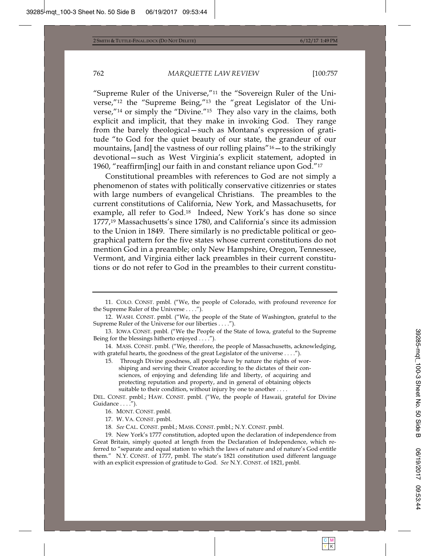"Supreme Ruler of the Universe,"11 the "Sovereign Ruler of the Universe,"12 the "Supreme Being,"13 the "great Legislator of the Universe,"14 or simply the "Divine."15 They also vary in the claims, both explicit and implicit, that they make in invoking God. They range from the barely theological—such as Montana's expression of gratitude "to God for the quiet beauty of our state, the grandeur of our mountains, [and] the vastness of our rolling plains"16—to the strikingly devotional—such as West Virginia's explicit statement, adopted in 1960, "reaffirm[ing] our faith in and constant reliance upon God."17

Constitutional preambles with references to God are not simply a phenomenon of states with politically conservative citizenries or states with large numbers of evangelical Christians. The preambles to the current constitutions of California, New York, and Massachusetts, for example, all refer to God.18 Indeed, New York's has done so since 1777,19 Massachusetts's since 1780, and California's since its admission to the Union in 1849. There similarly is no predictable political or geographical pattern for the five states whose current constitutions do not mention God in a preamble; only New Hampshire, Oregon, Tennessee, Vermont, and Virginia either lack preambles in their current constitutions or do not refer to God in the preambles to their current constitu-

14. MASS. CONST. pmbl. ("We, therefore, the people of Massachusetts, acknowledging, with grateful hearts, the goodness of the great Legislator of the universe . . . .").

15. Through Divine goodness, all people have by nature the rights of worshiping and serving their Creator according to the dictates of their consciences, of enjoying and defending life and liberty, of acquiring and protecting reputation and property, and in general of obtaining objects suitable to their condition, without injury by one to another . . . .

DEL. CONST. pmbl.; HAW. CONST. pmbl. ("We, the people of Hawaii, grateful for Divine Guidance . . . .").

18*. See* CAL. CONST. pmbl.; MASS. CONST. pmbl.; N.Y. CONST. pmbl.

19. New York's 1777 constitution, adopted upon the declaration of independence from Great Britain, simply quoted at length from the Declaration of Independence, which referred to "separate and equal station to which the laws of nature and of nature's God entitle them." N.Y. CONST. of 1777, pmbl. The state's 1821 constitution used different language with an explicit expression of gratitude to God. *See* N.Y. CONST. of 1821, pmbl.

<sup>11.</sup> COLO. CONST. pmbl. ("We, the people of Colorado, with profound reverence for the Supreme Ruler of the Universe . . . .").

<sup>12.</sup> WASH. CONST. pmbl. ("We, the people of the State of Washington, grateful to the Supreme Ruler of the Universe for our liberties . . . .").

<sup>13.</sup> IOWA CONST. pmbl. ("We the People of the State of Iowa, grateful to the Supreme Being for the blessings hitherto enjoyed . . . .").

<sup>16.</sup> MONT. CONST. pmbl.

<sup>17.</sup> W. VA. CONST. pmbl.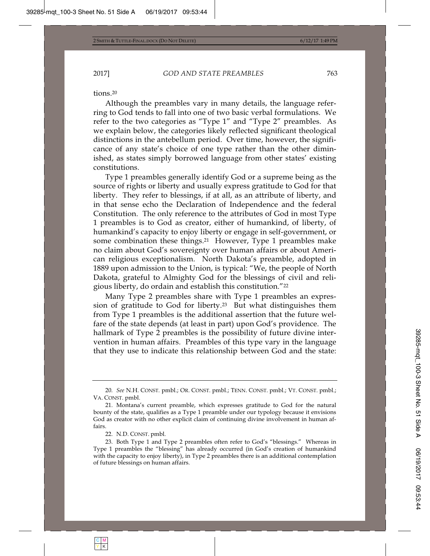tions.20

Although the preambles vary in many details, the language referring to God tends to fall into one of two basic verbal formulations. We refer to the two categories as "Type 1" and "Type 2" preambles. As we explain below, the categories likely reflected significant theological distinctions in the antebellum period. Over time, however, the significance of any state's choice of one type rather than the other diminished, as states simply borrowed language from other states' existing constitutions.

Type 1 preambles generally identify God or a supreme being as the source of rights or liberty and usually express gratitude to God for that liberty. They refer to blessings, if at all, as an attribute of liberty, and in that sense echo the Declaration of Independence and the federal Constitution. The only reference to the attributes of God in most Type 1 preambles is to God as creator, either of humankind, of liberty, of humankind's capacity to enjoy liberty or engage in self-government, or some combination these things.<sup>21</sup> However, Type 1 preambles make no claim about God's sovereignty over human affairs or about American religious exceptionalism. North Dakota's preamble, adopted in 1889 upon admission to the Union, is typical: "We, the people of North Dakota, grateful to Almighty God for the blessings of civil and religious liberty, do ordain and establish this constitution."22

Many Type 2 preambles share with Type 1 preambles an expression of gratitude to God for liberty.23 But what distinguishes them from Type 1 preambles is the additional assertion that the future welfare of the state depends (at least in part) upon God's providence. The hallmark of Type 2 preambles is the possibility of future divine intervention in human affairs. Preambles of this type vary in the language that they use to indicate this relationship between God and the state:

<sup>20</sup>*. See* N.H. CONST. pmbl.; OR. CONST. pmbl.; TENN. CONST. pmbl.; VT. CONST. pmbl.; VA. CONST. pmbl.

<sup>21.</sup> Montana's current preamble, which expresses gratitude to God for the natural bounty of the state, qualifies as a Type 1 preamble under our typology because it envisions God as creator with no other explicit claim of continuing divine involvement in human affairs.

<sup>22.</sup> N.D. CONST. pmbl.

<sup>23.</sup> Both Type 1 and Type 2 preambles often refer to God's "blessings." Whereas in Type 1 preambles the "blessing" has already occurred (in God's creation of humankind with the capacity to enjoy liberty), in Type 2 preambles there is an additional contemplation of future blessings on human affairs.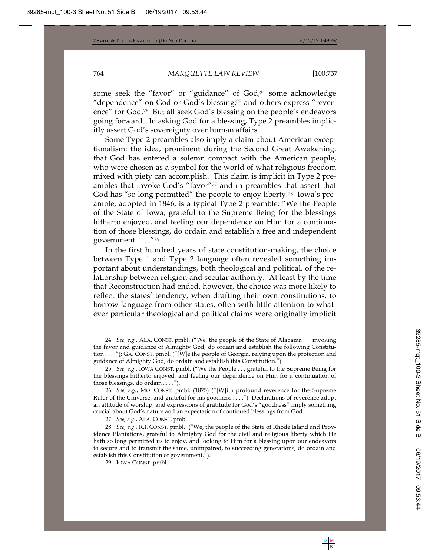some seek the "favor" or "guidance" of God;<sup>24</sup> some acknowledge "dependence" on God or God's blessing;<sup>25</sup> and others express "reverence" for God.26 But all seek God's blessing on the people's endeavors going forward. In asking God for a blessing, Type 2 preambles implicitly assert God's sovereignty over human affairs.

Some Type 2 preambles also imply a claim about American exceptionalism: the idea, prominent during the Second Great Awakening, that God has entered a solemn compact with the American people, who were chosen as a symbol for the world of what religious freedom mixed with piety can accomplish. This claim is implicit in Type 2 preambles that invoke God's "favor"27 and in preambles that assert that God has "so long permitted" the people to enjoy liberty.28 Iowa's preamble, adopted in 1846, is a typical Type 2 preamble: "We the People of the State of Iowa, grateful to the Supreme Being for the blessings hitherto enjoyed, and feeling our dependence on Him for a continuation of those blessings, do ordain and establish a free and independent government . . . ."29

In the first hundred years of state constitution-making, the choice between Type 1 and Type 2 language often revealed something important about understandings, both theological and political, of the relationship between religion and secular authority. At least by the time that Reconstruction had ended, however, the choice was more likely to reflect the states' tendency, when drafting their own constitutions, to borrow language from other states, often with little attention to whatever particular theological and political claims were originally implicit

27*. See, e.g.*, ALA. CONST. pmbl.

<sup>24</sup>*. See, e.g.*, ALA. CONST. pmbl. ("We, the people of the State of Alabama . . . invoking the favor and guidance of Almighty God, do ordain and establish the following Constitution . . . ."); GA. CONST. pmbl. ("[W]e the people of Georgia, relying upon the protection and guidance of Almighty God, do ordain and establish this Constitution.").

<sup>25</sup>*. See, e.g.*, IOWA CONST. pmbl. ("We the People . . . grateful to the Supreme Being for the blessings hitherto enjoyed, and feeling our dependence on Him for a continuation of those blessings, do ordain . . . .").

<sup>26</sup>*. See, e.g.*, MO. CONST. pmbl. (1875) ("[W]ith profound reverence for the Supreme Ruler of the Universe, and grateful for his goodness . . . ."). Declarations of reverence adopt an attitude of worship, and expressions of gratitude for God's "goodness" imply something crucial about God's nature and an expectation of continued blessings from God.

<sup>28</sup>*. See, e.g.*, R.I. CONST. pmbl. ("We, the people of the State of Rhode Island and Providence Plantations, grateful to Almighty God for the civil and religious liberty which He hath so long permitted us to enjoy, and looking to Him for a blessing upon our endeavors to secure and to transmit the same, unimpaired, to succeeding generations, do ordain and establish this Constitution of government.").

<sup>29.</sup> IOWA CONST. pmbl.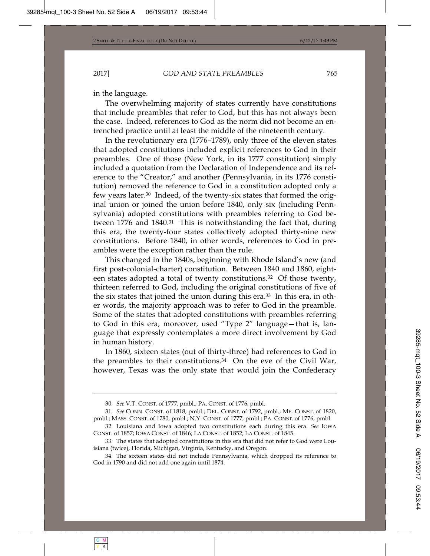in the language.

The overwhelming majority of states currently have constitutions that include preambles that refer to God, but this has not always been the case. Indeed, references to God as the norm did not become an entrenched practice until at least the middle of the nineteenth century.

In the revolutionary era (1776–1789), only three of the eleven states that adopted constitutions included explicit references to God in their preambles. One of those (New York, in its 1777 constitution) simply included a quotation from the Declaration of Independence and its reference to the "Creator," and another (Pennsylvania, in its 1776 constitution) removed the reference to God in a constitution adopted only a few years later.30 Indeed, of the twenty-six states that formed the original union or joined the union before 1840, only six (including Pennsylvania) adopted constitutions with preambles referring to God between 1776 and 1840.31 This is notwithstanding the fact that, during this era, the twenty-four states collectively adopted thirty-nine new constitutions. Before 1840, in other words, references to God in preambles were the exception rather than the rule.

This changed in the 1840s, beginning with Rhode Island's new (and first post-colonial-charter) constitution. Between 1840 and 1860, eighteen states adopted a total of twenty constitutions.32 Of those twenty, thirteen referred to God, including the original constitutions of five of the six states that joined the union during this era.<sup>33</sup> In this era, in other words, the majority approach was to refer to God in the preamble. Some of the states that adopted constitutions with preambles referring to God in this era, moreover, used "Type 2" language—that is, language that expressly contemplates a more direct involvement by God in human history.

In 1860, sixteen states (out of thirty-three) had references to God in the preambles to their constitutions.34 On the eve of the Civil War, however, Texas was the only state that would join the Confederacy

<sup>30</sup>*. See* V.T. CONST. of 1777, pmbl.; PA. CONST. of 1776, pmbl.

<sup>31</sup>*. See* CONN. CONST. of 1818, pmbl.; DEL. CONST. of 1792, pmbl.; ME. CONST. of 1820, pmbl.; MASS. CONST. of 1780, pmbl.; N.Y. CONST. of 1777, pmbl.; PA. CONST. of 1776, pmbl.

<sup>32.</sup> Louisiana and Iowa adopted two constitutions each during this era. *See* IOWA CONST. of 1857; IOWA CONST. of 1846; LA CONST. of 1852; LA CONST. of 1845.

<sup>33.</sup> The states that adopted constitutions in this era that did not refer to God were Louisiana (twice), Florida, Michigan, Virginia, Kentucky, and Oregon.

<sup>34.</sup> The sixteen states did not include Pennsylvania, which dropped its reference to God in 1790 and did not add one again until 1874.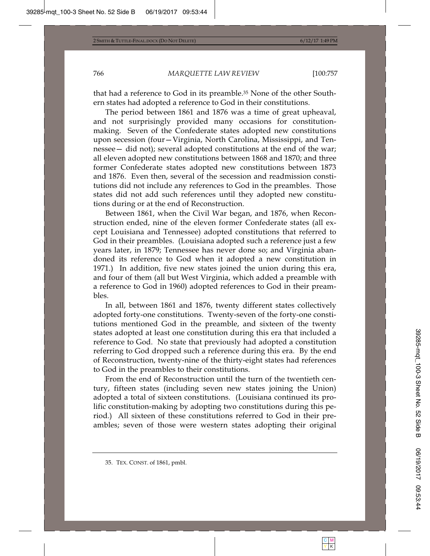that had a reference to God in its preamble.35 None of the other Southern states had adopted a reference to God in their constitutions.

The period between 1861 and 1876 was a time of great upheaval, and not surprisingly provided many occasions for constitutionmaking. Seven of the Confederate states adopted new constitutions upon secession (four—Virginia, North Carolina, Mississippi, and Tennessee— did not); several adopted constitutions at the end of the war; all eleven adopted new constitutions between 1868 and 1870; and three former Confederate states adopted new constitutions between 1873 and 1876. Even then, several of the secession and readmission constitutions did not include any references to God in the preambles. Those states did not add such references until they adopted new constitutions during or at the end of Reconstruction.

Between 1861, when the Civil War began, and 1876, when Reconstruction ended, nine of the eleven former Confederate states (all except Louisiana and Tennessee) adopted constitutions that referred to God in their preambles. (Louisiana adopted such a reference just a few years later, in 1879; Tennessee has never done so; and Virginia abandoned its reference to God when it adopted a new constitution in 1971.) In addition, five new states joined the union during this era, and four of them (all but West Virginia, which added a preamble with a reference to God in 1960) adopted references to God in their preambles.

In all, between 1861 and 1876, twenty different states collectively adopted forty-one constitutions. Twenty-seven of the forty-one constitutions mentioned God in the preamble, and sixteen of the twenty states adopted at least one constitution during this era that included a reference to God. No state that previously had adopted a constitution referring to God dropped such a reference during this era. By the end of Reconstruction, twenty-nine of the thirty-eight states had references to God in the preambles to their constitutions.

From the end of Reconstruction until the turn of the twentieth century, fifteen states (including seven new states joining the Union) adopted a total of sixteen constitutions. (Louisiana continued its prolific constitution-making by adopting two constitutions during this period.) All sixteen of these constitutions referred to God in their preambles; seven of those were western states adopting their original

<sup>35.</sup> TEX. CONST. of 1861, pmbl.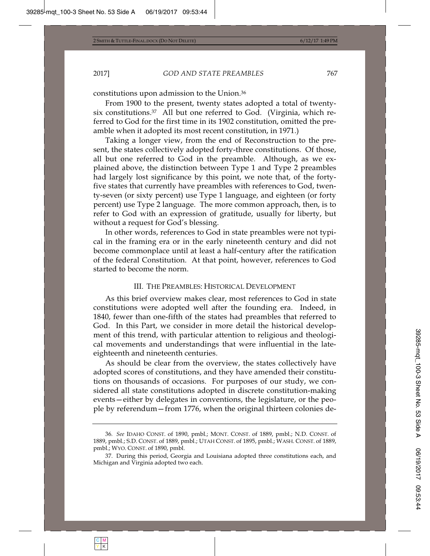constitutions upon admission to the Union.36

From 1900 to the present, twenty states adopted a total of twentysix constitutions.37 All but one referred to God. (Virginia, which referred to God for the first time in its 1902 constitution, omitted the preamble when it adopted its most recent constitution, in 1971.)

Taking a longer view, from the end of Reconstruction to the present, the states collectively adopted forty-three constitutions. Of those, all but one referred to God in the preamble. Although, as we explained above, the distinction between Type 1 and Type 2 preambles had largely lost significance by this point, we note that, of the fortyfive states that currently have preambles with references to God, twenty-seven (or sixty percent) use Type 1 language, and eighteen (or forty percent) use Type 2 language. The more common approach, then, is to refer to God with an expression of gratitude, usually for liberty, but without a request for God's blessing.

In other words, references to God in state preambles were not typical in the framing era or in the early nineteenth century and did not become commonplace until at least a half-century after the ratification of the federal Constitution. At that point, however, references to God started to become the norm.

### III. THE PREAMBLES: HISTORICAL DEVELOPMENT

As this brief overview makes clear, most references to God in state constitutions were adopted well after the founding era. Indeed, in 1840, fewer than one-fifth of the states had preambles that referred to God. In this Part, we consider in more detail the historical development of this trend, with particular attention to religious and theological movements and understandings that were influential in the lateeighteenth and nineteenth centuries.

As should be clear from the overview, the states collectively have adopted scores of constitutions, and they have amended their constitutions on thousands of occasions. For purposes of our study, we considered all state constitutions adopted in discrete constitution-making events—either by delegates in conventions, the legislature, or the people by referendum—from 1776, when the original thirteen colonies de-

<sup>36</sup>*. See* IDAHO CONST. of 1890, pmbl.; MONT. CONST. of 1889, pmbl.; N.D. CONST. of 1889, pmbl.; S.D. CONST. of 1889, pmbl.; UTAH CONST. of 1895, pmbl.; WASH. CONST. of 1889, pmbl.; WYO. CONST. of 1890, pmbl.

<sup>37.</sup> During this period, Georgia and Louisiana adopted three constitutions each, and Michigan and Virginia adopted two each.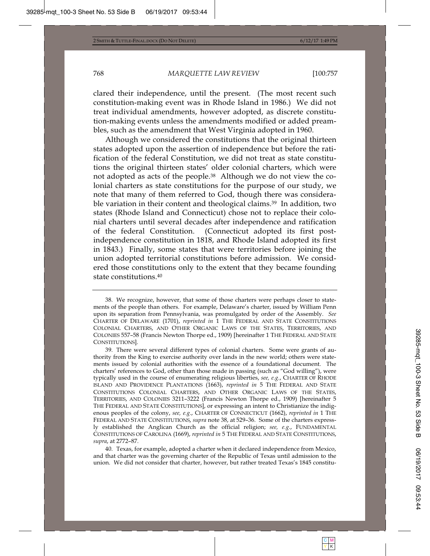clared their independence, until the present. (The most recent such constitution-making event was in Rhode Island in 1986.) We did not treat individual amendments, however adopted, as discrete constitution-making events unless the amendments modified or added preambles, such as the amendment that West Virginia adopted in 1960.

Although we considered the constitutions that the original thirteen states adopted upon the assertion of independence but before the ratification of the federal Constitution, we did not treat as state constitutions the original thirteen states' older colonial charters, which were not adopted as acts of the people.38 Although we do not view the colonial charters as state constitutions for the purpose of our study, we note that many of them referred to God, though there was considerable variation in their content and theological claims.39 In addition, two states (Rhode Island and Connecticut) chose not to replace their colonial charters until several decades after independence and ratification of the federal Constitution. (Connecticut adopted its first postindependence constitution in 1818, and Rhode Island adopted its first in 1843.) Finally, some states that were territories before joining the union adopted territorial constitutions before admission. We considered those constitutions only to the extent that they became founding state constitutions.40

40. Texas, for example, adopted a charter when it declared independence from Mexico, and that charter was the governing charter of the Republic of Texas until admission to the union. We did not consider that charter, however, but rather treated Texas's 1845 constitu-

<sup>38.</sup> We recognize, however, that some of those charters were perhaps closer to statements of the people than others. For example, Delaware's charter, issued by William Penn upon its separation from Pennsylvania, was promulgated by order of the Assembly. *See* CHARTER OF DELAWARE (1701), *reprinted in* 1 THE FEDERAL AND STATE CONSTITUTIONS COLONIAL CHARTERS, AND OTHER ORGANIC LAWS OF THE STATES, TERRITORIES, AND COLONIES 557–58 (Francis Newton Thorpe ed., 1909) [hereinafter 1 THE FEDERAL AND STATE CONSTITUTIONS].

<sup>39.</sup> There were several different types of colonial charters. Some were grants of authority from the King to exercise authority over lands in the new world; others were statements issued by colonial authorities with the essence of a foundational document. The charters' references to God, other than those made in passing (such as "God willing"), were typically used in the course of enumerating religious liberties, *see, e.g.*, CHARTER OF RHODE ISLAND AND PROVIDENCE PLANTATIONS (1663), *reprinted in* 5THE FEDERAL AND STATE CONSTITUTIONS COLONIAL CHARTERS, AND OTHER ORGANIC LAWS OF THE STATES, TERRITORIES, AND COLONIES 3211–3222 (Francis Newton Thorpe ed., 1909) [hereinafter 5 THE FEDERAL AND STATE CONSTITUTIONS], or expressing an intent to Christianize the indigenous peoples of the colony, *see, e.g.*, CHARTER OF CONNECTICUT (1662), *reprinted in* 1 THE FEDERAL AND STATE CONSTITUTIONS, *supra* note 38, at 529–36. Some of the charters expressly established the Anglican Church as the official religion; *see, e.g.*, FUNDAMENTAL CONSTITUTIONS OF CAROLINA (1669), *reprinted in* 5 THE FEDERAL AND STATE CONSTITUTIONS, *supra*, at 2772–87.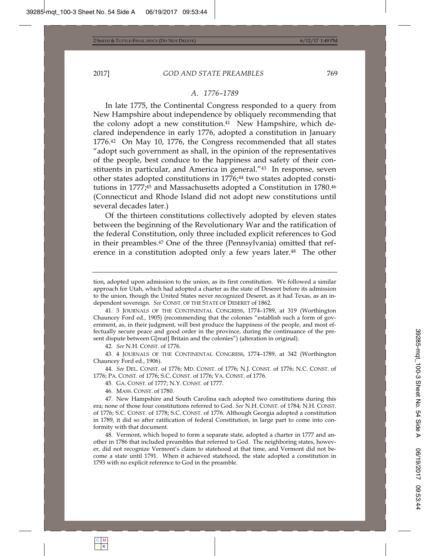#### *A. 1776–1789*

In late 1775, the Continental Congress responded to a query from New Hampshire about independence by obliquely recommending that the colony adopt a new constitution.<sup>41</sup> New Hampshire, which declared independence in early 1776, adopted a constitution in January 1776.42 On May 10, 1776, the Congress recommended that all states "adopt such government as shall, in the opinion of the representatives of the people, best conduce to the happiness and safety of their constituents in particular, and America in general."43 In response, seven other states adopted constitutions in 1776;<sup>44</sup> two states adopted constitutions in 1777;45 and Massachusetts adopted a Constitution in 1780.46 (Connecticut and Rhode Island did not adopt new constitutions until several decades later.)

Of the thirteen constitutions collectively adopted by eleven states between the beginning of the Revolutionary War and the ratification of the federal Constitution, only three included explicit references to God in their preambles.47 One of the three (Pennsylvania) omitted that reference in a constitution adopted only a few years later.<sup>48</sup> The other

43. 4 JOURNALS OF THE CONTINENTAL CONGRESS, 1774–1789, at 342 (Worthington Chauncey Ford ed., 1906).

44*. See* DEL. CONST. of 1776; MD. CONST. of 1776; N.J. CONST. of 1776; N.C. CONST. of 1776; PA. CONST. of 1776; S.C. CONST. of 1776; VA. CONST. of 1776.

45. GA. CONST. of 1777; N.Y. CONST. of 1777.

46. MASS. CONST. of 1780.

47. New Hampshire and South Carolina each adopted two constitutions during this era; none of those four constitutions referred to God. *See* N.H. CONST. of 1784; N.H. CONST. of 1776; S.C. CONST. of 1778; S.C. CONST. of 1776. Although Georgia adopted a constitution in 1789, it did so after ratification of federal Constitution, in large part to come into conformity with that document.

48. Vermont, which hoped to form a separate state, adopted a charter in 1777 and another in 1786 that included preambles that referred to God. The neighboring states, however, did not recognize Vermont's claim to statehood at that time, and Vermont did not become a state until 1791. When it achieved statehood, the state adopted a constitution in 1793 with no explicit reference to God in the preamble.

tion, adopted upon admission to the union, as its first constitution. We followed a similar approach for Utah, which had adopted a charter as the state of Deseret before its admission to the union, though the United States never recognized Deseret, as it had Texas, as an independent sovereign. *See* CONST. OF THE STATE OF DESERET of 1862.

<sup>41. 3</sup> JOURNALS OF THE CONTINENTAL CONGRESS, 1774–1789, at 319 (Worthington Chauncey Ford ed., 1905) (recommending that the colonies "establish such a form of government, as, in their judgment, will best produce the happiness of the people, and most effectually secure peace and good order in the province, during the continuance of the present dispute between G[reat] Britain and the colonies") (alteration in original).

<sup>42</sup>*. See* N.H. CONST. of 1776.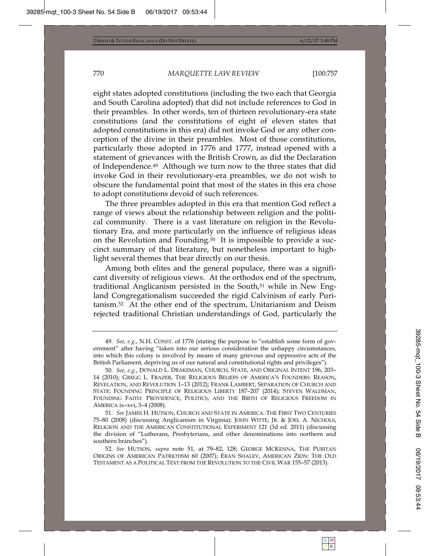eight states adopted constitutions (including the two each that Georgia and South Carolina adopted) that did not include references to God in their preambles. In other words, ten of thirteen revolutionary-era state constitutions (and the constitutions of eight of eleven states that adopted constitutions in this era) did not invoke God or any other conception of the divine in their preambles. Most of those constitutions, particularly those adopted in 1776 and 1777, instead opened with a statement of grievances with the British Crown, as did the Declaration of Independence.49 Although we turn now to the three states that did invoke God in their revolutionary-era preambles, we do not wish to obscure the fundamental point that most of the states in this era chose to adopt constitutions devoid of such references.

The three preambles adopted in this era that mention God reflect a range of views about the relationship between religion and the political community. There is a vast literature on religion in the Revolutionary Era, and more particularly on the influence of religious ideas on the Revolution and Founding.50 It is impossible to provide a succinct summary of that literature, but nonetheless important to highlight several themes that bear directly on our thesis.

Among both elites and the general populace, there was a significant diversity of religious views. At the orthodox end of the spectrum, traditional Anglicanism persisted in the South,<sup>51</sup> while in New England Congregationalism succeeded the rigid Calvinism of early Puritanism.52 At the other end of the spectrum, Unitarianism and Deism rejected traditional Christian understandings of God, particularly the

<sup>49</sup>*. See, e.g.*, N.H. CONST. of 1776 (stating the purpose to "establish some form of government" after having "taken into our serious consideration the unhappy circumstances, into which this colony is involved by means of many grievous and oppressive acts of the British Parliament, depriving us of our natural and constitutional rights and privileges").

<sup>50</sup>*. See, e.g.*, DONALD L. DRAKEMAN, CHURCH, STATE, AND ORIGINAL INTENT 196, 203– 14 (2010); GREGG L. FRAZER, THE RELIGIOUS BELIEFS OF AMERICA'S FOUNDERS: REASON, REVELATION, AND REVOLUTION 1–13 (2012); FRANK LAMBERT, SEPARATION OF CHURCH AND STATE: FOUNDING PRINCIPLE OF RELIGIOUS LIBERTY 187–207 (2014); STEVEN WALDMAN, FOUNDING FAITH: PROVIDENCE, POLITICS, AND THE BIRTH OF RELIGIOUS FREEDOM IN AMERICA ix–xvi, 3–4 (2008).

<sup>51</sup>*. See* JAMES H. HUTSON, CHURCH AND STATE IN AMERICA: THE FIRST TWO CENTURIES 75–80 (2008) (discussing Anglicanism in Virginia); JOHN WITTE, JR.&JOEL A. NICHOLS, RELIGION AND THE AMERICAN CONSTITUTIONAL EXPERIMENT 121 (3d ed. 2011) (discussing the division of "Lutherans, Presbyterians, and other denominations into northern and southern branches").

<sup>52</sup>*. See* HUTSON, *supra* note 51, at 79–82, 128; GEORGE MCKENNA, THE PURITAN ORIGINS OF AMERICAN PATRIOTISM 60 (2007); ERAN SHALEV, AMERICAN ZION: THE OLD TESTAMENT AS A POLITICAL TEXT FROM THE REVOLUTION TO THE CIVIL WAR 155–57 (2013).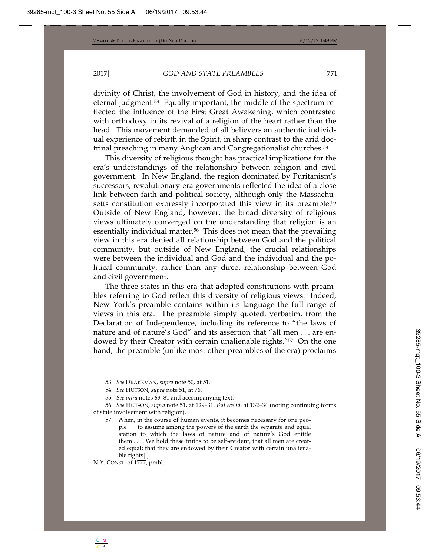divinity of Christ, the involvement of God in history, and the idea of eternal judgment.53 Equally important, the middle of the spectrum reflected the influence of the First Great Awakening, which contrasted with orthodoxy in its revival of a religion of the heart rather than the head. This movement demanded of all believers an authentic individual experience of rebirth in the Spirit, in sharp contrast to the arid doctrinal preaching in many Anglican and Congregationalist churches.54

This diversity of religious thought has practical implications for the era's understandings of the relationship between religion and civil government. In New England, the region dominated by Puritanism's successors, revolutionary-era governments reflected the idea of a close link between faith and political society, although only the Massachusetts constitution expressly incorporated this view in its preamble.<sup>55</sup> Outside of New England, however, the broad diversity of religious views ultimately converged on the understanding that religion is an essentially individual matter.<sup>56</sup> This does not mean that the prevailing view in this era denied all relationship between God and the political community, but outside of New England, the crucial relationships were between the individual and God and the individual and the political community, rather than any direct relationship between God and civil government.

The three states in this era that adopted constitutions with preambles referring to God reflect this diversity of religious views. Indeed, New York's preamble contains within its language the full range of views in this era. The preamble simply quoted, verbatim, from the Declaration of Independence, including its reference to "the laws of nature and of nature's God" and its assertion that "all men . . . are endowed by their Creator with certain unalienable rights."<sup>57</sup> On the one hand, the preamble (unlike most other preambles of the era) proclaims

N.Y. CONST. of 1777, pmbl.

<sup>53</sup>*. See* DRAKEMAN, *supra* note 50, at 51.

<sup>54</sup>*. See* HUTSON, *supra* note 51, at 76.

<sup>55</sup>*. See infra* notes 69–81 and accompanying text.

<sup>56</sup>*. See* HUTSON, *supra* note 51, at 129–31. *But see id*. at 132–34 (noting continuing forms of state involvement with religion).

<sup>57.</sup> When, in the course of human events, it becomes necessary for one people . . . to assume among the powers of the earth the separate and equal station to which the laws of nature and of nature's God entitle them . . . . We hold these truths to be self-evident, that all men are created equal; that they are endowed by their Creator with certain unalienable rights[.]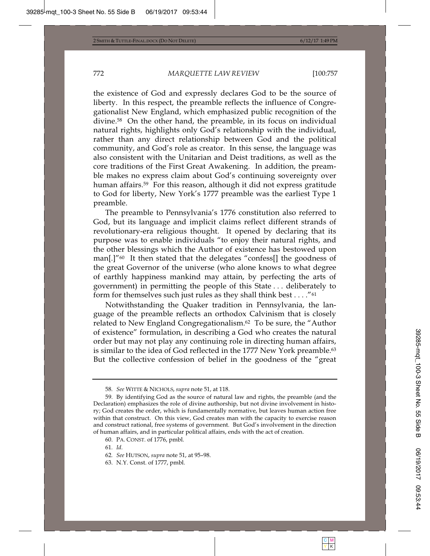the existence of God and expressly declares God to be the source of liberty. In this respect, the preamble reflects the influence of Congregationalist New England, which emphasized public recognition of the divine.58 On the other hand, the preamble, in its focus on individual natural rights, highlights only God's relationship with the individual, rather than any direct relationship between God and the political community, and God's role as creator. In this sense, the language was also consistent with the Unitarian and Deist traditions, as well as the core traditions of the First Great Awakening. In addition, the preamble makes no express claim about God's continuing sovereignty over human affairs.59 For this reason, although it did not express gratitude to God for liberty, New York's 1777 preamble was the earliest Type 1 preamble.

The preamble to Pennsylvania's 1776 constitution also referred to God, but its language and implicit claims reflect different strands of revolutionary-era religious thought. It opened by declaring that its purpose was to enable individuals "to enjoy their natural rights, and the other blessings which the Author of existence has bestowed upon man[.]"60 It then stated that the delegates "confess[] the goodness of the great Governor of the universe (who alone knows to what degree of earthly happiness mankind may attain, by perfecting the arts of government) in permitting the people of this State . . . deliberately to form for themselves such just rules as they shall think best . . . ."61

Notwithstanding the Quaker tradition in Pennsylvania, the language of the preamble reflects an orthodox Calvinism that is closely related to New England Congregationalism.62 To be sure, the "Author of existence" formulation, in describing a God who creates the natural order but may not play any continuing role in directing human affairs, is similar to the idea of God reflected in the 1777 New York preamble.<sup>63</sup> But the collective confession of belief in the goodness of the "great

<sup>58</sup>*. See* WITTE & NICHOLS, *supra* note 51, at 118.

<sup>59.</sup> By identifying God as the source of natural law and rights, the preamble (and the Declaration) emphasizes the role of divine authorship, but not divine involvement in history; God creates the order, which is fundamentally normative, but leaves human action free within that construct. On this view, God creates man with the capacity to exercise reason and construct rational, free systems of government. But God's involvement in the direction of human affairs, and in particular political affairs, ends with the act of creation.

<sup>60.</sup> PA. CONST. of 1776, pmbl.

<sup>61</sup>*. Id.*

<sup>62</sup>*. See* HUTSON, *supra* note 51, at 95–98.

<sup>63.</sup> N.Y. Const. of 1777, pmbl.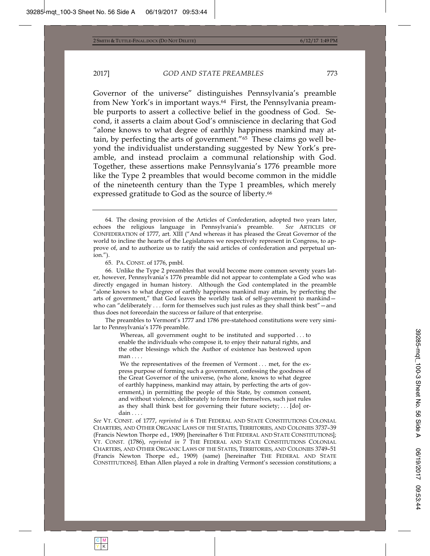Governor of the universe" distinguishes Pennsylvania's preamble from New York's in important ways.<sup>64</sup> First, the Pennsylvania preamble purports to assert a collective belief in the goodness of God. Second, it asserts a claim about God's omniscience in declaring that God "alone knows to what degree of earthly happiness mankind may attain, by perfecting the arts of government."65 These claims go well beyond the individualist understanding suggested by New York's preamble, and instead proclaim a communal relationship with God. Together, these assertions make Pennsylvania's 1776 preamble more like the Type 2 preambles that would become common in the middle of the nineteenth century than the Type 1 preambles, which merely expressed gratitude to God as the source of liberty.<sup>66</sup>

65. PA. CONST. of 1776, pmbl.

66. Unlike the Type 2 preambles that would become more common seventy years later, however, Pennsylvania's 1776 preamble did not appear to contemplate a God who was directly engaged in human history. Although the God contemplated in the preamble "alone knows to what degree of earthly happiness mankind may attain, by perfecting the arts of government," that God leaves the worldly task of self-government to mankind who can "deliberately . . . form for themselves such just rules as they shall think best" - and thus does not foreordain the success or failure of that enterprise.

The preambles to Vermont's 1777 and 1786 pre-statehood constitutions were very similar to Pennsylvania's 1776 preamble.

> Whereas, all government ought to be instituted and supported . . . to enable the individuals who compose it, to enjoy their natural rights, and the other blessings which the Author of existence has bestowed upon man . . . .

> We the representatives of the freemen of Vermont . . . met, for the express purpose of forming such a government, confessing the goodness of the Great Governor of the universe, (who alone, knows to what degree of earthly happiness, mankind may attain, by perfecting the arts of government,) in permitting the people of this State, by common consent, and without violence, deliberately to form for themselves, such just rules as they shall think best for governing their future society; ...  $\lceil \text{do} \rceil$  ordain . . . .

*See* VT. CONST. of 1777, *reprinted in* 6 THE FEDERAL AND STATE CONSTITUTIONS COLONIAL CHARTERS, AND OTHER ORGANIC LAWS OF THE STATES, TERRITORIES, AND COLONIES 3737–39 (Francis Newton Thorpe ed., 1909) [hereinafter 6 THE FEDERAL AND STATE CONSTITUTIONS]; VT. CONST. (1786), *reprinted in* 7 THE FEDERAL AND STATE CONSTITUTIONS COLONIAL CHARTERS, AND OTHER ORGANIC LAWS OF THE STATES, TERRITORIES, AND COLONIES 3749–51 (Francis Newton Thorpe ed., 1909) (same) [hereinafter THE FEDERAL AND STATE CONSTITUTIONS]. Ethan Allen played a role in drafting Vermont's secession constitutions; a

<sup>64.</sup> The closing provision of the Articles of Confederation, adopted two years later, echoes the religious language in Pennsylvania's preamble. *See* ARTICLES OF CONFEDERATION of 1777, art. XIII ("And whereas it has pleased the Great Governor of the world to incline the hearts of the Legislatures we respectively represent in Congress, to approve of, and to authorize us to ratify the said articles of confederation and perpetual union.").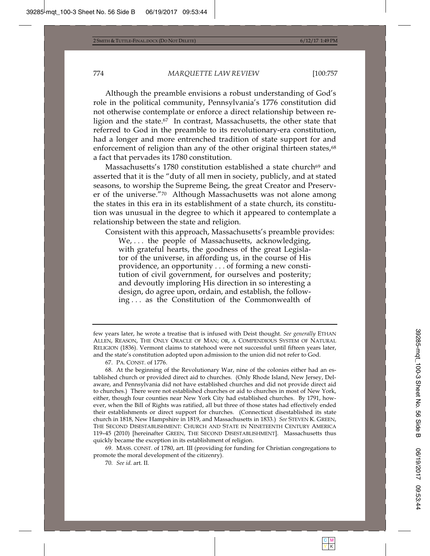Although the preamble envisions a robust understanding of God's role in the political community, Pennsylvania's 1776 constitution did not otherwise contemplate or enforce a direct relationship between religion and the state.67 In contrast, Massachusetts, the other state that referred to God in the preamble to its revolutionary-era constitution, had a longer and more entrenched tradition of state support for and enforcement of religion than any of the other original thirteen states,<sup>68</sup> a fact that pervades its 1780 constitution.

Massachusetts's 1780 constitution established a state church<sup>69</sup> and asserted that it is the "duty of all men in society, publicly, and at stated seasons, to worship the Supreme Being, the great Creator and Preserver of the universe."70 Although Massachusetts was not alone among the states in this era in its establishment of a state church, its constitution was unusual in the degree to which it appeared to contemplate a relationship between the state and religion.

Consistent with this approach, Massachusetts's preamble provides:

We, ... the people of Massachusetts, acknowledging, with grateful hearts, the goodness of the great Legislator of the universe, in affording us, in the course of His providence, an opportunity . . . of forming a new constitution of civil government, for ourselves and posterity; and devoutly imploring His direction in so interesting a design, do agree upon, ordain, and establish, the following . . . as the Constitution of the Commonwealth of

69. MASS. CONST. of 1780, art. III (providing for funding for Christian congregations to promote the moral development of the citizenry).

70*. See id.* art. II.

few years later, he wrote a treatise that is infused with Deist thought. *See generally* ETHAN ALLEN, REASON, THE ONLY ORACLE OF MAN; OR, A COMPENDIOUS SYSTEM OF NATURAL RELIGION (1836). Vermont claims to statehood were not successful until fifteen years later, and the state's constitution adopted upon admission to the union did not refer to God.

<sup>67.</sup> PA. CONST. of 1776.

<sup>68.</sup> At the beginning of the Revolutionary War, nine of the colonies either had an established church or provided direct aid to churches. (Only Rhode Island, New Jersey, Delaware, and Pennsylvania did not have established churches and did not provide direct aid to churches.) There were not established churches or aid to churches in most of New York, either, though four counties near New York City had established churches. By 1791, however, when the Bill of Rights was ratified, all but three of those states had effectively ended their establishments or direct support for churches. (Connecticut disestablished its state church in 1818, New Hampshire in 1819, and Massachusetts in 1833.) *See* STEVEN K. GREEN, THE SECOND DISESTABLISHMENT: CHURCH AND STATE IN NINETEENTH CENTURY AMERICA 119–45 (2010) [hereinafter GREEN, THE SECOND DISESTABLISHMENT]. Massachusetts thus quickly became the exception in its establishment of religion.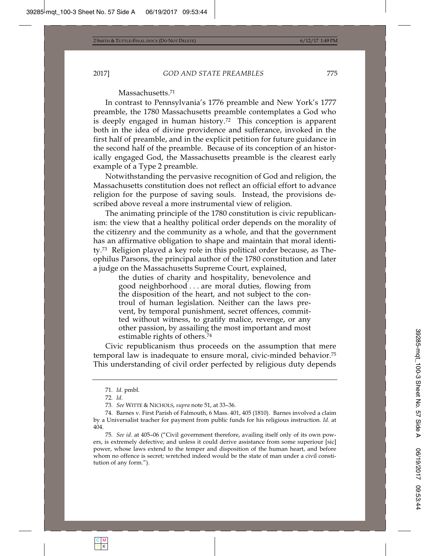#### Massachusetts.71

In contrast to Pennsylvania's 1776 preamble and New York's 1777 preamble, the 1780 Massachusetts preamble contemplates a God who is deeply engaged in human history.72 This conception is apparent both in the idea of divine providence and sufferance, invoked in the first half of preamble, and in the explicit petition for future guidance in the second half of the preamble. Because of its conception of an historically engaged God, the Massachusetts preamble is the clearest early example of a Type 2 preamble.

Notwithstanding the pervasive recognition of God and religion, the Massachusetts constitution does not reflect an official effort to advance religion for the purpose of saving souls. Instead, the provisions described above reveal a more instrumental view of religion.

The animating principle of the 1780 constitution is civic republicanism: the view that a healthy political order depends on the morality of the citizenry and the community as a whole, and that the government has an affirmative obligation to shape and maintain that moral identity.73 Religion played a key role in this political order because, as Theophilus Parsons, the principal author of the 1780 constitution and later a judge on the Massachusetts Supreme Court, explained,

> the duties of charity and hospitality, benevolence and good neighborhood . . . are moral duties, flowing from the disposition of the heart, and not subject to the controul of human legislation. Neither can the laws prevent, by temporal punishment, secret offences, committed without witness, to gratify malice, revenge, or any other passion, by assailing the most important and most estimable rights of others.74

Civic republicanism thus proceeds on the assumption that mere temporal law is inadequate to ensure moral, civic-minded behavior.75 This understanding of civil order perfected by religious duty depends

<sup>71</sup>*. Id.* pmbl.

<sup>72</sup>*. Id.*

<sup>73</sup>*. See* WITTE & NICHOLS, *supra* note 51, at 33–36.

<sup>74.</sup> Barnes v. First Parish of Falmouth, 6 Mass. 401, 405 (1810). Barnes involved a claim by a Universalist teacher for payment from public funds for his religious instruction. *Id*. at 404

<sup>75</sup>*. See id*. at 405–06 ("Civil government therefore, availing itself only of its own powers, is extremely defective; and unless it could derive assistance from some superiour [sic] power, whose laws extend to the temper and disposition of the human heart, and before whom no offence is secret; wretched indeed would be the state of man under a civil constitution of any form.").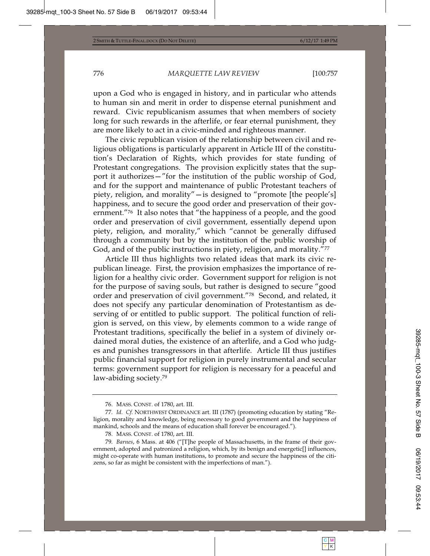upon a God who is engaged in history, and in particular who attends to human sin and merit in order to dispense eternal punishment and reward. Civic republicanism assumes that when members of society long for such rewards in the afterlife, or fear eternal punishment, they are more likely to act in a civic-minded and righteous manner.

The civic republican vision of the relationship between civil and religious obligations is particularly apparent in Article III of the constitution's Declaration of Rights, which provides for state funding of Protestant congregations. The provision explicitly states that the support it authorizes—"for the institution of the public worship of God, and for the support and maintenance of public Protestant teachers of piety, religion, and morality"—is designed to "promote [the people's] happiness, and to secure the good order and preservation of their government."76 It also notes that "the happiness of a people, and the good order and preservation of civil government, essentially depend upon piety, religion, and morality," which "cannot be generally diffused through a community but by the institution of the public worship of God, and of the public instructions in piety, religion, and morality."77

Article III thus highlights two related ideas that mark its civic republican lineage. First, the provision emphasizes the importance of religion for a healthy civic order. Government support for religion is not for the purpose of saving souls, but rather is designed to secure "good order and preservation of civil government."78 Second, and related, it does not specify any particular denomination of Protestantism as deserving of or entitled to public support. The political function of religion is served, on this view, by elements common to a wide range of Protestant traditions, specifically the belief in a system of divinely ordained moral duties, the existence of an afterlife, and a God who judges and punishes transgressors in that afterlife. Article III thus justifies public financial support for religion in purely instrumental and secular terms: government support for religion is necessary for a peaceful and law-abiding society.79

<sup>76.</sup> MASS. CONST. of 1780, art. III.

<sup>77</sup>*. Id. Cf.* NORTHWEST ORDINANCE art. III (1787) (promoting education by stating "Religion, morality and knowledge, being necessary to good government and the happiness of mankind, schools and the means of education shall forever be encouraged.").

<sup>78.</sup> MASS. CONST. of 1780, art. III.

<sup>79</sup>*. Barnes*, 6 Mass. at 406 ("[T]he people of Massachusetts, in the frame of their government, adopted and patronized a religion, which, by its benign and energetic[] influences, might co-operate with human institutions, to promote and secure the happiness of the citizens, so far as might be consistent with the imperfections of man.").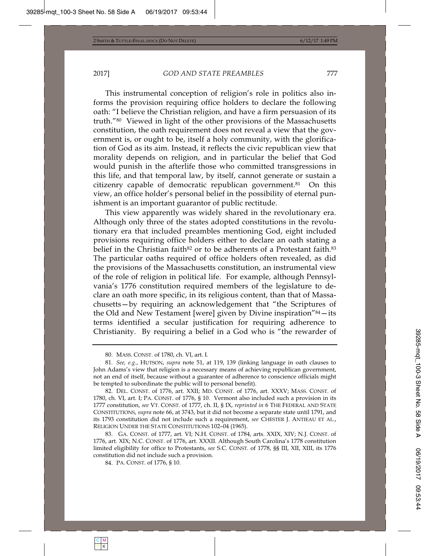This instrumental conception of religion's role in politics also informs the provision requiring office holders to declare the following oath: "I believe the Christian religion, and have a firm persuasion of its truth."80 Viewed in light of the other provisions of the Massachusetts constitution, the oath requirement does not reveal a view that the government is, or ought to be, itself a holy community, with the glorification of God as its aim. Instead, it reflects the civic republican view that morality depends on religion, and in particular the belief that God would punish in the afterlife those who committed transgressions in this life, and that temporal law, by itself, cannot generate or sustain a citizenry capable of democratic republican government.81 On this view, an office holder's personal belief in the possibility of eternal punishment is an important guarantor of public rectitude.

This view apparently was widely shared in the revolutionary era. Although only three of the states adopted constitutions in the revolutionary era that included preambles mentioning God, eight included provisions requiring office holders either to declare an oath stating a belief in the Christian faith<sup>82</sup> or to be adherents of a Protestant faith.<sup>83</sup> The particular oaths required of office holders often revealed, as did the provisions of the Massachusetts constitution, an instrumental view of the role of religion in political life. For example, although Pennsylvania's 1776 constitution required members of the legislature to declare an oath more specific, in its religious content, than that of Massachusetts—by requiring an acknowledgement that "the Scriptures of the Old and New Testament [were] given by Divine inspiration"84—its terms identified a secular justification for requiring adherence to Christianity. By requiring a belief in a God who is "the rewarder of

<sup>80.</sup> MASS. CONST. of 1780, ch. VI, art. I.

<sup>81</sup>*. See, e.g.*, HUTSON, *supra* note 51, at 119, 139 (linking language in oath clauses to John Adams's view that religion is a necessary means of achieving republican government, not an end of itself, because without a guarantee of adherence to conscience officials might be tempted to subordinate the public will to personal benefit).

<sup>82.</sup> DEL. CONST. of 1776, art. XXII; MD. CONST. of 1776, art. XXXV; MASS. CONST. of 1780, ch. VI, art. I; PA. CONST. of 1776, § 10. Vermont also included such a provision in its 1777 constitution, *see* VT. CONST. of 1777, ch. II, § IX, *reprinted in* 6 THE FEDERAL AND STATE CONSTITUTIONS, *supra* note 66, at 3743, but it did not become a separate state until 1791, and its 1793 constitution did not include such a requirement, *see* CHESTER J. ANTIEAU ET AL., RELIGION UNDER THE STATE CONSTITUTIONS 102–04 (1965).

<sup>83.</sup> GA. CONST. of 1777, art. VI; N.H. CONST. of 1784, arts. XXIX, XIV; N.J. CONST. of 1776, art. XIX; N.C. CONST. of 1776, art. XXXII. Although South Carolina's 1778 constitution limited eligibility for office to Protestants, *see* S.C. CONST. of 1778, §§ III, XII, XIII, its 1776 constitution did not include such a provision.

<sup>84.</sup> PA. CONST. of 1776, § 10.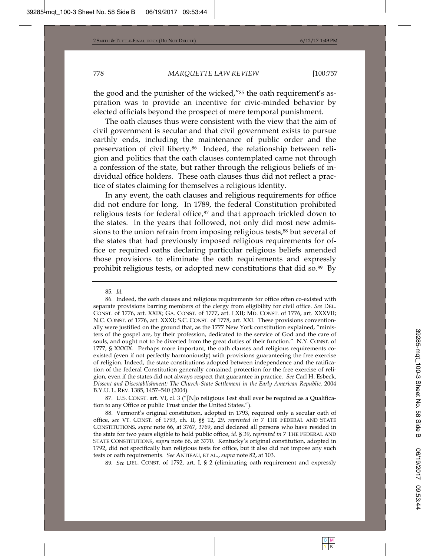the good and the punisher of the wicked,"85 the oath requirement's aspiration was to provide an incentive for civic-minded behavior by elected officials beyond the prospect of mere temporal punishment.

The oath clauses thus were consistent with the view that the aim of civil government is secular and that civil government exists to pursue earthly ends, including the maintenance of public order and the preservation of civil liberty.86 Indeed, the relationship between religion and politics that the oath clauses contemplated came not through a confession of the state, but rather through the religious beliefs of individual office holders. These oath clauses thus did not reflect a practice of states claiming for themselves a religious identity.

In any event, the oath clauses and religious requirements for office did not endure for long. In 1789, the federal Constitution prohibited religious tests for federal office,<sup>87</sup> and that approach trickled down to the states. In the years that followed, not only did most new admissions to the union refrain from imposing religious tests,<sup>88</sup> but several of the states that had previously imposed religious requirements for office or required oaths declaring particular religious beliefs amended those provisions to eliminate the oath requirements and expressly prohibit religious tests, or adopted new constitutions that did so.89 By

87. U.S. CONST. art. VI, cl. 3 ("[N]o religious Test shall ever be required as a Qualification to any Office or public Trust under the United States.").

88. Vermont's original constitution, adopted in 1793, required only a secular oath of office, *see* VT. CONST. of 1793, ch. II, §§ 12, 29, *reprinted in* 7 THE FEDERAL AND STATE CONSTITUTIONS, *supra* note 66, at 3767, 3769, and declared all persons who have resided in the state for two years eligible to hold public office, *id.* § 39, *reprinted in* 7 THE FEDERAL AND STATE CONSTITUTIONS, *supra* note 66, at 3770. Kentucky's original constitution, adopted in 1792, did not specifically ban religious tests for office, but it also did not impose any such tests or oath requirements. *See* ANTIEAU, ET AL., *supra* note 82, at 103.

89*. See* DEL. CONST. of 1792, art. I, § 2 (eliminating oath requirement and expressly

<sup>85</sup>*. Id.*

<sup>86.</sup> Indeed, the oath clauses and religious requirements for office often co-existed with separate provisions barring members of the clergy from eligibility for civil office. *See* DEL. CONST. of 1776, art. XXIX; GA. CONST. of 1777, art. LXII; MD. CONST. of 1776, art. XXXVII; N.C. CONST. of 1776, art. XXXI; S.C. CONST. of 1778, art. XXI. These provisions conventionally were justified on the ground that, as the 1777 New York constitution explained, "ministers of the gospel are, by their profession, dedicated to the service of God and the care of souls, and ought not to be diverted from the great duties of their function." N.Y. CONST. of 1777, § XXXIX. Perhaps more important, the oath clauses and religious requirements coexisted (even if not perfectly harmoniously) with provisions guaranteeing the free exercise of religion. Indeed, the state constitutions adopted between independence and the ratification of the federal Constitution generally contained protection for the free exercise of religion, even if the states did not always respect that guarantee in practice. *See* Carl H. Esbeck, *Dissent and Disestablishment: The Church-State Settlement in the Early American Republic,* 2004 B.Y.U. L. REV. 1385, 1457–540 (2004).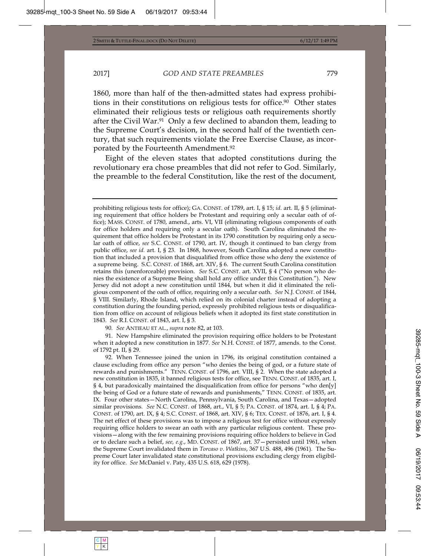1860, more than half of the then-admitted states had express prohibitions in their constitutions on religious tests for office.<sup>90</sup> Other states eliminated their religious tests or religious oath requirements shortly after the Civil War.91 Only a few declined to abandon them, leading to the Supreme Court's decision, in the second half of the twentieth century, that such requirements violate the Free Exercise Clause, as incorporated by the Fourteenth Amendment.92

Eight of the eleven states that adopted constitutions during the revolutionary era chose preambles that did not refer to God. Similarly, the preamble to the federal Constitution, like the rest of the document,

90*. See* ANTIEAU ET AL., *supra* note 82, at 103.

91. New Hampshire eliminated the provision requiring office holders to be Protestant when it adopted a new constitution in 1877. *See* N.H. CONST. of 1877, amends. to the Const. of 1792 pt. II, § 29.

92. When Tennessee joined the union in 1796, its original constitution contained a clause excluding from office any person "who denies the being of god, or a future state of rewards and punishments." TENN. CONST. of 1796, art. VIII, § 2. When the state adopted a new constitution in 1835, it banned religious tests for office, see TENN. CONST. of 1835, art. I, § 4, but paradoxically maintained the disqualification from office for persons "who den[y] the being of God or a future state of rewards and punishments," TENN. CONST. of 1835, art. IX. Four other states—North Carolina, Pennsylvania, South Carolina, and Texas—adopted similar provisions. *See* N.C. CONST. of 1868, art., VI, § 5; PA. CONST. of 1874, art. I, § 4; PA. CONST. of 1790, art. IX, § 4; S.C. CONST. of 1868, art. XIV, § 6; TEX. CONST. of 1876, art. I, § 4. The net effect of these provisions was to impose a religious test for office without expressly requiring office holders to swear an oath with any particular religious content. These provisions—along with the few remaining provisions requiring office holders to believe in God or to declare such a belief, *see, e.g.*, MD. CONST. of 1867, art. 37—persisted until 1961, when the Supreme Court invalidated them in *Torcaso v. Watkins*, 367 U.S. 488, 496 (1961). The Supreme Court later invalidated state constitutional provisions excluding clergy from eligibility for office. *See* McDaniel v. Paty, 435 U.S. 618, 629 (1978).

prohibiting religious tests for office); GA. CONST. of 1789, art. I, § 15; *id.* art. II, § 5 (eliminating requirement that office holders be Protestant and requiring only a secular oath of office); MASS. CONST. of 1780, amend., arts. VI, VII (eliminating religious components of oath for office holders and requiring only a secular oath). South Carolina eliminated the requirement that office holders be Protestant in its 1790 constitution by requiring only a secular oath of office, *see* S.C. CONST. of 1790, art. IV, though it continued to ban clergy from public office, *see id.* art. I, § 23. In 1868, however, South Carolina adopted a new constitution that included a provision that disqualified from office those who deny the existence of a supreme being. S.C. CONST. of 1868, art. XIV, § 6. The current South Carolina constitution retains this (unenforceable) provision. *See* S.C. CONST. art. XVII, § 4 ("No person who denies the existence of a Supreme Being shall hold any office under this Constitution."). New Jersey did not adopt a new constitution until 1844, but when it did it eliminated the religious component of the oath of office, requiring only a secular oath. *See* N.J. CONST. of 1844, § VIII. Similarly, Rhode Island, which relied on its colonial charter instead of adopting a constitution during the founding period, expressly prohibited religious tests or disqualification from office on account of religious beliefs when it adopted its first state constitution in 1843. *See* R.I. CONST. of 1843, art. I, § 3.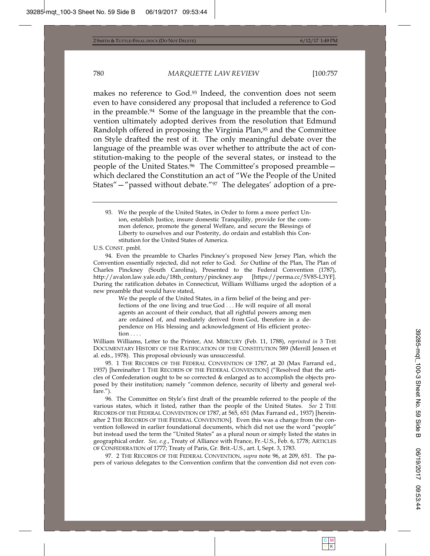makes no reference to God.93 Indeed, the convention does not seem even to have considered any proposal that included a reference to God in the preamble.94 Some of the language in the preamble that the convention ultimately adopted derives from the resolution that Edmund Randolph offered in proposing the Virginia Plan,95 and the Committee on Style drafted the rest of it. The only meaningful debate over the language of the preamble was over whether to attribute the act of constitution-making to the people of the several states, or instead to the people of the United States.96 The Committee's proposed preamble which declared the Constitution an act of "We the People of the United States"—"passed without debate."97 The delegates' adoption of a pre-

U.S. CONST. pmbl.

94. Even the preamble to Charles Pinckney's proposed New Jersey Plan, which the Convention essentially rejected, did not refer to God. *See* Outline of the Plan, The Plan of Charles Pinckney (South Carolina), Presented to the Federal Convention (1787), http://avalon.law.yale.edu/18th\_century/pinckney.asp [https://perma.cc/5V85-L3YF]. During the ratification debates in Connecticut, William Williams urged the adoption of a new preamble that would have stated,

> We the people of the United States, in a firm belief of the being and perfections of the one living and true God . . . He will require of all moral agents an account of their conduct, that all rightful powers among men are ordained of, and mediately derived from God, therefore in a dependence on His blessing and acknowledgment of His efficient protection . . . .

William Williams, Letter to the Printer, AM. MERCURY (Feb. 11, 1788), *reprinted in* 3 THE DOCUMENTARY HISTORY OF THE RATIFICATION OF THE CONSTITUTION 589 (Merrill Jensen et al. eds., 1978). This proposal obviously was unsuccessful.

95. 1 THE RECORDS OF THE FEDERAL CONVENTION OF 1787, at 20 (Max Farrand ed., 1937) [hereinafter 1 THE RECORDS OF THE FEDERAL CONVENTION] ("Resolved that the articles of Confederation ought to be so corrected & enlarged as to accomplish the objects proposed by their institution; namely "common defence, security of liberty and general welfare.").

96. The Committee on Style's first draft of the preamble referred to the people of the various states, which it listed, rather than the people of the United States. *See* 2 THE RECORDS OF THE FEDERAL CONVENTION OF 1787, at 565, 651 (Max Farrand ed., 1937) [hereinafter 2 THE RECORDS OF THE FEDERAL CONVENTION]. Even this was a change from the convention followed in earlier foundational documents, which did not use the word "people" but instead used the term the "United States" as a plural noun or simply listed the states in geographical order. *See, e.g.*, Treaty of Alliance with France, Fr.-U.S., Feb. 6, 1778; ARTICLES OF CONFEDERATION of 1777; Treaty of Paris, Gr. Brit.-U.S., art. I, Sept. 3, 1783.

97. 2 THE RECORDS OF THE FEDERAL CONVENTION, *supra* note 96, at 209, 651. The papers of various delegates to the Convention confirm that the convention did not even con-

<sup>93.</sup> We the people of the United States, in Order to form a more perfect Union, establish Justice, insure domestic Tranquility, provide for the common defence, promote the general Welfare, and secure the Blessings of Liberty to ourselves and our Posterity, do ordain and establish this Constitution for the United States of America.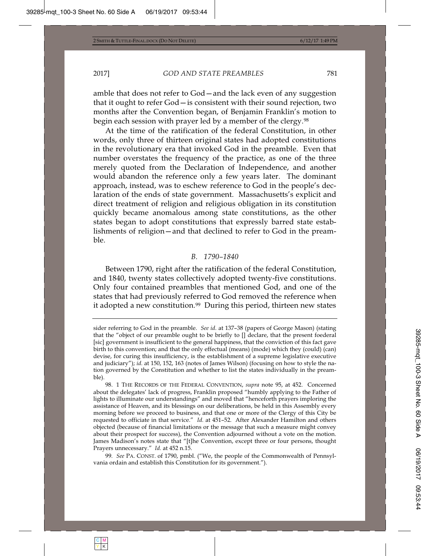amble that does not refer to God—and the lack even of any suggestion that it ought to refer God—is consistent with their sound rejection, two months after the Convention began, of Benjamin Franklin's motion to begin each session with prayer led by a member of the clergy.<sup>98</sup>

At the time of the ratification of the federal Constitution, in other words, only three of thirteen original states had adopted constitutions in the revolutionary era that invoked God in the preamble. Even that number overstates the frequency of the practice, as one of the three merely quoted from the Declaration of Independence, and another would abandon the reference only a few years later. The dominant approach, instead, was to eschew reference to God in the people's declaration of the ends of state government. Massachusetts's explicit and direct treatment of religion and religious obligation in its constitution quickly became anomalous among state constitutions, as the other states began to adopt constitutions that expressly barred state establishments of religion—and that declined to refer to God in the preamble.

#### *B. 1790–1840*

Between 1790, right after the ratification of the federal Constitution, and 1840, twenty states collectively adopted twenty-five constitutions. Only four contained preambles that mentioned God, and one of the states that had previously referred to God removed the reference when it adopted a new constitution.99 During this period, thirteen new states

sider referring to God in the preamble. *See id.* at 137–38 (papers of George Mason) (stating that the "object of our preamble ought to be briefly to [] declare, that the present foederal [sic] government is insufficient to the general happiness, that the conviction of this fact gave birth to this convention; and that the only effectual (means) (mode) which they (could) (can) devise, for curing this insufficiency, is the establishment of a supreme legislative executive and judiciary"); *id.* at 150, 152, 163 (notes of James Wilson) (focusing on how to style the nation governed by the Constitution and whether to list the states individually in the preamble).

<sup>98. 1</sup> THE RECORDS OF THE FEDERAL CONVENTION, *supra* note 95, at 452. Concerned about the delegates' lack of progress, Franklin proposed "humbly applying to the Father of lights to illuminate our understandings" and moved that "henceforth prayers imploring the assistance of Heaven, and its blessings on our deliberations, be held in this Assembly every morning before we proceed to business, and that one or more of the Clergy of this City be requested to officiate in that service." *Id.* at 451–52*.* After Alexander Hamilton and others objected (because of financial limitations or the message that such a measure might convey about their prospect for success), the Convention adjourned without a vote on the motion. James Madison's notes state that "[t]he Convention, except three or four persons, thought Prayers unnecessary." *Id.* at 452 n.15.

<sup>99</sup>*. See* PA. CONST. of 1790, pmbl. ("We, the people of the Commonwealth of Pennsylvania ordain and establish this Constitution for its government.").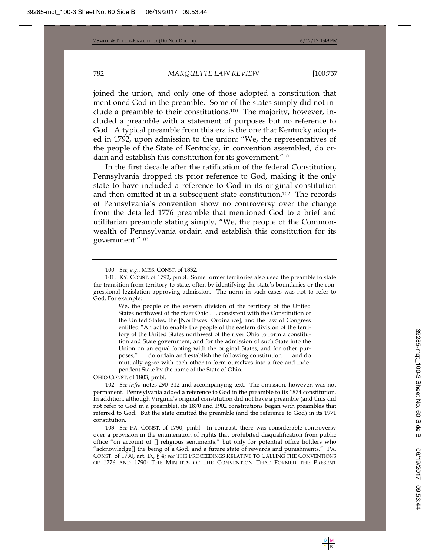joined the union, and only one of those adopted a constitution that mentioned God in the preamble. Some of the states simply did not include a preamble to their constitutions.100 The majority, however, included a preamble with a statement of purposes but no reference to God. A typical preamble from this era is the one that Kentucky adopted in 1792, upon admission to the union: "We, the representatives of the people of the State of Kentucky, in convention assembled, do ordain and establish this constitution for its government."101

In the first decade after the ratification of the federal Constitution, Pennsylvania dropped its prior reference to God, making it the only state to have included a reference to God in its original constitution and then omitted it in a subsequent state constitution.102 The records of Pennsylvania's convention show no controversy over the change from the detailed 1776 preamble that mentioned God to a brief and utilitarian preamble stating simply, "We, the people of the Commonwealth of Pennsylvania ordain and establish this constitution for its government."103

We, the people of the eastern division of the territory of the United States northwest of the river Ohio . . . consistent with the Constitution of the United States, the [Northwest Ordinance], and the law of Congress entitled "An act to enable the people of the eastern division of the territory of the United States northwest of the river Ohio to form a constitution and State government, and for the admission of such State into the Union on an equal footing with the original States, and for other purposes," . . . do ordain and establish the following constitution . . . and do mutually agree with each other to form ourselves into a free and independent State by the name of the State of Ohio.

OHIO CONST. of 1803, pmbl.

102*. See infra* notes 290–312 and accompanying text. The omission, however, was not permanent. Pennsylvania added a reference to God in the preamble to its 1874 constitution. In addition, although Virginia's original constitution did not have a preamble (and thus did not refer to God in a preamble), its 1870 and 1902 constitutions began with preambles that referred to God. But the state omitted the preamble (and the reference to God) in its 1971 constitution.

103*. See* PA. CONST. of 1790, pmbl. In contrast, there was considerable controversy over a provision in the enumeration of rights that prohibited disqualification from public office "on account of [] religious sentiments," but only for potential office holders who "acknowledge[] the being of a God, and a future state of rewards and punishments." PA. CONST. of 1790, art. IX, § 4; *see* THE PROCEEDINGS RELATIVE TO CALLING THE CONVENTIONS OF 1776 AND 1790: THE MINUTES OF THE CONVENTION THAT FORMED THE PRESENT

<sup>100</sup>*. See, e.g.*, MISS. CONST. of 1832.

<sup>101.</sup> KY. CONST. of 1792, pmbl. Some former territories also used the preamble to state the transition from territory to state, often by identifying the state's boundaries or the congressional legislation approving admission. The norm in such cases was not to refer to God. For example: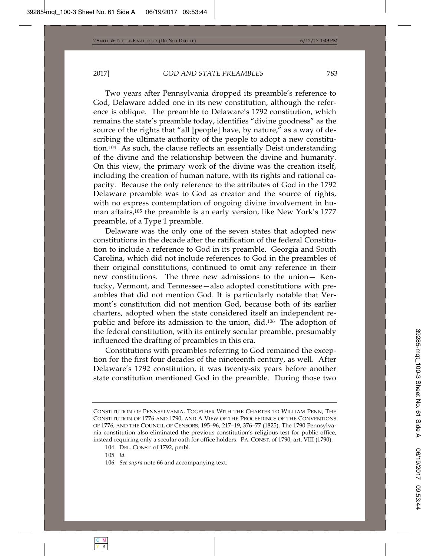Two years after Pennsylvania dropped its preamble's reference to God, Delaware added one in its new constitution, although the reference is oblique. The preamble to Delaware's 1792 constitution, which remains the state's preamble today, identifies "divine goodness" as the source of the rights that "all [people] have, by nature," as a way of describing the ultimate authority of the people to adopt a new constitution.104 As such, the clause reflects an essentially Deist understanding of the divine and the relationship between the divine and humanity. On this view, the primary work of the divine was the creation itself, including the creation of human nature, with its rights and rational capacity. Because the only reference to the attributes of God in the 1792 Delaware preamble was to God as creator and the source of rights, with no express contemplation of ongoing divine involvement in human affairs,105 the preamble is an early version, like New York's 1777 preamble, of a Type 1 preamble.

Delaware was the only one of the seven states that adopted new constitutions in the decade after the ratification of the federal Constitution to include a reference to God in its preamble. Georgia and South Carolina, which did not include references to God in the preambles of their original constitutions, continued to omit any reference in their new constitutions. The three new admissions to the union— Kentucky, Vermont, and Tennessee—also adopted constitutions with preambles that did not mention God. It is particularly notable that Vermont's constitution did not mention God, because both of its earlier charters, adopted when the state considered itself an independent republic and before its admission to the union, did.106 The adoption of the federal constitution, with its entirely secular preamble, presumably influenced the drafting of preambles in this era.

Constitutions with preambles referring to God remained the exception for the first four decades of the nineteenth century, as well. After Delaware's 1792 constitution, it was twenty-six years before another state constitution mentioned God in the preamble. During those two

CONSTITUTION OF PENNSYLVANIA, TOGETHER WITH THE CHARTER TO WILLIAM PENN, THE CONSTITUTION OF 1776 AND 1790, AND A VIEW OF THE PROCEEDINGS OF THE CONVENTIONS OF 1776, AND THE COUNCIL OF CENSORS*,* 195–96, 217–19, 376–77 (1825). The 1790 Pennsylvania constitution also eliminated the previous constitution's religious test for public office, instead requiring only a secular oath for office holders. PA. CONST. of 1790, art. VIII (1790).

<sup>104.</sup> DEL. CONST. of 1792, pmbl.

<sup>105</sup>*. Id.* 

<sup>106</sup>*. See supra* note 66 and accompanying text.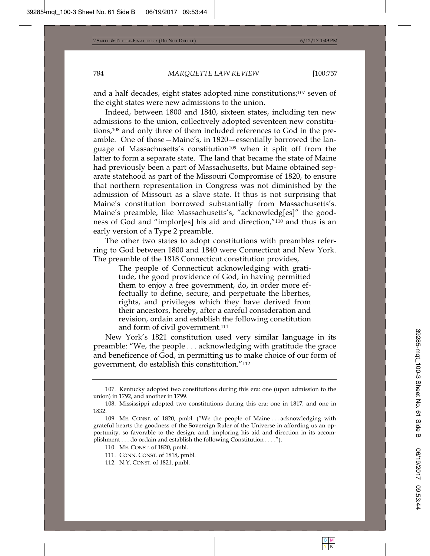and a half decades, eight states adopted nine constitutions;107 seven of the eight states were new admissions to the union.

Indeed, between 1800 and 1840, sixteen states, including ten new admissions to the union, collectively adopted seventeen new constitutions,108 and only three of them included references to God in the preamble. One of those—Maine's, in 1820—essentially borrowed the language of Massachusetts's constitution<sup>109</sup> when it split off from the latter to form a separate state. The land that became the state of Maine had previously been a part of Massachusetts, but Maine obtained separate statehood as part of the Missouri Compromise of 1820, to ensure that northern representation in Congress was not diminished by the admission of Missouri as a slave state. It thus is not surprising that Maine's constitution borrowed substantially from Massachusetts's. Maine's preamble, like Massachusetts's, "acknowledg[es]" the goodness of God and "implor[es] his aid and direction,"110 and thus is an early version of a Type 2 preamble.

The other two states to adopt constitutions with preambles referring to God between 1800 and 1840 were Connecticut and New York. The preamble of the 1818 Connecticut constitution provides,

> The people of Connecticut acknowledging with gratitude, the good providence of God, in having permitted them to enjoy a free government, do, in order more effectually to define, secure, and perpetuate the liberties, rights, and privileges which they have derived from their ancestors, hereby, after a careful consideration and revision, ordain and establish the following constitution and form of civil government.<sup>111</sup>

New York's 1821 constitution used very similar language in its preamble: "We, the people . . . acknowledging with gratitude the grace and beneficence of God, in permitting us to make choice of our form of government, do establish this constitution."112

<sup>107.</sup> Kentucky adopted two constitutions during this era: one (upon admission to the union) in 1792, and another in 1799.

<sup>108.</sup> Mississippi adopted two constitutions during this era: one in 1817, and one in 1832.

<sup>109.</sup> ME. CONST. of 1820, pmbl. ("We the people of Maine . . . acknowledging with grateful hearts the goodness of the Sovereign Ruler of the Universe in affording us an opportunity, so favorable to the design; and, imploring his aid and direction in its accomplishment . . . do ordain and establish the following Constitution . . . .").

<sup>110.</sup> ME. CONST. of 1820, pmbl.

<sup>111.</sup> CONN. CONST. of 1818, pmbl.

<sup>112.</sup> N.Y. CONST. of 1821, pmbl.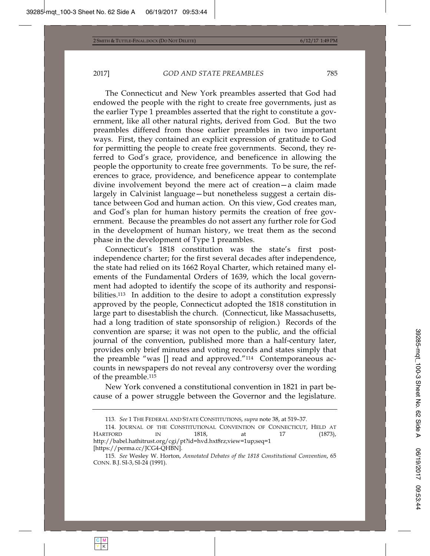The Connecticut and New York preambles asserted that God had endowed the people with the right to create free governments, just as the earlier Type 1 preambles asserted that the right to constitute a government, like all other natural rights, derived from God. But the two preambles differed from those earlier preambles in two important ways. First, they contained an explicit expression of gratitude to God for permitting the people to create free governments. Second, they referred to God's grace, providence, and beneficence in allowing the people the opportunity to create free governments. To be sure, the references to grace, providence, and beneficence appear to contemplate divine involvement beyond the mere act of creation—a claim made largely in Calvinist language—but nonetheless suggest a certain distance between God and human action. On this view, God creates man, and God's plan for human history permits the creation of free government. Because the preambles do not assert any further role for God in the development of human history, we treat them as the second phase in the development of Type 1 preambles.

Connecticut's 1818 constitution was the state's first postindependence charter; for the first several decades after independence, the state had relied on its 1662 Royal Charter, which retained many elements of the Fundamental Orders of 1639, which the local government had adopted to identify the scope of its authority and responsibilities.<sup>113</sup> In addition to the desire to adopt a constitution expressly approved by the people, Connecticut adopted the 1818 constitution in large part to disestablish the church. (Connecticut, like Massachusetts, had a long tradition of state sponsorship of religion.) Records of the convention are sparse; it was not open to the public, and the official journal of the convention, published more than a half-century later, provides only brief minutes and voting records and states simply that the preamble "was [] read and approved."114 Contemporaneous accounts in newspapers do not reveal any controversy over the wording of the preamble.115

New York convened a constitutional convention in 1821 in part because of a power struggle between the Governor and the legislature.

<sup>113</sup>*. See* 1 THE FEDERAL AND STATE CONSTITUTIONS, *supra* note 38, at 519–37.

<sup>114.</sup> JOURNAL OF THE CONSTITUTIONAL CONVENTION OF CONNECTICUT, HELD AT HARTFORD IN 1818, at 17 (1873), http://babel.hathitrust.org/cgi/pt?id=hvd.hxt8rz;view=1up;seq=1 [https://perma.cc/JCG4-QHBN].

<sup>115</sup>*. See* Wesley W. Horton, *Annotated Debates of the 1818 Constitutional Convention*, 65 CONN. B.J. SI-3, SI-24 (1991).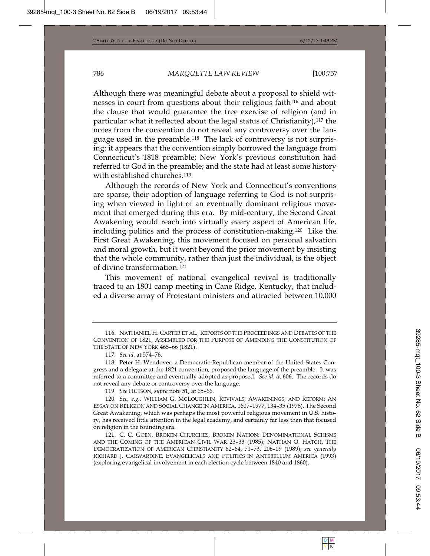Although there was meaningful debate about a proposal to shield witnesses in court from questions about their religious faith<sup>116</sup> and about the clause that would guarantee the free exercise of religion (and in particular what it reflected about the legal status of Christianity),117 the notes from the convention do not reveal any controversy over the language used in the preamble.118 The lack of controversy is not surprising: it appears that the convention simply borrowed the language from Connecticut's 1818 preamble; New York's previous constitution had referred to God in the preamble; and the state had at least some history with established churches.119

Although the records of New York and Connecticut's conventions are sparse, their adoption of language referring to God is not surprising when viewed in light of an eventually dominant religious movement that emerged during this era. By mid-century, the Second Great Awakening would reach into virtually every aspect of American life, including politics and the process of constitution-making.120 Like the First Great Awakening, this movement focused on personal salvation and moral growth, but it went beyond the prior movement by insisting that the whole community, rather than just the individual, is the object of divine transformation.121

This movement of national evangelical revival is traditionally traced to an 1801 camp meeting in Cane Ridge, Kentucky, that included a diverse array of Protestant ministers and attracted between 10,000

119*. See* HUTSON, *supra* note 51, at 65–66.

120*. See, e.g.*, WILLIAM G. MCLOUGHLIN, REVIVALS, AWAKENINGS, AND REFORM: AN ESSAY ON RELIGION AND SOCIAL CHANGE IN AMERICA, 1607–1977, 134–35 (1978). The Second Great Awakening, which was perhaps the most powerful religious movement in U.S. history, has received little attention in the legal academy, and certainly far less than that focused on religion in the founding era.

121. C. C. GOEN, BROKEN CHURCHES, BROKEN NATION: DENOMINATIONAL SCHISMS AND THE COMING OF THE AMERICAN CIVIL WAR 23–33 (1985); NATHAN O. HATCH, THE DEMOCRATIZATION OF AMERICAN CHRISTIANITY 62–64, 71–73, 206–09 (1989); *see generally* RICHARD J. CARWARDINE, EVANGELICALS AND POLITICS IN ANTEBELLUM AMERICA (1993) (exploring evangelical involvement in each election cycle between 1840 and 1860).

<sup>116.</sup> NATHANIEL H. CARTER ET AL., REPORTS OF THE PROCEEDINGS AND DEBATES OF THE CONVENTION OF 1821, ASSEMBLED FOR THE PURPOSE OF AMENDING THE CONSTITUTION OF THE STATE OF NEW YORK 465–66 (1821).

<sup>117</sup>*. See id.* at 574–76.

<sup>118.</sup> Peter H. Wendover, a Democratic-Republican member of the United States Congress and a delegate at the 1821 convention, proposed the language of the preamble. It was referred to a committee and eventually adopted as proposed. *See id.* at 606. The records do not reveal any debate or controversy over the language.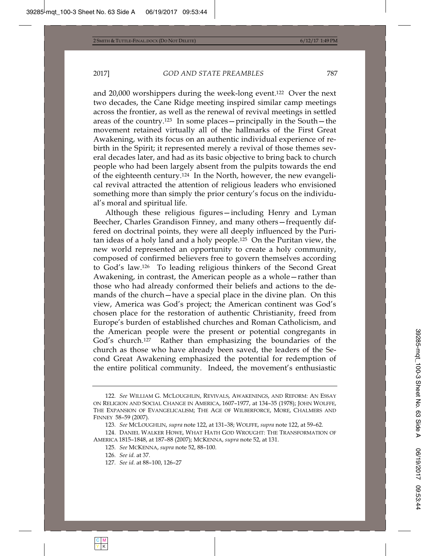and 20,000 worshippers during the week-long event.122 Over the next two decades, the Cane Ridge meeting inspired similar camp meetings across the frontier, as well as the renewal of revival meetings in settled areas of the country.123 In some places—principally in the South—the movement retained virtually all of the hallmarks of the First Great Awakening, with its focus on an authentic individual experience of rebirth in the Spirit; it represented merely a revival of those themes several decades later, and had as its basic objective to bring back to church people who had been largely absent from the pulpits towards the end of the eighteenth century.124 In the North, however, the new evangelical revival attracted the attention of religious leaders who envisioned something more than simply the prior century's focus on the individual's moral and spiritual life.

Although these religious figures—including Henry and Lyman Beecher, Charles Grandison Finney, and many others—frequently differed on doctrinal points, they were all deeply influenced by the Puritan ideas of a holy land and a holy people.125 On the Puritan view, the new world represented an opportunity to create a holy community, composed of confirmed believers free to govern themselves according to God's law.126 To leading religious thinkers of the Second Great Awakening, in contrast, the American people as a whole—rather than those who had already conformed their beliefs and actions to the demands of the church—have a special place in the divine plan. On this view, America was God's project; the American continent was God's chosen place for the restoration of authentic Christianity, freed from Europe's burden of established churches and Roman Catholicism, and the American people were the present or potential congregants in God's church.<sup>127</sup> Rather than emphasizing the boundaries of the church as those who have already been saved, the leaders of the Second Great Awakening emphasized the potential for redemption of the entire political community. Indeed, the movement's enthusiastic

127*. See id.* at 88–100, 126–27

<sup>122</sup>*. See* WILLIAM G. MCLOUGHLIN, REVIVALS, AWAKENINGS, AND REFORM: AN ESSAY ON RELIGION AND SOCIAL CHANGE IN AMERICA, 1607–1977, at 134–35 (1978); JOHN WOLFFE, THE EXPANSION OF EVANGELICALISM; THE AGE OF WILBERFORCE, MORE, CHALMERS AND FINNEY 58–59 (2007).

<sup>123</sup>*. See* MCLOUGHLIN, *supra* note 122, at 131–38; WOLFFE, *supra* note 122, at 59–62.

<sup>124.</sup> DANIEL WALKER HOWE, WHAT HATH GOD WROUGHT: THE TRANSFORMATION OF AMERICA 1815–1848, at 187–88 (2007); MCKENNA, *supra* note 52, at 131.

<sup>125</sup>*. See* MCKENNA, *supra* note 52, 88–100.

<sup>126</sup>*. See id.* at 37.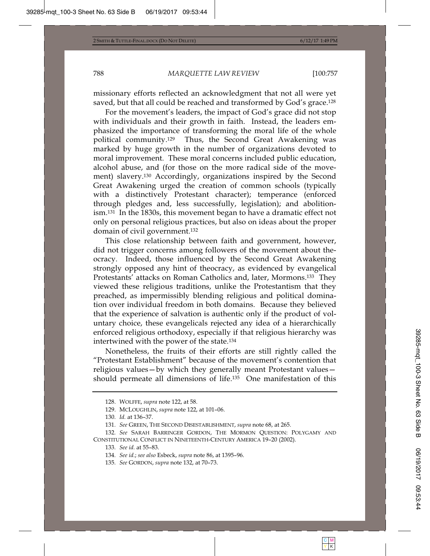missionary efforts reflected an acknowledgment that not all were yet saved, but that all could be reached and transformed by God's grace.<sup>128</sup>

For the movement's leaders, the impact of God's grace did not stop with individuals and their growth in faith. Instead, the leaders emphasized the importance of transforming the moral life of the whole political community.129 Thus, the Second Great Awakening was marked by huge growth in the number of organizations devoted to moral improvement. These moral concerns included public education, alcohol abuse, and (for those on the more radical side of the movement) slavery.130 Accordingly, organizations inspired by the Second Great Awakening urged the creation of common schools (typically with a distinctively Protestant character); temperance (enforced through pledges and, less successfully, legislation); and abolitionism.131 In the 1830s, this movement began to have a dramatic effect not only on personal religious practices, but also on ideas about the proper domain of civil government.132

This close relationship between faith and government, however, did not trigger concerns among followers of the movement about theocracy. Indeed, those influenced by the Second Great Awakening strongly opposed any hint of theocracy, as evidenced by evangelical Protestants' attacks on Roman Catholics and, later, Mormons.133 They viewed these religious traditions, unlike the Protestantism that they preached, as impermissibly blending religious and political domination over individual freedom in both domains. Because they believed that the experience of salvation is authentic only if the product of voluntary choice, these evangelicals rejected any idea of a hierarchically enforced religious orthodoxy, especially if that religious hierarchy was intertwined with the power of the state.134

Nonetheless, the fruits of their efforts are still rightly called the "Protestant Establishment" because of the movement's contention that religious values—by which they generally meant Protestant values should permeate all dimensions of life.135 One manifestation of this

<sup>128.</sup> WOLFFE, *supra* note 122, at 58.

<sup>129.</sup> MCLOUGHLIN, *supra* note 122, at 101–06.

<sup>130</sup>*. Id.* at 136–37.

<sup>131</sup>*. See* GREEN, THE SECOND DISESTABLISHMENT, *supra* note 68, at 265.

<sup>132</sup>*. See* SARAH BARRINGER GORDON, THE MORMON QUESTION: POLYGAMY AND CONSTITUTIONAL CONFLICT IN NINETEENTH-CENTURY AMERICA 19–20 (2002).

<sup>133</sup>*. See id.* at 55–83.

<sup>134</sup>*. See id.*; *see also* Esbeck, *supra* note 86, at 1395–96.

<sup>135</sup>*. See* GORDON, *supra* note 132, at 70–73.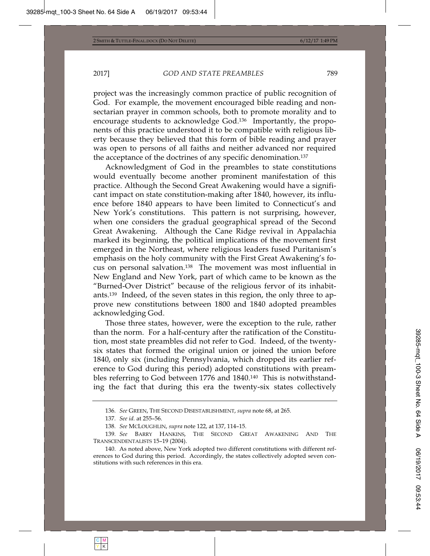project was the increasingly common practice of public recognition of God. For example, the movement encouraged bible reading and nonsectarian prayer in common schools, both to promote morality and to encourage students to acknowledge God.136 Importantly, the proponents of this practice understood it to be compatible with religious liberty because they believed that this form of bible reading and prayer was open to persons of all faiths and neither advanced nor required the acceptance of the doctrines of any specific denomination.137

Acknowledgment of God in the preambles to state constitutions would eventually become another prominent manifestation of this practice. Although the Second Great Awakening would have a significant impact on state constitution-making after 1840, however, its influence before 1840 appears to have been limited to Connecticut's and New York's constitutions. This pattern is not surprising, however, when one considers the gradual geographical spread of the Second Great Awakening. Although the Cane Ridge revival in Appalachia marked its beginning, the political implications of the movement first emerged in the Northeast, where religious leaders fused Puritanism's emphasis on the holy community with the First Great Awakening's focus on personal salvation.138 The movement was most influential in New England and New York, part of which came to be known as the "Burned-Over District" because of the religious fervor of its inhabitants.139 Indeed, of the seven states in this region, the only three to approve new constitutions between 1800 and 1840 adopted preambles acknowledging God.

Those three states, however, were the exception to the rule, rather than the norm. For a half-century after the ratification of the Constitution, most state preambles did not refer to God. Indeed, of the twentysix states that formed the original union or joined the union before 1840, only six (including Pennsylvania, which dropped its earlier reference to God during this period) adopted constitutions with preambles referring to God between 1776 and 1840.140 This is notwithstanding the fact that during this era the twenty-six states collectively

<sup>136</sup>*. See* GREEN, THE SECOND DISESTABLISHMENT, *supra* note 68, at 265.

<sup>137</sup>*. See id.* at 255–56.

<sup>138</sup>*. See* MCLOUGHLIN, *supra* note 122, at 137, 114–15.

<sup>139</sup>*. See* BARRY HANKINS, THE SECOND GREAT AWAKENING AND THE TRANSCENDENTALISTS 15–19 (2004).

<sup>140.</sup> As noted above, New York adopted two different constitutions with different references to God during this period. Accordingly, the states collectively adopted seven constitutions with such references in this era.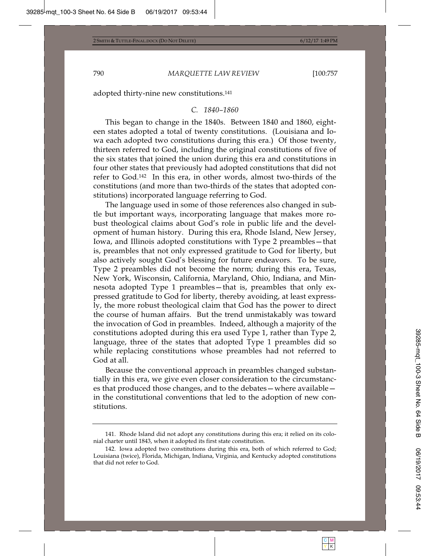adopted thirty-nine new constitutions.141

#### *C. 1840–1860*

This began to change in the 1840s. Between 1840 and 1860, eighteen states adopted a total of twenty constitutions. (Louisiana and Iowa each adopted two constitutions during this era.) Of those twenty, thirteen referred to God, including the original constitutions of five of the six states that joined the union during this era and constitutions in four other states that previously had adopted constitutions that did not refer to God.142 In this era, in other words, almost two-thirds of the constitutions (and more than two-thirds of the states that adopted constitutions) incorporated language referring to God.

The language used in some of those references also changed in subtle but important ways, incorporating language that makes more robust theological claims about God's role in public life and the development of human history. During this era, Rhode Island, New Jersey, Iowa, and Illinois adopted constitutions with Type 2 preambles—that is, preambles that not only expressed gratitude to God for liberty, but also actively sought God's blessing for future endeavors. To be sure, Type 2 preambles did not become the norm; during this era, Texas, New York, Wisconsin, California, Maryland, Ohio, Indiana, and Minnesota adopted Type 1 preambles—that is, preambles that only expressed gratitude to God for liberty, thereby avoiding, at least expressly, the more robust theological claim that God has the power to direct the course of human affairs. But the trend unmistakably was toward the invocation of God in preambles. Indeed, although a majority of the constitutions adopted during this era used Type 1, rather than Type 2, language, three of the states that adopted Type 1 preambles did so while replacing constitutions whose preambles had not referred to God at all.

Because the conventional approach in preambles changed substantially in this era, we give even closer consideration to the circumstances that produced those changes, and to the debates—where available in the constitutional conventions that led to the adoption of new constitutions.

<sup>141.</sup> Rhode Island did not adopt any constitutions during this era; it relied on its colonial charter until 1843, when it adopted its first state constitution.

<sup>142.</sup> Iowa adopted two constitutions during this era, both of which referred to God; Louisiana (twice), Florida, Michigan, Indiana, Virginia, and Kentucky adopted constitutions that did not refer to God.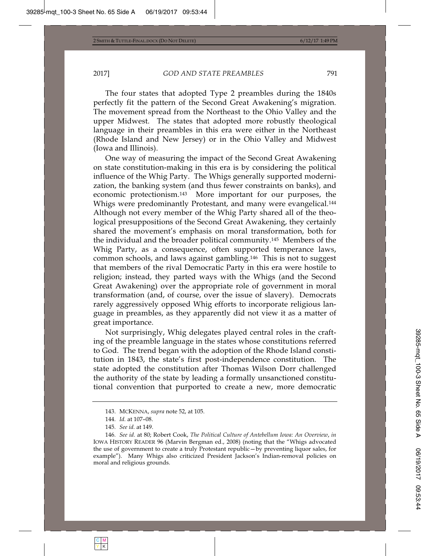The four states that adopted Type 2 preambles during the 1840s perfectly fit the pattern of the Second Great Awakening's migration. The movement spread from the Northeast to the Ohio Valley and the upper Midwest. The states that adopted more robustly theological language in their preambles in this era were either in the Northeast (Rhode Island and New Jersey) or in the Ohio Valley and Midwest (Iowa and Illinois).

One way of measuring the impact of the Second Great Awakening on state constitution-making in this era is by considering the political influence of the Whig Party. The Whigs generally supported modernization, the banking system (and thus fewer constraints on banks), and economic protectionism.143 More important for our purposes, the Whigs were predominantly Protestant, and many were evangelical.<sup>144</sup> Although not every member of the Whig Party shared all of the theological presuppositions of the Second Great Awakening, they certainly shared the movement's emphasis on moral transformation, both for the individual and the broader political community.145 Members of the Whig Party, as a consequence, often supported temperance laws, common schools, and laws against gambling.146 This is not to suggest that members of the rival Democratic Party in this era were hostile to religion; instead, they parted ways with the Whigs (and the Second Great Awakening) over the appropriate role of government in moral transformation (and, of course, over the issue of slavery). Democrats rarely aggressively opposed Whig efforts to incorporate religious language in preambles, as they apparently did not view it as a matter of great importance.

Not surprisingly, Whig delegates played central roles in the crafting of the preamble language in the states whose constitutions referred to God. The trend began with the adoption of the Rhode Island constitution in 1843, the state's first post-independence constitution. The state adopted the constitution after Thomas Wilson Dorr challenged the authority of the state by leading a formally unsanctioned constitutional convention that purported to create a new, more democratic

<sup>143.</sup> MCKENNA, *supra* note 52, at 105.

<sup>144</sup>*. Id.* at 107–08.

<sup>145</sup>*. See id.* at 149.

<sup>146</sup>*. See id.* at 80; Robert Cook, *The Political Culture of Antebellum Iowa: An Overview*, *in* IOWA HISTORY READER 96 (Marvin Bergman ed., 2008) (noting that the "Whigs advocated the use of government to create a truly Protestant republic—by preventing liquor sales, for example"). Many Whigs also criticized President Jackson's Indian-removal policies on moral and religious grounds.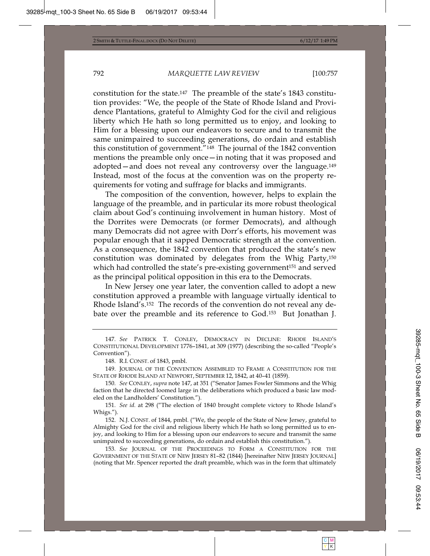constitution for the state.147 The preamble of the state's 1843 constitution provides: "We, the people of the State of Rhode Island and Providence Plantations, grateful to Almighty God for the civil and religious liberty which He hath so long permitted us to enjoy, and looking to Him for a blessing upon our endeavors to secure and to transmit the same unimpaired to succeeding generations, do ordain and establish this constitution of government."148 The journal of the 1842 convention mentions the preamble only once—in noting that it was proposed and adopted—and does not reveal any controversy over the language.149 Instead, most of the focus at the convention was on the property requirements for voting and suffrage for blacks and immigrants.

The composition of the convention, however, helps to explain the language of the preamble, and in particular its more robust theological claim about God's continuing involvement in human history. Most of the Dorrites were Democrats (or former Democrats), and although many Democrats did not agree with Dorr's efforts, his movement was popular enough that it sapped Democratic strength at the convention. As a consequence, the 1842 convention that produced the state's new constitution was dominated by delegates from the Whig Party,150 which had controlled the state's pre-existing government<sup>151</sup> and served as the principal political opposition in this era to the Democrats.

In New Jersey one year later, the convention called to adopt a new constitution approved a preamble with language virtually identical to Rhode Island's.152 The records of the convention do not reveal any debate over the preamble and its reference to God.153 But Jonathan J.

151*. See id.* at 298 ("The election of 1840 brought complete victory to Rhode Island's Whigs.").

152. N.J. CONST. of 1844, pmbl. ("We, the people of the State of New Jersey, grateful to Almighty God for the civil and religious liberty which He hath so long permitted us to enjoy, and looking to Him for a blessing upon our endeavors to secure and transmit the same unimpaired to succeeding generations, do ordain and establish this constitution.").

153*. See* JOURNAL OF THE PROCEEDINGS TO FORM A CONSTITUTION FOR THE GOVERNMENT OF THE STATE OF NEW JERSEY 81–82 (1844) [hereinafter NEW JERSEY JOURNAL] (noting that Mr. Spencer reported the draft preamble, which was in the form that ultimately

<sup>147</sup>*. See* PATRICK T. CONLEY, DEMOCRACY IN DECLINE: RHODE ISLAND'S CONSTITUTIONAL DEVELOPMENT 1776–1841, at 309 (1977) (describing the so-called "People's Convention").

<sup>148.</sup> R.I. CONST. of 1843, pmbl.

<sup>149.</sup> JOURNAL OF THE CONVENTION ASSEMBLED TO FRAME A CONSTITUTION FOR THE STATE OF RHODE ISLAND AT NEWPORT, SEPTEMBER 12, 1842, at 40–41 (1859).

<sup>150</sup>*. See* CONLEY, *supra* note 147, at 351 ("Senator James Fowler Simmons and the Whig faction that he directed loomed large in the deliberations which produced a basic law modeled on the Landholders' Constitution.").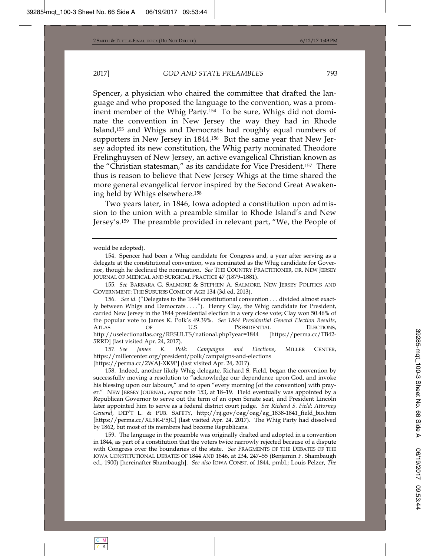Spencer, a physician who chaired the committee that drafted the language and who proposed the language to the convention, was a prominent member of the Whig Party.154 To be sure, Whigs did not dominate the convention in New Jersey the way they had in Rhode Island,155 and Whigs and Democrats had roughly equal numbers of supporters in New Jersey in 1844.156 But the same year that New Jersey adopted its new constitution, the Whig party nominated Theodore Frelinghuysen of New Jersey, an active evangelical Christian known as the "Christian statesman," as its candidate for Vice President.157 There thus is reason to believe that New Jersey Whigs at the time shared the more general evangelical fervor inspired by the Second Great Awakening held by Whigs elsewhere.158

Two years later, in 1846, Iowa adopted a constitution upon admission to the union with a preamble similar to Rhode Island's and New Jersey's.159 The preamble provided in relevant part, "We, the People of

would be adopted).

157*. See James K. Polk: Campaigns and Elections*, MILLER CENTER, https://millercenter.org/president/polk/campaigns-and-elections [https://perma.cc/2WAJ-XK9P] (last visited Apr. 24, 2017).

158. Indeed, another likely Whig delegate, Richard S. Field, began the convention by successfully moving a resolution to "acknowledge our dependence upon God, and invoke his blessing upon our labours," and to open "every morning [of the convention] with prayer." NEW JERSEY JOURNAL, *supra* note 153, at 18–19. Field eventually was appointed by a Republican Governor to serve out the term of an open Senate seat, and President Lincoln later appointed him to serve as a federal district court judge. *See Richard S. Field: Attorney General*, DEP'T L. & PUB. SAFETY, http://nj.gov/oag/oag/ag\_1838-1841\_field\_bio.htm [https://perma.cc/XL9K-P5JC] (last visited Apr. 24, 2017). The Whig Party had dissolved by 1862, but most of its members had become Republicans.

159. The language in the preamble was originally drafted and adopted in a convention in 1844, as part of a constitution that the voters twice narrowly rejected because of a dispute with Congress over the boundaries of the state. *See* FRAGMENTS OF THE DEBATES OF THE IOWA CONSTITUTIONAL DEBATES OF 1844 AND 1846, at 234, 247–55 (Benjamin F. Shambaugh ed., 1900) [hereinafter Shambaugh]. *See also* IOWA CONST. of 1844, pmbl.; Louis Pelzer, *The*

<sup>154.</sup> Spencer had been a Whig candidate for Congress and, a year after serving as a delegate at the constitutional convention, was nominated as the Whig candidate for Governor, though he declined the nomination. *See* THE COUNTRY PRACTITIONER, OR, NEW JERSEY JOURNAL OF MEDICAL AND SURGICAL PRACTICE 47 (1879–1881).

<sup>155</sup>*. See* BARBARA G. SALMORE & STEPHEN A. SALMORE, NEW JERSEY POLITICS AND GOVERNMENT: THE SUBURBS COME OF AGE 134 (3d ed. 2013).

<sup>156.</sup> *See id.* ("Delegates to the 1844 constitutional convention . . . divided almost exactly between Whigs and Democrats . . . ."). Henry Clay, the Whig candidate for President, carried New Jersey in the 1844 presidential election in a very close vote; Clay won 50.46% of the popular vote to James K. Polk's 49.39%. *See 1844 Presidential General Election Results*, ATLAS OF U.S. PRESIDENTIAL ELECTIONS, http://uselectionatlas.org/RESULTS/national.php?year=1844 [https://perma.cc/TB42- 5RRD] (last visited Apr. 24, 2017).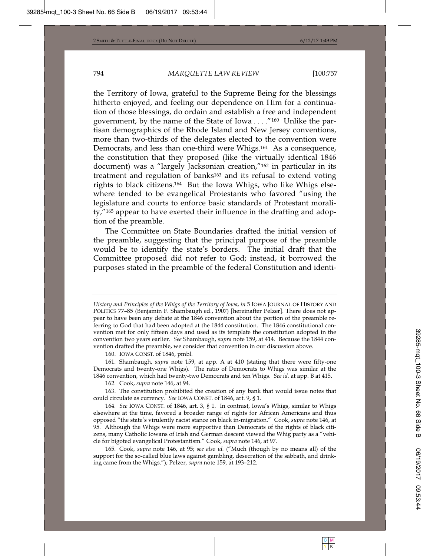the Territory of Iowa, grateful to the Supreme Being for the blessings hitherto enjoyed, and feeling our dependence on Him for a continuation of those blessings, do ordain and establish a free and independent government, by the name of the State of Iowa . . . ."160 Unlike the partisan demographics of the Rhode Island and New Jersey conventions, more than two-thirds of the delegates elected to the convention were Democrats, and less than one-third were Whigs.161 As a consequence, the constitution that they proposed (like the virtually identical 1846 document) was a "largely Jacksonian creation,"162 in particular in its treatment and regulation of banks163 and its refusal to extend voting rights to black citizens.164 But the Iowa Whigs, who like Whigs elsewhere tended to be evangelical Protestants who favored "using the legislature and courts to enforce basic standards of Protestant morality,"165 appear to have exerted their influence in the drafting and adoption of the preamble.

The Committee on State Boundaries drafted the initial version of the preamble, suggesting that the principal purpose of the preamble would be to identify the state's borders. The initial draft that the Committee proposed did not refer to God; instead, it borrowed the purposes stated in the preamble of the federal Constitution and identi-

161. Shambaugh, *supra* note 159, at app. A at 410 (stating that there were fifty-one Democrats and twenty-one Whigs). The ratio of Democrats to Whigs was similar at the 1846 convention, which had twenty-two Democrats and ten Whigs. *See id.* at app. B at 415.

162. Cook, *supra* note 146, at 94.

164*. See* IOWA CONST. of 1846, art. 3, § 1. In contrast, Iowa's Whigs, similar to Whigs elsewhere at the time, favored a broader range of rights for African Americans and thus opposed "the state's virulently racist stance on black in-migration." Cook, *supra* note 146, at 95. Although the Whigs were more supportive than Democrats of the rights of black citizens, many Catholic Iowans of Irish and German descent viewed the Whig party as a "vehicle for bigoted evangelical Protestantism." Cook, *supra* note 146, at 97.

165. Cook, *supra* note 146, at 95; *see also id.* ("Much (though by no means all) of the support for the so-called blue laws against gambling, desecration of the sabbath, and drinking came from the Whigs."); Pelzer, *supra* note 159, at 193–212.

*History and Principles of the Whigs of the Territory of Iowa*, *in* 5 IOWA JOURNAL OF HISTORY AND POLITICS 77–85 (Benjamin F. Shambaugh ed., 1907) [hereinafter Pelzer]. There does not appear to have been any debate at the 1846 convention about the portion of the preamble referring to God that had been adopted at the 1844 constitution. The 1846 constitutional convention met for only fifteen days and used as its template the constitution adopted in the convention two years earlier. *See* Shambaugh, *supra* note 159, at 414. Because the 1844 convention drafted the preamble, we consider that convention in our discussion above.

<sup>160.</sup> IOWA CONST. of 1846, pmbl.

<sup>163.</sup> The constitution prohibited the creation of any bank that would issue notes that could circulate as currency. *See* IOWA CONST. of 1846, art. 9, § 1.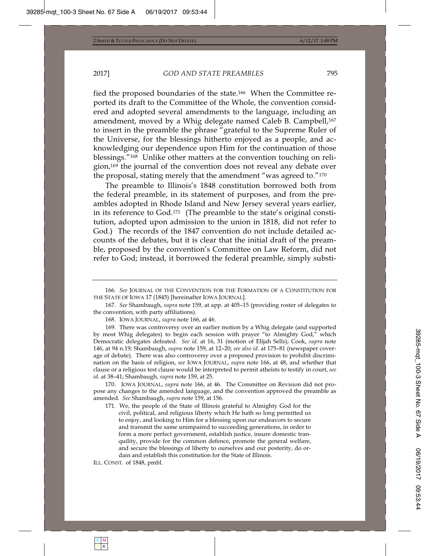fied the proposed boundaries of the state.166 When the Committee reported its draft to the Committee of the Whole, the convention considered and adopted several amendments to the language, including an amendment, moved by a Whig delegate named Caleb B. Campbell,<sup>167</sup> to insert in the preamble the phrase "grateful to the Supreme Ruler of the Universe, for the blessings hitherto enjoyed as a people, and acknowledging our dependence upon Him for the continuation of those blessings."168 Unlike other matters at the convention touching on religion,169 the journal of the convention does not reveal any debate over the proposal, stating merely that the amendment "was agreed to."170

The preamble to Illinois's 1848 constitution borrowed both from the federal preamble, in its statement of purposes, and from the preambles adopted in Rhode Island and New Jersey several years earlier, in its reference to God.171 (The preamble to the state's original constitution, adopted upon admission to the union in 1818, did not refer to God.) The records of the 1847 convention do not include detailed accounts of the debates, but it is clear that the initial draft of the preamble, proposed by the convention's Committee on Law Reform, did not refer to God; instead, it borrowed the federal preamble, simply substi-

168. IOWA JOURNAL, *supra* note 166, at 46.

169. There was controversy over an earlier motion by a Whig delegate (and supported by most Whig delegates) to begin each session with prayer "to Almighty God," which Democratic delegates defeated. *See id.* at 16, 31 (motion of Elijah Sells); Cook, *supra* note 146, at 94 n.19; Shambaugh, *supra* note 159, at 12–20; *see also id.* at 175–81 (newspaper coverage of debate). There was also controversy over a proposed provision to prohibit discrimination on the basis of religion, *see* IOWA JOURNAL, *supra* note 166, at 48, and whether that clause or a religious test clause would be interpreted to permit atheists to testify in court, *see id*. at 38–41; Shambaugh, *supra* note 159, at 25.

170. IOWA JOURNAL, *supra* note 166, at 46. The Committee on Revision did not propose any changes to the amended language, and the convention approved the preamble as amended. *See* Shambaugh, *supra* note 159, at 156.

171. We, the people of the State of Illinois grateful to Almighty God for the civil, political, and religious liberty which He hath so long permitted us to enjoy, and looking to Him for a blessing upon our endeavors to secure and transmit the same unimpaired to succeeding generations, in order to form a more perfect government, establish justice, insure domestic tranquility, provide for the common defence, promote the general welfare, and secure the blessings of liberty to ourselves and our posterity, do ordain and establish this constitution for the State of Illinois.

ILL. CONST. of 1848, pmbl.

<sup>166</sup>*. See* JOURNAL OF THE CONVENTION FOR THE FORMATION OF A CONSTITUTION FOR THE STATE OF IOWA 17 (1845) [hereinafter IOWA JOURNAL].

<sup>167</sup>*. See* Shambaugh, *supra* note 159, at app. at 405–15 (providing roster of delegates to the convention, with party affiliations).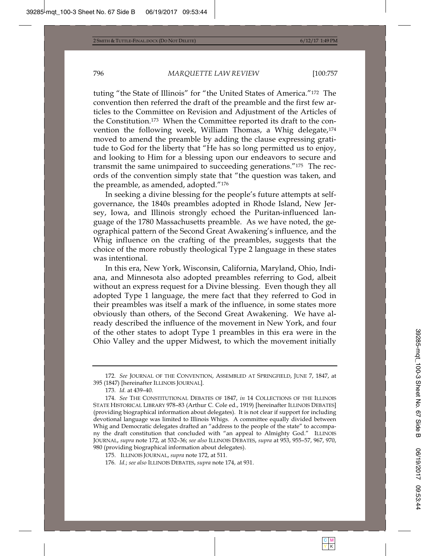tuting "the State of Illinois" for "the United States of America."172 The convention then referred the draft of the preamble and the first few articles to the Committee on Revision and Adjustment of the Articles of the Constitution.173 When the Committee reported its draft to the convention the following week, William Thomas, a Whig delegate,174 moved to amend the preamble by adding the clause expressing gratitude to God for the liberty that "He has so long permitted us to enjoy, and looking to Him for a blessing upon our endeavors to secure and transmit the same unimpaired to succeeding generations."175 The records of the convention simply state that "the question was taken, and the preamble, as amended, adopted."176

In seeking a divine blessing for the people's future attempts at selfgovernance, the 1840s preambles adopted in Rhode Island, New Jersey, Iowa, and Illinois strongly echoed the Puritan-influenced language of the 1780 Massachusetts preamble. As we have noted, the geographical pattern of the Second Great Awakening's influence, and the Whig influence on the crafting of the preambles, suggests that the choice of the more robustly theological Type 2 language in these states was intentional.

In this era, New York, Wisconsin, California, Maryland, Ohio, Indiana, and Minnesota also adopted preambles referring to God, albeit without an express request for a Divine blessing. Even though they all adopted Type 1 language, the mere fact that they referred to God in their preambles was itself a mark of the influence, in some states more obviously than others, of the Second Great Awakening. We have already described the influence of the movement in New York, and four of the other states to adopt Type 1 preambles in this era were in the Ohio Valley and the upper Midwest, to which the movement initially

<sup>172</sup>*. See* JOURNAL OF THE CONVENTION, ASSEMBLED AT SPRINGFIELD, JUNE 7, 1847, at 395 (1847) [hereinafter ILLINOIS JOURNAL].

<sup>173</sup>*. Id.* at 439–40.

<sup>174</sup>*. See* THE CONSTITUTIONAL DEBATES OF 1847, *in* 14 COLLECTIONS OF THE ILLINOIS STATE HISTORICAL LIBRARY 978–83 (Arthur C. Cole ed., 1919) [hereinafter ILLINOIS DEBATES] (providing biographical information about delegates). It is not clear if support for including devotional language was limited to Illinois Whigs. A committee equally divided between Whig and Democratic delegates drafted an "address to the people of the state" to accompany the draft constitution that concluded with "an appeal to Almighty God." ILLINOIS JOURNAL, *supra* note 172, at 532–36; *see also* ILLINOIS DEBATES, *supra* at 953, 955–57, 967, 970, 980 (providing biographical information about delegates).

<sup>175.</sup> ILLINOIS JOURNAL, *supra* note 172, at 511.

<sup>176</sup>*. Id.*; *see also* ILLINOIS DEBATES, *supra* note 174, at 931.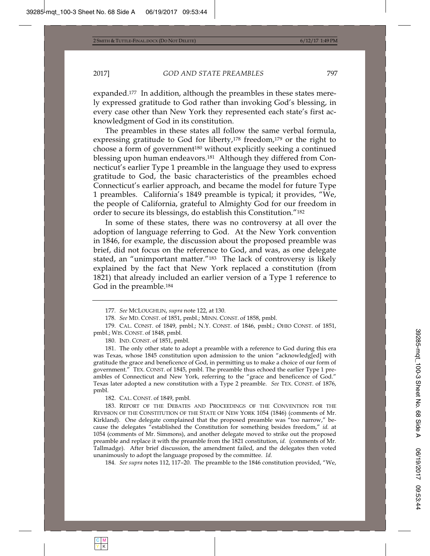expanded.177 In addition, although the preambles in these states merely expressed gratitude to God rather than invoking God's blessing, in every case other than New York they represented each state's first acknowledgment of God in its constitution.

The preambles in these states all follow the same verbal formula, expressing gratitude to God for liberty,<sup>178</sup> freedom,<sup>179</sup> or the right to choose a form of government<sup>180</sup> without explicitly seeking a continued blessing upon human endeavors.181 Although they differed from Connecticut's earlier Type 1 preamble in the language they used to express gratitude to God, the basic characteristics of the preambles echoed Connecticut's earlier approach, and became the model for future Type 1 preambles. California's 1849 preamble is typical; it provides, "We, the people of California, grateful to Almighty God for our freedom in order to secure its blessings, do establish this Constitution."182

In some of these states, there was no controversy at all over the adoption of language referring to God. At the New York convention in 1846, for example, the discussion about the proposed preamble was brief, did not focus on the reference to God, and was, as one delegate stated, an "unimportant matter."183 The lack of controversy is likely explained by the fact that New York replaced a constitution (from 1821) that already included an earlier version of a Type 1 reference to God in the preamble.184

180. IND. CONST. of 1851, pmbl.

181. The only other state to adopt a preamble with a reference to God during this era was Texas, whose 1845 constitution upon admission to the union "acknowledg[ed] with gratitude the grace and beneficence of God, in permitting us to make a choice of our form of government." TEX. CONST. of 1845, pmbl. The preamble thus echoed the earlier Type 1 preambles of Connecticut and New York, referring to the "grace and beneficence of God." Texas later adopted a new constitution with a Type 2 preamble. *See* TEX. CONST. of 1876, pmbl.

182. CAL. CONST. of 1849, pmbl.

183. REPORT OF THE DEBATES AND PROCEEDINGS OF THE CONVENTION FOR THE REVISION OF THE CONSTITUTION OF THE STATE OF NEW YORK 1054 (1846) (comments of Mr. Kirkland). One delegate complained that the proposed preamble was "too narrow," because the delegates "established the Constitution for something besides freedom," *id.* at 1054 (comments of Mr. Simmons), and another delegate moved to strike out the proposed preamble and replace it with the preamble from the 1821 constitution, *id.* (comments of Mr. Tallmadge). After brief discussion, the amendment failed, and the delegates then voted unanimously to adopt the language proposed by the committee. *Id.*

184*. See supra* notes 112, 117–20. The preamble to the 1846 constitution provided, "We,

<sup>177</sup>*. See* MCLOUGHLIN, *supra* note 122, at 130.

<sup>178</sup>*. See* MD. CONST. of 1851, pmbl.; MINN. CONST. of 1858, pmbl.

<sup>179.</sup> CAL. CONST. of 1849, pmbl.; N.Y. CONST. of 1846, pmbl.; OHIO CONST. of 1851, pmbl.; WIS. CONST. of 1848, pmbl.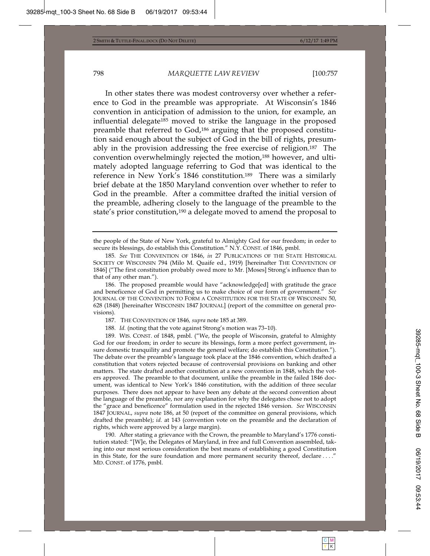In other states there was modest controversy over whether a reference to God in the preamble was appropriate. At Wisconsin's 1846 convention in anticipation of admission to the union, for example, an influential delegate185 moved to strike the language in the proposed preamble that referred to God,186 arguing that the proposed constitution said enough about the subject of God in the bill of rights, presumably in the provision addressing the free exercise of religion.187 The convention overwhelmingly rejected the motion,188 however, and ultimately adopted language referring to God that was identical to the reference in New York's 1846 constitution.189 There was a similarly brief debate at the 1850 Maryland convention over whether to refer to God in the preamble. After a committee drafted the initial version of the preamble, adhering closely to the language of the preamble to the state's prior constitution,190 a delegate moved to amend the proposal to

190. After stating a grievance with the Crown, the preamble to Maryland's 1776 constitution stated: "[W]e, the Delegates of Maryland, in free and full Convention assembled, taking into our most serious consideration the best means of establishing a good Constitution in this State, for the sure foundation and more permanent security thereof, declare . . . ." MD. CONST. of 1776, pmbl.

the people of the State of New York, grateful to Almighty God for our freedom; in order to secure its blessings, do establish this Constitution." N.Y. CONST. of 1846, pmbl.

<sup>185</sup>*. See* THE CONVENTION OF 1846, *in* 27 PUBLICATIONS OF THE STATE HISTORICAL SOCIETY OF WISCONSIN 794 (Milo M. Quaife ed., 1919) [hereinafter THE CONVENTION OF 1846] ("The first constitution probably owed more to Mr. [Moses] Strong's influence than to that of any other man.").

<sup>186.</sup> The proposed preamble would have "acknowledge[ed] with gratitude the grace and beneficence of God in permitting us to make choice of our form of government." *See* JOURNAL OF THE CONVENTION TO FORM A CONSTITUTION FOR THE STATE OF WISCONSIN 50, 628 (1848) [hereinafter WISCONSIN 1847 JOURNAL] (report of the committee on general provisions).

<sup>187.</sup> THE CONVENTION OF 1846*, supra* note 185 at 389.

<sup>188</sup>*. Id.* (noting that the vote against Strong's motion was 73–10).

<sup>189.</sup> WIS. CONST. of 1848, pmbl. ("We, the people of Wisconsin, grateful to Almighty God for our freedom; in order to secure its blessings, form a more perfect government, insure domestic tranquility and promote the general welfare; do establish this Constitution."). The debate over the preamble's language took place at the 1846 convention, which drafted a constitution that voters rejected because of controversial provisions on banking and other matters. The state drafted another constitution at a new convention in 1848, which the voters approved. The preamble to that document, unlike the preamble in the failed 1846 document, was identical to New York's 1846 constitution, with the addition of three secular purposes. There does not appear to have been any debate at the second convention about the language of the preamble, nor any explanation for why the delegates chose not to adopt the "grace and beneficence" formulation used in the rejected 1846 version. *See* WISCONSIN 1847 JOURNAL, *supra* note 186, at 50 (report of the committee on general provisions, which drafted the preamble); *id.* at 143 (convention vote on the preamble and the declaration of rights, which were approved by a large margin).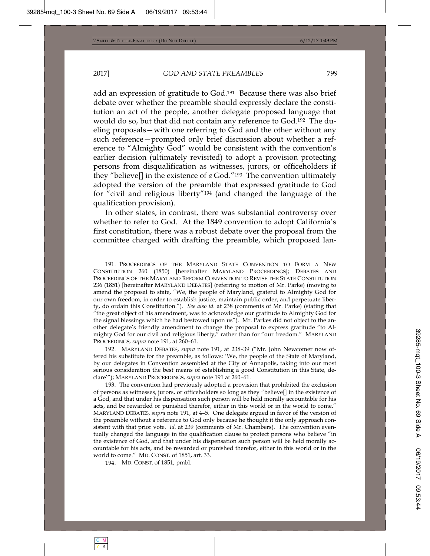add an expression of gratitude to God.191 Because there was also brief debate over whether the preamble should expressly declare the constitution an act of the people, another delegate proposed language that would do so, but that did not contain any reference to God.192 The dueling proposals—with one referring to God and the other without any such reference—prompted only brief discussion about whether a reference to "Almighty God" would be consistent with the convention's earlier decision (ultimately revisited) to adopt a provision protecting persons from disqualification as witnesses, jurors, or officeholders if they "believe[] in the existence of *a* God."193 The convention ultimately adopted the version of the preamble that expressed gratitude to God for "civil and religious liberty"194 (and changed the language of the qualification provision).

In other states, in contrast, there was substantial controversy over whether to refer to God. At the 1849 convention to adopt California's first constitution, there was a robust debate over the proposal from the committee charged with drafting the preamble, which proposed lan-

192. MARYLAND DEBATES, *supra* note 191, at 238–39 ("Mr. John Newcomer now offered his substitute for the preamble, as follows: 'We, the people of the State of Maryland, by our delegates in Convention assembled at the City of Annapolis, taking into our most serious consideration the best means of establishing a good Constitution in this State, declare'"); MARYLAND PROCEEDINGS, *supra* note 191 at 260–61.

193. The convention had previously adopted a provision that prohibited the exclusion of persons as witnesses, jurors, or officeholders so long as they "believe[] in the existence of a God, and that under his dispensation such person will be held morally accountable for his acts, and be rewarded or punished therefor, either in this world or in the world to come." MARYLAND DEBATES, *supra* note 191, at 4–5. One delegate argued in favor of the version of the preamble without a reference to God only because he thought it the only approach consistent with that prior vote. *Id.* at 239 (comments of Mr. Chambers). The convention eventually changed the language in the qualification clause to protect persons who believe "in the existence of God, and that under his dispensation such person will be held morally accountable for his acts, and be rewarded or punished therefor, either in this world or in the world to come." MD. CONST. of 1851, art. 33.

194. MD. CONST. of 1851, pmbl.

<sup>191.</sup> PROCEEDINGS OF THE MARYLAND STATE CONVENTION TO FORM A NEW CONSTITUTION 260 (1850) [hereinafter MARYLAND PROCEEDINGS]; DEBATES AND PROCEEDINGS OF THE MARYLAND REFORM CONVENTION TO REVISE THE STATE CONSTITUTION 236 (1851) [hereinafter MARYLAND DEBATES] (referring to motion of Mr. Parke) (moving to amend the proposal to state, "We, the people of Maryland, grateful to Almighty God for our own freedom, in order to establish justice, maintain public order, and perpetuate liberty, do ordain this Constitution."). *See also id.* at 238 (comments of Mr. Parke) (stating that "the great object of his amendment, was to acknowledge our gratitude to Almighty God for the signal blessings which he had bestowed upon us"). Mr. Parkes did not object to the another delegate's friendly amendment to change the proposal to express gratitude "to Almighty God for our civil and religious liberty," rather than for "our freedom." MARYLAND PROCEEDINGS, *supra* note 191, at 260–61.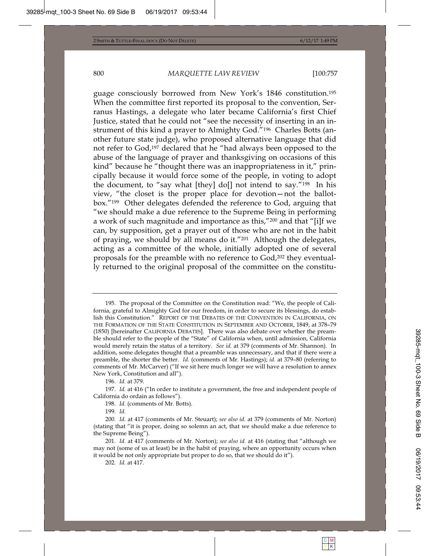guage consciously borrowed from New York's 1846 constitution.195 When the committee first reported its proposal to the convention, Serranus Hastings, a delegate who later became California's first Chief Justice, stated that he could not "see the necessity of inserting in an instrument of this kind a prayer to Almighty God."196 Charles Botts (another future state judge), who proposed alternative language that did not refer to God,197 declared that he "had always been opposed to the abuse of the language of prayer and thanksgiving on occasions of this kind" because he "thought there was an inappropriateness in it," principally because it would force some of the people, in voting to adopt the document, to "say what [they] do[] not intend to say."198 In his view, "the closet is the proper place for devotion—not the ballotbox."199 Other delegates defended the reference to God, arguing that "we should make a due reference to the Supreme Being in performing a work of such magnitude and importance as this,"200 and that "[i]f we can, by supposition, get a prayer out of those who are not in the habit of praying, we should by all means do it."201 Although the delegates, acting as a committee of the whole, initially adopted one of several proposals for the preamble with no reference to God,202 they eventually returned to the original proposal of the committee on the constitu-

<sup>195.</sup> The proposal of the Committee on the Constitution read: "We, the people of California, grateful to Almighty God for our freedom, in order to secure its blessings, do establish this Constitution." REPORT OF THE DEBATES OF THE CONVENTION IN CALIFORNIA, ON THE FORMATION OF THE STATE CONSTITUTION IN SEPTEMBER AND OCTOBER, 1849, at 378–79 (1850) [hereinafter CALIFORNIA DEBATES]. There was also debate over whether the preamble should refer to the people of the "State" of California when, until admission, California would merely retain the status of a territory. *See id.* at 379 (comments of Mr. Shannon). In addition, some delegates thought that a preamble was unnecessary, and that if there were a preamble, the shorter the better. *Id.* (comments of Mr. Hastings); *id.* at 379–80 (referring to comments of Mr. McCarver) ("If we sit here much longer we will have a resolution to annex New York, Constitution and all").

<sup>196</sup>*. Id.* at 379.

<sup>197</sup>*. Id.* at 416 ("In order to institute a government, the free and independent people of California do ordain as follows").

<sup>198</sup>*. Id.* (comments of Mr. Botts).

<sup>199</sup>*. Id.*

<sup>200</sup>*. Id.* at 417 (comments of Mr. Steuart); *see also id.* at 379 (comments of Mr. Norton) (stating that "it is proper, doing so solemn an act, that we should make a due reference to the Supreme Being").

<sup>201</sup>*. Id.* at 417 (comments of Mr. Norton); *see also id.* at 416 (stating that "although we may not (some of us at least) be in the habit of praying, where an opportunity occurs when it would be not only appropriate but proper to do so, that we should do it").

<sup>202</sup>*. Id.* at 417.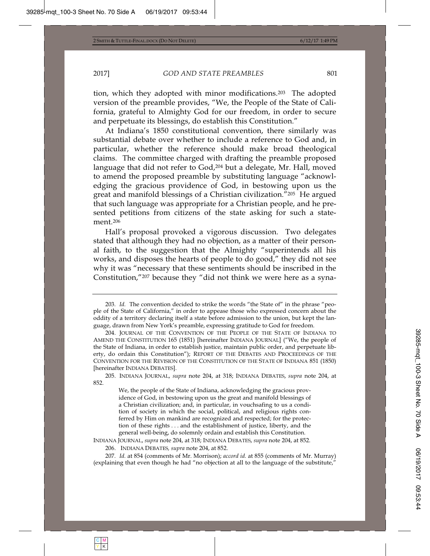tion, which they adopted with minor modifications.203 The adopted version of the preamble provides, "We, the People of the State of California, grateful to Almighty God for our freedom, in order to secure and perpetuate its blessings, do establish this Constitution."

At Indiana's 1850 constitutional convention, there similarly was substantial debate over whether to include a reference to God and, in particular, whether the reference should make broad theological claims. The committee charged with drafting the preamble proposed language that did not refer to God,<sup>204</sup> but a delegate, Mr. Hall, moved to amend the proposed preamble by substituting language "acknowledging the gracious providence of God, in bestowing upon us the great and manifold blessings of a Christian civilization."205 He argued that such language was appropriate for a Christian people, and he presented petitions from citizens of the state asking for such a statement.206

Hall's proposal provoked a vigorous discussion. Two delegates stated that although they had no objection, as a matter of their personal faith, to the suggestion that the Almighty "superintends all his works, and disposes the hearts of people to do good," they did not see why it was "necessary that these sentiments should be inscribed in the Constitution,"207 because they "did not think we were here as a syna-

INDIANA JOURNAL, *supra* note 204, at 318; INDIANA DEBATES, *supra* note 204, at 852.

206. INDIANA DEBATES*, supra* note 204, at 852.

207*. Id.* at 854 (comments of Mr. Morrison); *accord id.* at 855 (comments of Mr. Murray) (explaining that even though he had "no objection at all to the language of the substitute,"

<sup>203</sup>*. Id.* The convention decided to strike the words "the State of" in the phrase "people of the State of California," in order to appease those who expressed concern about the oddity of a territory declaring itself a state before admission to the union, but kept the language, drawn from New York's preamble, expressing gratitude to God for freedom.

<sup>204.</sup> JOURNAL OF THE CONVENTION OF THE PEOPLE OF THE STATE OF INDIANA TO AMEND THE CONSTITUTION 165 (1851) [hereinafter INDIANA JOURNAL] ("We, the people of the State of Indiana, in order to establish justice, maintain public order, and perpetuate liberty, do ordain this Constitution"); REPORT OF THE DEBATES AND PROCEEDINGS OF THE CONVENTION FOR THE REVISION OF THE CONSTITUTION OF THE STATE OF INDIANA 851 (1850) [hereinafter INDIANA DEBATES].

<sup>205.</sup> INDIANA JOURNAL, *supra* note 204, at 318; INDIANA DEBATES, *supra* note 204, at 852.

We, the people of the State of Indiana, acknowledging the gracious providence of God, in bestowing upon us the great and manifold blessings of a Christian civilization; and, in particular, in vouchsafing to us a condition of society in which the social, political, and religious rights conferred by Him on mankind are recognized and respected; for the protection of these rights . . . and the establishment of justice, liberty, and the general well-being, do solemnly ordain and establish this Constitution.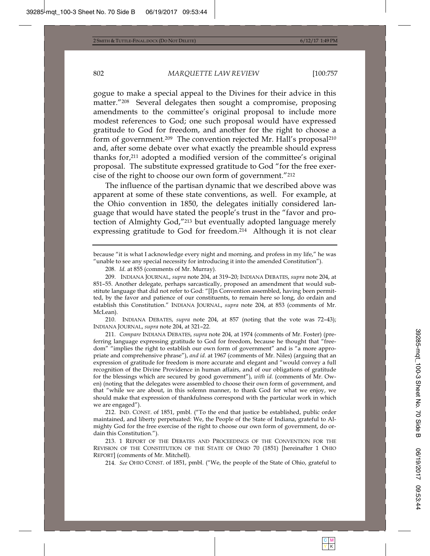gogue to make a special appeal to the Divines for their advice in this matter."208 Several delegates then sought a compromise, proposing amendments to the committee's original proposal to include more modest references to God; one such proposal would have expressed gratitude to God for freedom, and another for the right to choose a form of government.<sup>209</sup> The convention rejected Mr. Hall's proposal<sup>210</sup> and, after some debate over what exactly the preamble should express thanks for,211 adopted a modified version of the committee's original proposal. The substitute expressed gratitude to God "for the free exercise of the right to choose our own form of government."212

The influence of the partisan dynamic that we described above was apparent at some of these state conventions, as well. For example, at the Ohio convention in 1850, the delegates initially considered language that would have stated the people's trust in the "favor and protection of Almighty God,"213 but eventually adopted language merely expressing gratitude to God for freedom.214 Although it is not clear

210. INDIANA DEBATES, *supra* note 204, at 857 (noting that the vote was 72–43); INDIANA JOURNAL, *supra* note 204, at 321–22.

211*. Compare* INDIANA DEBATES, *supra* note 204, at 1974 (comments of Mr. Foster) (preferring language expressing gratitude to God for freedom, because he thought that "freedom" "implies the right to establish our own form of government" and is "a more appropriate and comprehensive phrase"), *and id.* at 1967 (comments of Mr. Niles) (arguing that an expression of gratitude for freedom is more accurate and elegant and "would convey a full recognition of the Divine Providence in human affairs, and of our obligations of gratitude for the blessings which are secured by good government"), *with id.* (comments of Mr. Owen) (noting that the delegates were assembled to choose their own form of government, and that "while we are about, in this solemn manner, to thank God for what we enjoy, we should make that expression of thankfulness correspond with the particular work in which we are engaged").

212. IND. CONST. of 1851, pmbl. ("To the end that justice be established, public order maintained, and liberty perpetuated: We, the People of the State of Indiana, grateful to Almighty God for the free exercise of the right to choose our own form of government, do ordain this Constitution.").

213. 1 REPORT OF THE DEBATES AND PROCEEDINGS OF THE CONVENTION FOR THE REVISION OF THE CONSTITUTION OF THE STATE OF OHIO 70 (1851) [hereinafter 1 OHIO REPORT] (comments of Mr. Mitchell).

214*. See* OHIO CONST. of 1851, pmbl. ("We, the people of the State of Ohio, grateful to

because "it is what I acknowledge every night and morning, and profess in my life," he was "unable to see any special necessity for introducing it into the amended Constitution").

<sup>208</sup>*. Id.* at 855 (comments of Mr. Murray).

<sup>209.</sup> INDIANA JOURNAL, *supra* note 204, at 319–20; INDIANA DEBATES, *supra* note 204, at 851–55. Another delegate, perhaps sarcastically, proposed an amendment that would substitute language that did not refer to God: "[I]n Convention assembled, having been permitted, by the favor and patience of our constituents, to remain here so long, do ordain and establish this Constitution." INDIANA JOURNAL, *supra* note 204, at 853 (comments of Mr. McLean).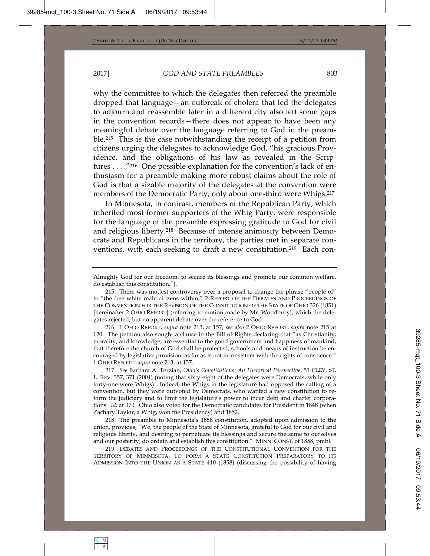why the committee to which the delegates then referred the preamble dropped that language—an outbreak of cholera that led the delegates to adjourn and reassemble later in a different city also left some gaps in the convention records—there does not appear to have been any meaningful debate over the language referring to God in the preamble.215 This is the case notwithstanding the receipt of a petition from citizens urging the delegates to acknowledge God, "his gracious Providence, and the obligations of his law as revealed in the Scriptures . . . ."216 One possible explanation for the convention's lack of enthusiasm for a preamble making more robust claims about the role of God is that a sizable majority of the delegates at the convention were members of the Democratic Party; only about one-third were Whigs.217

In Minnesota, in contrast, members of the Republican Party, which inherited most former supporters of the Whig Party, were responsible for the language of the preamble expressing gratitude to God for civil and religious liberty.218 Because of intense animosity between Democrats and Republicans in the territory, the parties met in separate conventions, with each seeking to draft a new constitution.<sup>219</sup> Each con-

216. 1 OHIO REPORT, *supra* note 213, at 157; *see also* 2 OHIO REPORT, *supra* note 215 at 120. The petition also sought a clause in the Bill of Rights declaring that "as Christianity, morality, and knowledge, are essential to the good government and happiness of mankind, that therefore the church of God shall be protected, schools and means of instruction be encouraged by legislative provision, as far as is not inconsistent with the rights of conscience." 1 OHIO REPORT, *supra* note 213, at 157.

217*. See* Barbara A. Terzian, *Ohio's Constitutions: An Historical Perspective*, 51 CLEV. ST. L. REV. 357, 371 (2004) (noting that sixty-eight of the delegates were Democrats, while only forty-one were Whigs). Indeed, the Whigs in the legislature had opposed the calling of a convention, but they were outvoted by Democrats, who wanted a new constitution to reform the judiciary and to limit the legislature's power to incur debt and charter corporations. *Id.* at 370. Ohio also voted for the Democratic candidates for President in 1848 (when Zachary Taylor, a Whig, won the Presidency) and 1852.

218. The preamble to Minnesota's 1858 constitution, adopted upon admission to the union, provides, "We, the people of the State of Minnesota, grateful to God for our civil and religious liberty, and desiring to perpetuate its blessings and secure the same to ourselves and our posterity, do ordain and establish this constitution." MINN. CONST. of 1858, pmbl.

219. DEBATES AND PROCEEDINGS OF THE CONSTITUTIONAL CONVENTION FOR THE TERRITORY OF MINNESOTA, TO FORM A STATE CONSTITUTION PREPARATORY TO ITS ADMISSION INTO THE UNION AS A STATE 410 (1858) (discussing the possibility of having

Almighty God for our freedom, to secure its blessings and promote our common welfare, do establish this constitution.").

<sup>215.</sup> There was modest controversy over a proposal to change the phrase "people of" to "the free white male citizens within," 2 REPORT OF THE DEBATES AND PROCEEDINGS OF THE CONVENTION FOR THE REVISION OF THE CONSTITUTION OF THE STATE OF OHIO 326 (1851) [hereinafter 2 OHIO REPORT] (referring to motion made by Mr. Woodbury), which the delegates rejected, but no apparent debate over the reference to God.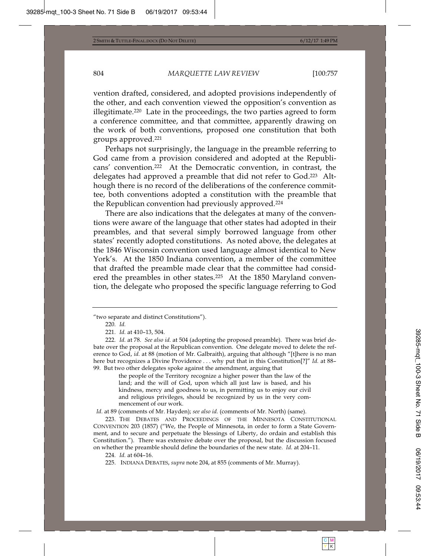vention drafted, considered, and adopted provisions independently of the other, and each convention viewed the opposition's convention as illegitimate.220 Late in the proceedings, the two parties agreed to form a conference committee, and that committee, apparently drawing on the work of both conventions, proposed one constitution that both groups approved.221

Perhaps not surprisingly, the language in the preamble referring to God came from a provision considered and adopted at the Republicans' convention.222 At the Democratic convention, in contrast, the delegates had approved a preamble that did not refer to God.223 Although there is no record of the deliberations of the conference committee, both conventions adopted a constitution with the preamble that the Republican convention had previously approved.224

There are also indications that the delegates at many of the conventions were aware of the language that other states had adopted in their preambles, and that several simply borrowed language from other states' recently adopted constitutions. As noted above, the delegates at the 1846 Wisconsin convention used language almost identical to New York's. At the 1850 Indiana convention, a member of the committee that drafted the preamble made clear that the committee had considered the preambles in other states.<sup>225</sup> At the 1850 Maryland convention, the delegate who proposed the specific language referring to God

the people of the Territory recognize a higher power than the law of the land; and the will of God, upon which all just law is based, and his kindness, mercy and goodness to us, in permitting us to enjoy our civil and religious privileges, should be recognized by us in the very commencement of our work.

*Id.* at 89 (comments of Mr. Hayden); *see also id.* (comments of Mr. North) (same).

223. THE DEBATES AND PROCEEDINGS OF THE MINNESOTA CONSTITUTIONAL CONVENTION 203 (1857) ("We, the People of Minnesota, in order to form a State Government, and to secure and perpetuate the blessings of Liberty, do ordain and establish this Constitution."). There was extensive debate over the proposal, but the discussion focused on whether the preamble should define the boundaries of the new state. *Id.* at 204–11.

<sup>&</sup>quot;two separate and distinct Constitutions").

<sup>220</sup>*. Id.*

<sup>221</sup>*. Id.* at 410–13, 504.

<sup>222</sup>*. Id.* at 78. *See also id.* at 504 (adopting the proposed preamble). There was brief debate over the proposal at the Republican convention. One delegate moved to delete the reference to God, *id.* at 88 (motion of Mr. Galbraith), arguing that although "[t]here is no man here but recognizes a Divine Providence . . . why put that in this Constitution[?]" *Id.* at 88– 99. But two other delegates spoke against the amendment, arguing that

<sup>224</sup>*. Id.* at 604–16.

<sup>225.</sup> INDIANA DEBATES, *supra* note 204, at 855 (comments of Mr. Murray).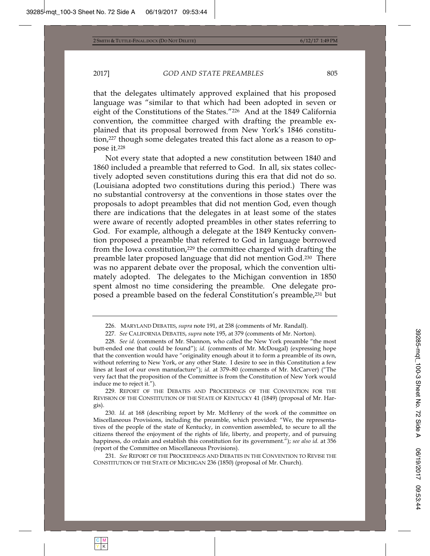that the delegates ultimately approved explained that his proposed language was "similar to that which had been adopted in seven or eight of the Constitutions of the States."226 And at the 1849 California convention, the committee charged with drafting the preamble explained that its proposal borrowed from New York's 1846 constitution,227 though some delegates treated this fact alone as a reason to oppose it.228

Not every state that adopted a new constitution between 1840 and 1860 included a preamble that referred to God. In all, six states collectively adopted seven constitutions during this era that did not do so. (Louisiana adopted two constitutions during this period.) There was no substantial controversy at the conventions in those states over the proposals to adopt preambles that did not mention God, even though there are indications that the delegates in at least some of the states were aware of recently adopted preambles in other states referring to God. For example, although a delegate at the 1849 Kentucky convention proposed a preamble that referred to God in language borrowed from the Iowa constitution,229 the committee charged with drafting the preamble later proposed language that did not mention God.230 There was no apparent debate over the proposal, which the convention ultimately adopted. The delegates to the Michigan convention in 1850 spent almost no time considering the preamble. One delegate proposed a preamble based on the federal Constitution's preamble,231 but

229. REPORT OF THE DEBATES AND PROCEEDINGS OF THE CONVENTION FOR THE REVISION OF THE CONSTITUTION OF THE STATE OF KENTUCKY 41 (1849) (proposal of Mr. Hargis).

230*. Id.* at 168 (describing report by Mr. McHenry of the work of the committee on Miscellaneous Provisions, including the preamble, which provided: "We, the representatives of the people of the state of Kentucky, in convention assembled, to secure to all the citizens thereof the enjoyment of the rights of life, liberty, and property, and of pursuing happiness, do ordain and establish this constitution for its government."); *see also id.* at 356 (report of the Committee on Miscellaneous Provisions).

231*. See* REPORT OF THE PROCEEDINGS AND DEBATES IN THE CONVENTION TO REVISE THE CONSTITUTION OF THE STATE OF MICHIGAN 236 (1850) (proposal of Mr. Church).

<sup>226.</sup> MARYLAND DEBATES, *supra* note 191, at 238 (comments of Mr. Randall).

<sup>227</sup>*. See* CALIFORNIA DEBATES, *supra* note 195, at 379 (comments of Mr. Norton).

<sup>228</sup>*. See id.* (comments of Mr. Shannon, who called the New York preamble "the most butt-ended one that could be found"); *id.* (comments of Mr. McDougal) (expressing hope that the convention would have "originality enough about it to form a preamble of its own, without referring to New York, or any other State. I desire to see in this Constitution a few lines at least of our own manufacture"); *id.* at 379–80 (comments of Mr. McCarver) ("The very fact that the proposition of the Committee is from the Constitution of New York would induce me to reject it.").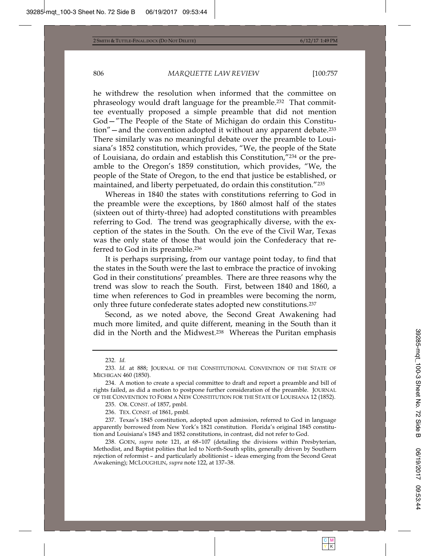he withdrew the resolution when informed that the committee on phraseology would draft language for the preamble.232 That committee eventually proposed a simple preamble that did not mention God—"The People of the State of Michigan do ordain this Constitution"—and the convention adopted it without any apparent debate.233 There similarly was no meaningful debate over the preamble to Louisiana's 1852 constitution, which provides, "We, the people of the State of Louisiana, do ordain and establish this Constitution,"234 or the preamble to the Oregon's 1859 constitution, which provides, "We, the people of the State of Oregon, to the end that justice be established, or maintained, and liberty perpetuated, do ordain this constitution."235

Whereas in 1840 the states with constitutions referring to God in the preamble were the exceptions, by 1860 almost half of the states (sixteen out of thirty-three) had adopted constitutions with preambles referring to God. The trend was geographically diverse, with the exception of the states in the South. On the eve of the Civil War, Texas was the only state of those that would join the Confederacy that referred to God in its preamble.236

It is perhaps surprising, from our vantage point today, to find that the states in the South were the last to embrace the practice of invoking God in their constitutions' preambles. There are three reasons why the trend was slow to reach the South. First, between 1840 and 1860, a time when references to God in preambles were becoming the norm, only three future confederate states adopted new constitutions.237

Second, as we noted above, the Second Great Awakening had much more limited, and quite different, meaning in the South than it did in the North and the Midwest.238 Whereas the Puritan emphasis

236. TEX. CONST. of 1861, pmbl.

237. Texas's 1845 constitution, adopted upon admission, referred to God in language apparently borrowed from New York's 1821 constitution. Florida's original 1845 constitution and Louisiana's 1845 and 1852 constitutions, in contrast, did not refer to God.

238. GOEN, *supra* note 121, at 68–107 (detailing the divisions within Presbyterian, Methodist, and Baptist polities that led to North-South splits, generally driven by Southern rejection of reformist – and particularly abolitionist – ideas emerging from the Second Great Awakening); MCLOUGHLIN, *supra* note 122, at 137–38.

<sup>232</sup>*. Id.*

<sup>233</sup>*. Id.* at 888; JOURNAL OF THE CONSTITUTIONAL CONVENTION OF THE STATE OF MICHIGAN 460 (1850).

<sup>234.</sup> A motion to create a special committee to draft and report a preamble and bill of rights failed, as did a motion to postpone further consideration of the preamble. JOURNAL OF THE CONVENTION TO FORM A NEW CONSTITUTION FOR THE STATE OF LOUISIANA 12 (1852).

<sup>235.</sup> OR. CONST. of 1857, pmbl.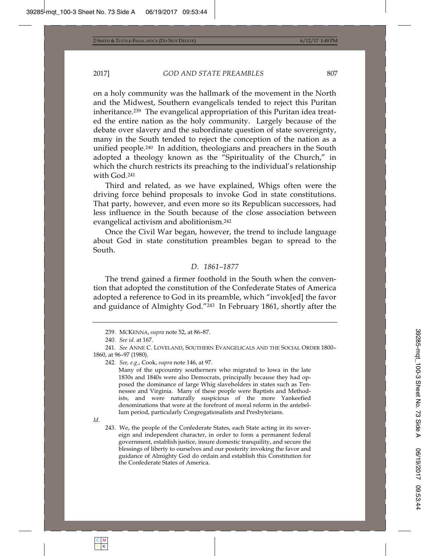on a holy community was the hallmark of the movement in the North and the Midwest, Southern evangelicals tended to reject this Puritan inheritance.239 The evangelical appropriation of this Puritan idea treated the entire nation as the holy community. Largely because of the debate over slavery and the subordinate question of state sovereignty, many in the South tended to reject the conception of the nation as a unified people.240 In addition, theologians and preachers in the South adopted a theology known as the "Spirituality of the Church," in which the church restricts its preaching to the individual's relationship with God.241

Third and related, as we have explained, Whigs often were the driving force behind proposals to invoke God in state constitutions. That party, however, and even more so its Republican successors, had less influence in the South because of the close association between evangelical activism and abolitionism.242

Once the Civil War began, however, the trend to include language about God in state constitution preambles began to spread to the South.

## *D. 1861–1877*

The trend gained a firmer foothold in the South when the convention that adopted the constitution of the Confederate States of America adopted a reference to God in its preamble, which "invok[ed] the favor and guidance of Almighty God."243 In February 1861, shortly after the

242*. See, e.g*., Cook, *supra* note 146, at 97.

Many of the upcountry southerners who migrated to Iowa in the late 1830s and 1840s were also Democrats, principally because they had opposed the dominance of large Whig slaveholders in states such as Tennessee and Virginia. Many of these people were Baptists and Methodists, and were naturally suspicious of the more Yankeefied denominations that were at the forefront of moral reform in the antebellum period, particularly Congregationalists and Presbyterians.

*Id.*

<sup>239.</sup> MCKENNA, *supra* note 52, at 86–87.

<sup>240</sup>*. See id.* at 167.

<sup>241</sup>*. See* ANNE C. LOVELAND, SOUTHERN EVANGELICALS AND THE SOCIAL ORDER 1800– 1860, at 96–97 (1980).

<sup>243.</sup> We, the people of the Confederate States, each State acting in its sovereign and independent character, in order to form a permanent federal government, establish justice, insure domestic tranquility, and secure the blessings of liberty to ourselves and our posterity invoking the favor and guidance of Almighty God do ordain and establish this Constitution for the Confederate States of America.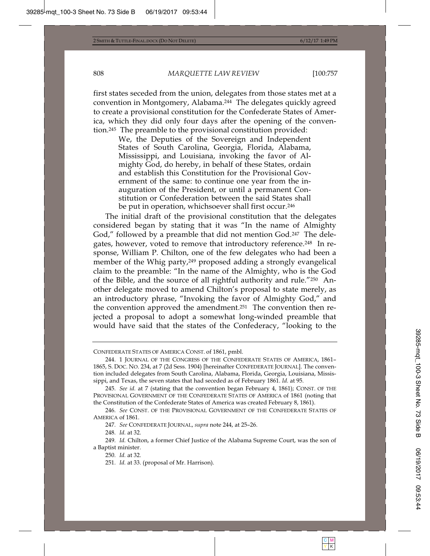first states seceded from the union, delegates from those states met at a convention in Montgomery, Alabama.244 The delegates quickly agreed to create a provisional constitution for the Confederate States of America, which they did only four days after the opening of the convention.245 The preamble to the provisional constitution provided:

> We, the Deputies of the Sovereign and Independent States of South Carolina, Georgia, Florida, Alabama, Mississippi, and Louisiana, invoking the favor of Almighty God, do hereby, in behalf of these States, ordain and establish this Constitution for the Provisional Government of the same: to continue one year from the inauguration of the President, or until a permanent Constitution or Confederation between the said States shall be put in operation, whichsoever shall first occur.<sup>246</sup>

The initial draft of the provisional constitution that the delegates considered began by stating that it was "In the name of Almighty God," followed by a preamble that did not mention God.<sup>247</sup> The delegates, however, voted to remove that introductory reference.248 In response, William P. Chilton, one of the few delegates who had been a member of the Whig party,249 proposed adding a strongly evangelical claim to the preamble: "In the name of the Almighty, who is the God of the Bible, and the source of all rightful authority and rule."250 Another delegate moved to amend Chilton's proposal to state merely, as an introductory phrase, "Invoking the favor of Almighty God," and the convention approved the amendment.251 The convention then rejected a proposal to adopt a somewhat long-winded preamble that would have said that the states of the Confederacy, "looking to the

248*. Id.* at 32.

CONFEDERATE STATES OF AMERICA CONST. of 1861, pmbl.

<sup>244. 1</sup> JOURNAL OF THE CONGRESS OF THE CONFEDERATE STATES OF AMERICA, 1861– 1865, S. DOC. NO. 234, at 7 (2d Sess. 1904) [hereinafter CONFEDERATE JOURNAL]. The convention included delegates from South Carolina, Alabama, Florida, Georgia, Louisiana, Mississippi, and Texas, the seven states that had seceded as of February 1861. *Id.* at 95.

<sup>245</sup>*. See id.* at 7 (stating that the convention began February 4, 1861); CONST. OF THE PROVISIONAL GOVERNMENT OF THE CONFEDERATE STATES OF AMERICA of 1861 (noting that the Constitution of the Confederate States of America was created February 8, 1861).

<sup>246</sup>*. See* CONST. OF THE PROVISIONAL GOVERNMENT OF THE CONFEDERATE STATES OF AMERICA of 1861.

<sup>247</sup>*. See* CONFEDERATE JOURNAL, *supra* note 244, at 25–26.

<sup>249</sup>*. Id.* Chilton, a former Chief Justice of the Alabama Supreme Court, was the son of a Baptist minister.

<sup>250</sup>*. Id.* at 32.

<sup>251</sup>*. Id.* at 33. (proposal of Mr. Harrison).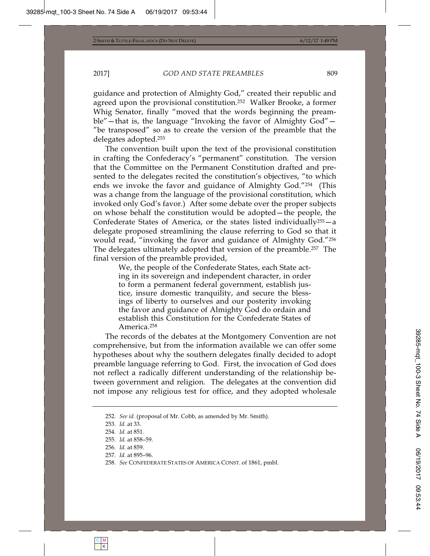guidance and protection of Almighty God," created their republic and agreed upon the provisional constitution.252 Walker Brooke, a former Whig Senator, finally "moved that the words beginning the preamble"—that is, the language "Invoking the favor of Almighty God"— "be transposed" so as to create the version of the preamble that the delegates adopted.253

The convention built upon the text of the provisional constitution in crafting the Confederacy's "permanent" constitution. The version that the Committee on the Permanent Constitution drafted and presented to the delegates recited the constitution's objectives, "to which ends we invoke the favor and guidance of Almighty God."254 (This was a change from the language of the provisional constitution, which invoked only God's favor.) After some debate over the proper subjects on whose behalf the constitution would be adopted—the people, the Confederate States of America, or the states listed individually<sup>255</sup> $-a$ delegate proposed streamlining the clause referring to God so that it would read, "invoking the favor and guidance of Almighty God."256 The delegates ultimately adopted that version of the preamble.257 The final version of the preamble provided,

> We, the people of the Confederate States, each State acting in its sovereign and independent character, in order to form a permanent federal government, establish justice, insure domestic tranquility, and secure the blessings of liberty to ourselves and our posterity invoking the favor and guidance of Almighty God do ordain and establish this Constitution for the Confederate States of America.258

The records of the debates at the Montgomery Convention are not comprehensive, but from the information available we can offer some hypotheses about why the southern delegates finally decided to adopt preamble language referring to God. First, the invocation of God does not reflect a radically different understanding of the relationship between government and religion. The delegates at the convention did not impose any religious test for office, and they adopted wholesale

<sup>252</sup>*. See id.* (proposal of Mr. Cobb, as amended by Mr. Smith).

<sup>253</sup>*. Id.* at 33.

<sup>254</sup>*. Id.* at 851.

<sup>255</sup>*. Id.* at 858–59.

<sup>256</sup>*. Id.* at 859.

<sup>257</sup>*. Id.* at 895–96.

<sup>258</sup>*. See* CONFEDERATE STATES OF AMERICA CONST. of 1861, pmbl.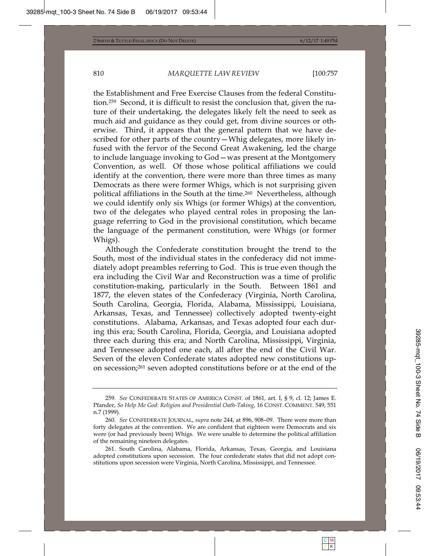the Establishment and Free Exercise Clauses from the federal Constitution.259 Second, it is difficult to resist the conclusion that, given the nature of their undertaking, the delegates likely felt the need to seek as much aid and guidance as they could get, from divine sources or otherwise. Third, it appears that the general pattern that we have described for other parts of the country—Whig delegates, more likely infused with the fervor of the Second Great Awakening, led the charge to include language invoking to God—was present at the Montgomery Convention, as well. Of those whose political affiliations we could identify at the convention, there were more than three times as many Democrats as there were former Whigs, which is not surprising given political affiliations in the South at the time.260 Nevertheless, although we could identify only six Whigs (or former Whigs) at the convention, two of the delegates who played central roles in proposing the language referring to God in the provisional constitution, which became the language of the permanent constitution, were Whigs (or former Whigs).

Although the Confederate constitution brought the trend to the South, most of the individual states in the confederacy did not immediately adopt preambles referring to God. This is true even though the era including the Civil War and Reconstruction was a time of prolific constitution-making, particularly in the South. Between 1861 and 1877, the eleven states of the Confederacy (Virginia, North Carolina, South Carolina, Georgia, Florida, Alabama, Mississippi, Louisiana, Arkansas, Texas, and Tennessee) collectively adopted twenty-eight constitutions. Alabama, Arkansas, and Texas adopted four each during this era; South Carolina, Florida, Georgia, and Louisiana adopted three each during this era; and North Carolina, Mississippi, Virginia, and Tennessee adopted one each, all after the end of the Civil War. Seven of the eleven Confederate states adopted new constitutions upon secession;261 seven adopted constitutions before or at the end of the

<sup>259</sup>*. See* CONFEDERATE STATES OF AMERICA CONST. of 1861*,* art. I, § 9, cl. 12; James E. Pfander, *So Help Me God: Religion and Presidential Oath-Taking*, 16 CONST. COMMENT. 549, 551 n.7 (1999).

<sup>260</sup>*. See* CONFEDERATE JOURNAL, *supra* note 244, at 896, 908–09. There were more than forty delegates at the convention. We are confident that eighteen were Democrats and six were (or had previously been) Whigs. We were unable to determine the political affiliation of the remaining nineteen delegates.

<sup>261.</sup> South Carolina, Alabama, Florida, Arkansas, Texas, Georgia, and Louisiana adopted constitutions upon secession. The four confederate states that did not adopt constitutions upon secession were Virginia, North Carolina, Mississippi, and Tennessee.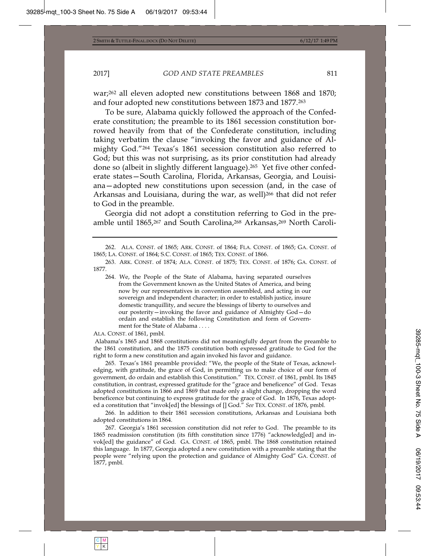war;262 all eleven adopted new constitutions between 1868 and 1870; and four adopted new constitutions between 1873 and 1877.263

To be sure, Alabama quickly followed the approach of the Confederate constitution; the preamble to its 1861 secession constitution borrowed heavily from that of the Confederate constitution, including taking verbatim the clause "invoking the favor and guidance of Almighty God."264 Texas's 1861 secession constitution also referred to God; but this was not surprising, as its prior constitution had already done so (albeit in slightly different language).265 Yet five other confederate states—South Carolina, Florida, Arkansas, Georgia, and Louisiana—adopted new constitutions upon secession (and, in the case of Arkansas and Louisiana, during the war, as well)<sup>266</sup> that did not refer to God in the preamble.

Georgia did not adopt a constitution referring to God in the preamble until 1865,267 and South Carolina,268 Arkansas,269 North Caroli-

264. We, the People of the State of Alabama, having separated ourselves from the Government known as the United States of America, and being now by our representatives in convention assembled, and acting in our sovereign and independent character; in order to establish justice, insure domestic tranquillity, and secure the blessings of liberty to ourselves and our posterity—invoking the favor and guidance of Almighty God—do ordain and establish the following Constitution and form of Government for the State of Alabama . . . .

ALA. CONST. of 1861, pmbl.

 Alabama's 1865 and 1868 constitutions did not meaningfully depart from the preamble to the 1861 constitution, and the 1875 constitution both expressed gratitude to God for the right to form a new constitution and again invoked his favor and guidance.

265. Texas's 1861 preamble provided: "We, the people of the State of Texas, acknowledging, with gratitude, the grace of God, in permitting us to make choice of our form of government, do ordain and establish this Constitution." TEX. CONST. of 1861, pmbl. Its 1845 constitution, in contrast, expressed gratitude for the "grace and beneficence" of God. Texas adopted constitutions in 1866 and 1869 that made only a slight change, dropping the word beneficence but continuing to express gratitude for the grace of God. In 1876, Texas adopted a constitution that "invok[ed] the blessings of [] God." *See* TEX. CONST. of 1876, pmbl.

266. In addition to their 1861 secession constitutions, Arkansas and Louisiana both adopted constitutions in 1864.

267. Georgia's 1861 secession constitution did not refer to God. The preamble to its 1865 readmission constitution (its fifth constitution since 1776) "acknowledg[ed] and invok[ed] the guidance" of God. GA. CONST. of 1865, pmbl. The 1868 constitution retained this language. In 1877, Georgia adopted a new constitution with a preamble stating that the people were "relying upon the protection and guidance of Almighty God" GA. CONST. of 1877, pmbl.

<sup>262.</sup> ALA. CONST. of 1865; ARK. CONST. of 1864; FLA. CONST. of 1865; GA. CONST. of 1865; LA. CONST. of 1864; S.C. CONST. of 1865; TEX. CONST. of 1866.

<sup>263.</sup> ARK. CONST. of 1874; ALA. CONST. of 1875; TEX. CONST. of 1876; GA. CONST. of 1877.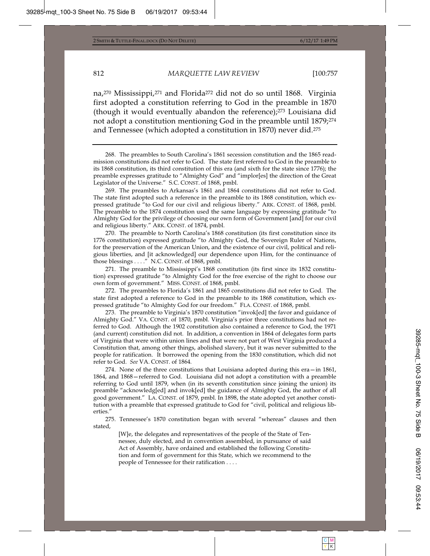na,270 Mississippi,271 and Florida272 did not do so until 1868. Virginia first adopted a constitution referring to God in the preamble in 1870 (though it would eventually abandon the reference);273 Louisiana did not adopt a constitution mentioning God in the preamble until 1879;274 and Tennessee (which adopted a constitution in 1870) never did.275

269. The preambles to Arkansas's 1861 and 1864 constitutions did not refer to God. The state first adopted such a reference in the preamble to its 1868 constitution, which expressed gratitude "to God for our civil and religious liberty." ARK. CONST. of 1868, pmbl. The preamble to the 1874 constitution used the same language by expressing gratitude "to Almighty God for the privilege of choosing our own form of Government [and] for our civil and religious liberty." ARK. CONST. of 1874, pmbl.

270. The preamble to North Carolina's 1868 constitution (its first constitution since its 1776 constitution) expressed gratitude "to Almighty God, the Sovereign Ruler of Nations, for the preservation of the American Union, and the existence of our civil, political and religious liberties, and [it acknowledged] our dependence upon Him, for the continuance of those blessings . . . ." N.C. CONST. of 1868, pmbl.

271. The preamble to Mississippi's 1868 constitution (its first since its 1832 constitution) expressed gratitude "to Almighty God for the free exercise of the right to choose our own form of government." MISS. CONST. of 1868, pmbl.

272. The preambles to Florida's 1861 and 1865 constitutions did not refer to God. The state first adopted a reference to God in the preamble to its 1868 constitution, which expressed gratitude "to Almighty God for our freedom." FLA. CONST. of 1868, pmbl.

273. The preamble to Virginia's 1870 constitution "invok[ed] the favor and guidance of Almighty God." VA. CONST. of 1870, pmbl. Virginia's prior three constitutions had not referred to God. Although the 1902 constitution also contained a reference to God, the 1971 (and current) constitution did not. In addition, a convention in 1864 of delegates form parts of Virginia that were within union lines and that were not part of West Virginia produced a Constitution that, among other things, abolished slavery, but it was never submitted to the people for ratification. It borrowed the opening from the 1830 constitution, which did not refer to God. *See* VA. CONST. of 1864*.*

274. None of the three constitutions that Louisiana adopted during this era—in 1861, 1864, and 1868—referred to God. Louisiana did not adopt a constitution with a preamble referring to God until 1879, when (in its seventh constitution since joining the union) its preamble "acknowledg[ed] and invok[ed] the guidance of Almighty God, the author of all good government." LA. CONST. of 1879, pmbl. In 1898, the state adopted yet another constitution with a preamble that expressed gratitude to God for "civil, political and religious liberties."

275. Tennessee's 1870 constitution began with several "whereas" clauses and then stated,

[W]e, the delegates and representatives of the people of the State of Tennessee, duly elected, and in convention assembled, in pursuance of said Act of Assembly, have ordained and established the following Constitution and form of government for this State, which we recommend to the people of Tennessee for their ratification . . . .

<sup>268.</sup> The preambles to South Carolina's 1861 secession constitution and the 1865 readmission constitutions did not refer to God. The state first referred to God in the preamble to its 1868 constitution, its third constitution of this era (and sixth for the state since 1776); the preamble expresses gratitude to "Almighty God" and "implor[es] the direction of the Great Legislator of the Universe." S.C. CONST. of 1868, pmbl.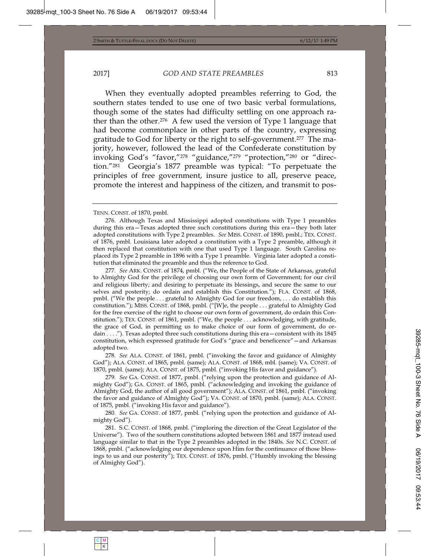When they eventually adopted preambles referring to God, the southern states tended to use one of two basic verbal formulations, though some of the states had difficulty settling on one approach rather than the other.276 A few used the version of Type 1 language that had become commonplace in other parts of the country, expressing gratitude to God for liberty or the right to self-government.277 The majority, however, followed the lead of the Confederate constitution by invoking God's "favor,"278 "guidance,"279 "protection,"280 or "direction."281 Georgia's 1877 preamble was typical: "To perpetuate the principles of free government, insure justice to all, preserve peace, promote the interest and happiness of the citizen, and transmit to pos-

TENN. CONST. of 1870, pmbl.

276. Although Texas and Mississippi adopted constitutions with Type 1 preambles during this era—Texas adopted three such constitutions during this era—they both later adopted constitutions with Type 2 preambles. *See* MISS. CONST. of 1890, pmbl.; TEX. CONST. of 1876, pmbl. Louisiana later adopted a constitution with a Type 2 preamble, although it then replaced that constitution with one that used Type 1 language. South Carolina replaced its Type 2 preamble in 1896 with a Type 1 preamble. Virginia later adopted a constitution that eliminated the preamble and thus the reference to God.

277*. See* ARK. CONST. of 1874, pmbl. ("We, the People of the State of Arkansas, grateful to Almighty God for the privilege of choosing our own form of Government; for our civil and religious liberty; and desiring to perpetuate its blessings, and secure the same to our selves and posterity; do ordain and establish this Constitution."); FLA. CONST. of 1868, pmbl. ("We the people . . . grateful to Almighty God for our freedom, . . . do establish this constitution."); MISS. CONST. of 1868, pmbl. ("[W]e, the people . . . grateful to Almighty God for the free exercise of the right to choose our own form of government, do ordain this Constitution."); TEX. CONST. of 1861, pmbl. ("We, the people . . . acknowledging, with gratitude, the grace of God, in permitting us to make choice of our form of government, do ordain . . . ."). Texas adopted three such constitutions during this era—consistent with its 1845 constitution, which expressed gratitude for God's "grace and beneficence"—and Arkansas adopted two.

278*. See* ALA. CONST. of 1861, pmbl. ("invoking the favor and guidance of Almighty God"); ALA. CONST. of 1865, pmbl. (same); ALA. CONST. of 1868, mbl. (same); VA. CONST. of 1870, pmbl. (same); ALA. CONST. of 1875, pmbl. ("invoking His favor and guidance").

279*. See* GA. CONST. of 1877, pmbl. ("relying upon the protection and guidance of Almighty God"); GA. CONST. of 1865, pmbl. ("acknowledging and invoking the guidance of Almighty God, the author of all good government"); ALA. CONST. of 1861, pmbl. ("invoking the favor and guidance of Almighty God"); VA. CONST. of 1870, pmbl. (same); ALA. CONST. of 1875, pmbl. ("invoking His favor and guidance").

280*. See* GA. CONST. of 1877, pmbl. ("relying upon the protection and guidance of Almighty God").

281. S.C. CONST. of 1868, pmbl. ("imploring the direction of the Great Legislator of the Universe"). Two of the southern constitutions adopted between 1861 and 1877 instead used language similar to that in the Type 2 preambles adopted in the 1840s. *See* N.C. CONST. of 1868, pmbl. ("acknowledging our dependence upon Him for the continuance of those blessings to us and our posterity"); TEX. CONST. of 1876, pmbl. ("Humbly invoking the blessing of Almighty God").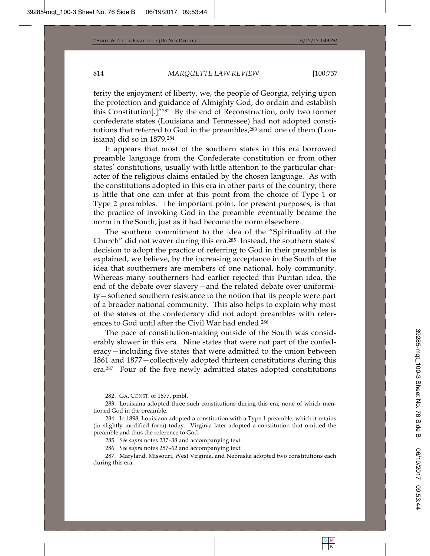terity the enjoyment of liberty, we, the people of Georgia, relying upon the protection and guidance of Almighty God, do ordain and establish this Constitution[.]"282 By the end of Reconstruction, only two former confederate states (Louisiana and Tennessee) had not adopted constitutions that referred to God in the preambles,283 and one of them (Louisiana) did so in 1879.284

It appears that most of the southern states in this era borrowed preamble language from the Confederate constitution or from other states' constitutions, usually with little attention to the particular character of the religious claims entailed by the chosen language. As with the constitutions adopted in this era in other parts of the country, there is little that one can infer at this point from the choice of Type 1 or Type 2 preambles. The important point, for present purposes, is that the practice of invoking God in the preamble eventually became the norm in the South, just as it had become the norm elsewhere.

The southern commitment to the idea of the "Spirituality of the Church" did not waver during this era.285 Instead, the southern states' decision to adopt the practice of referring to God in their preambles is explained, we believe, by the increasing acceptance in the South of the idea that southerners are members of one national, holy community. Whereas many southerners had earlier rejected this Puritan idea, the end of the debate over slavery—and the related debate over uniformity—softened southern resistance to the notion that its people were part of a broader national community. This also helps to explain why most of the states of the confederacy did not adopt preambles with references to God until after the Civil War had ended.286

The pace of constitution-making outside of the South was considerably slower in this era. Nine states that were not part of the confederacy—including five states that were admitted to the union between 1861 and 1877—collectively adopted thirteen constitutions during this era.287 Four of the five newly admitted states adopted constitutions

<sup>282.</sup> GA. CONST. of 1877, pmbl.

<sup>283.</sup> Louisiana adopted three such constitutions during this era, none of which mentioned God in the preamble.

<sup>284.</sup> In 1898, Louisiana adopted a constitution with a Type 1 preamble, which it retains (in slightly modified form) today. Virginia later adopted a constitution that omitted the preamble and thus the reference to God.

<sup>285</sup>*. See supra* notes 237–38 and accompanying text.

<sup>286</sup>*. See supra* notes 257–62 and accompanying text.

<sup>287.</sup> Maryland, Missouri, West Virginia, and Nebraska adopted two constitutions each during this era.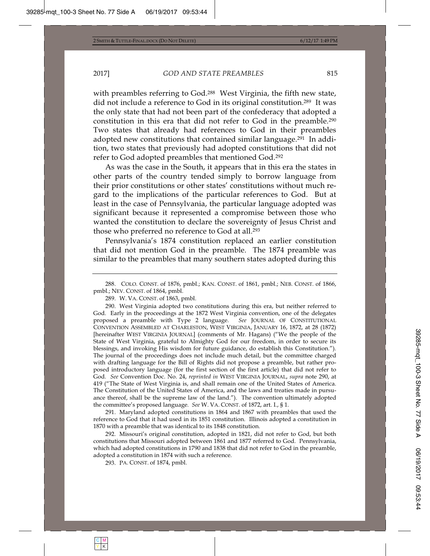with preambles referring to God.288 West Virginia, the fifth new state, did not include a reference to God in its original constitution.289 It was the only state that had not been part of the confederacy that adopted a constitution in this era that did not refer to God in the preamble.290 Two states that already had references to God in their preambles adopted new constitutions that contained similar language.291 In addition, two states that previously had adopted constitutions that did not refer to God adopted preambles that mentioned God.292

As was the case in the South, it appears that in this era the states in other parts of the country tended simply to borrow language from their prior constitutions or other states' constitutions without much regard to the implications of the particular references to God. But at least in the case of Pennsylvania, the particular language adopted was significant because it represented a compromise between those who wanted the constitution to declare the sovereignty of Jesus Christ and those who preferred no reference to God at all.293

Pennsylvania's 1874 constitution replaced an earlier constitution that did not mention God in the preamble. The 1874 preamble was similar to the preambles that many southern states adopted during this

288. COLO. CONST. of 1876, pmbl.; KAN. CONST. of 1861, pmbl.; NEB. CONST. of 1866, pmbl.; NEV. CONST. of 1864, pmbl.

289. W. VA. CONST. of 1863, pmbl.

290. West Virginia adopted two constitutions during this era, but neither referred to God. Early in the proceedings at the 1872 West Virginia convention, one of the delegates proposed a preamble with Type 2 language. *See* JOURNAL OF CONSTITUTIONAL CONVENTION ASSEMBLED AT CHARLESTON, WEST VIRGINIA, JANUARY 16, 1872, at 28 (1872) [hereinafter WEST VIRGINIA JOURNAL] (comments of Mr. Hagans) ("We the people of the State of West Virginia, grateful to Almighty God for our freedom, in order to secure its blessings, and invoking His wisdom for future guidance, do establish this Constitution."). The journal of the proceedings does not include much detail, but the committee charged with drafting language for the Bill of Rights did not propose a preamble, but rather proposed introductory language (for the first section of the first article) that did not refer to God. *See* Convention Doc. No. 24, *reprinted in* WEST VIRGINIA JOURNAL, *supra* note 290, at 419 ("The State of West Virginia is, and shall remain one of the United States of America. The Constitution of the United States of America, and the laws and treaties made in pursuance thereof, shall be the supreme law of the land."). The convention ultimately adopted the committee's proposed language. *See* W. VA. CONST. of 1872, art. I., § 1.

291. Maryland adopted constitutions in 1864 and 1867 with preambles that used the reference to God that it had used in its 1851 constitution. Illinois adopted a constitution in 1870 with a preamble that was identical to its 1848 constitution.

292. Missouri's original constitution, adopted in 1821, did not refer to God, but both constitutions that Missouri adopted between 1861 and 1877 referred to God. Pennsylvania, which had adopted constitutions in 1790 and 1838 that did not refer to God in the preamble, adopted a constitution in 1874 with such a reference.

293. PA. CONST. of 1874, pmbl.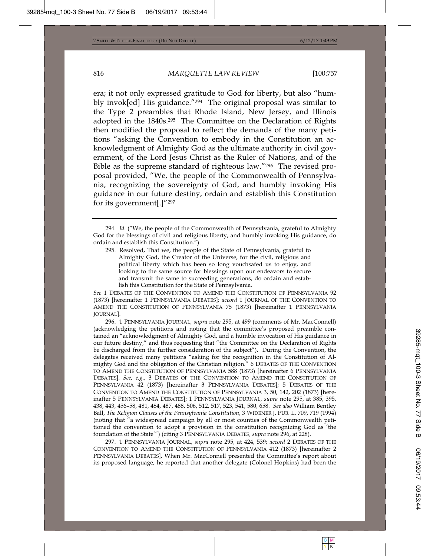era; it not only expressed gratitude to God for liberty, but also "humbly invok[ed] His guidance."294 The original proposal was similar to the Type 2 preambles that Rhode Island, New Jersey, and Illinois adopted in the 1840s.295 The Committee on the Declaration of Rights then modified the proposal to reflect the demands of the many petitions "asking the Convention to embody in the Constitution an acknowledgment of Almighty God as the ultimate authority in civil government, of the Lord Jesus Christ as the Ruler of Nations, and of the Bible as the supreme standard of righteous law."296 The revised proposal provided, "We, the people of the Commonwealth of Pennsylvania, recognizing the sovereignty of God, and humbly invoking His guidance in our future destiny, ordain and establish this Constitution for its government[.]"297

295. Resolved, That we, the people of the State of Pennsylvania, grateful to Almighty God, the Creator of the Universe, for the civil, religious and political liberty which has been so long vouchsafed us to enjoy, and looking to the same source for blessings upon our endeavors to secure and transmit the same to succeeding generations, do ordain and establish this Constitution for the State of Pennsylvania.

*See* 1 DEBATES OF THE CONVENTION TO AMEND THE CONSTITUTION OF PENNSYLVANIA 92 (1873) [hereinafter 1 PENNSYLVANIA DEBATES]; *accord* 1 JOURNAL OF THE CONVENTION TO AMEND THE CONSTITUTION OF PENNSYLVANIA 75 (1873) [hereinafter 1 PENNSYLVANIA JOURNAL].

296. 1 PENNSYLVANIA JOURNAL, *supra* note 295, at 499 (comments of Mr. MacConnell) (acknowledging the petitions and noting that the committee's proposed preamble contained an "acknowledgment of Almighty God, and a humble invocation of His guidance in our future destiny," and thus requesting that "the Committee on the Declaration of Rights be discharged from the further consideration of the subject"). During the Convention, the delegates received many petitions "asking for the recognition in the Constitution of Almighty God and the obligation of the Christian religion." 6 DEBATES OF THE CONVENTION TO AMEND THE CONSTITUTION OF PENNSYLVANIA 588 (1873) [hereinafter 6 PENNSYLVANIA DEBATES]. *See, e.g.*, 3 DEBATES OF THE CONVENTION TO AMEND THE CONSTITUTION OF PENNSYLVANIA 42 (1873) [hereinafter 3 PENNSYLVANIA DEBATES]; 5 DEBATES OF THE CONVENTION TO AMEND THE CONSTITUTION OF PENNSYLVANIA 3, 50, 142, 202 (1873) [hereinafter 5 PENNSYLVANIA DEBATES]; 1 PENNSYLVANIA JOURNAL, *supra* note 295, at 385, 395, 438, 443, 456–58, 481, 484, 487, 488, 506, 512, 517, 523, 541, 580, 658. *See also* William Bentley Ball, *The Religion Clauses of the Pennsylvania Constitution*, 3 WIDENER J. PUB. L. 709, 719 (1994) (noting that "a widespread campaign by all or most counties of the Commonwealth petitioned the convention to adopt a provision in the constitution recognizing God as 'the foundation of the State'") (citing 3 PENNSYLVANIA DEBATES*, supra* note 296, at 228).

297. 1 PENNSYLVANIA JOURNAL, *supra* note 295, at 424, 539; *accord* 2 DEBATES OF THE CONVENTION TO AMEND THE CONSTITUTION OF PENNSYLVANIA 412 (1873) [hereinafter 2 PENNSYLVANIA DEBATES]. When Mr. MacConnell presented the Committee's report about its proposed language, he reported that another delegate (Colonel Hopkins) had been the

<sup>294</sup>*. Id.* ("We, the people of the Commonwealth of Pennsylvania, grateful to Almighty God for the blessings of civil and religious liberty, and humbly invoking His guidance, do ordain and establish this Constitution.").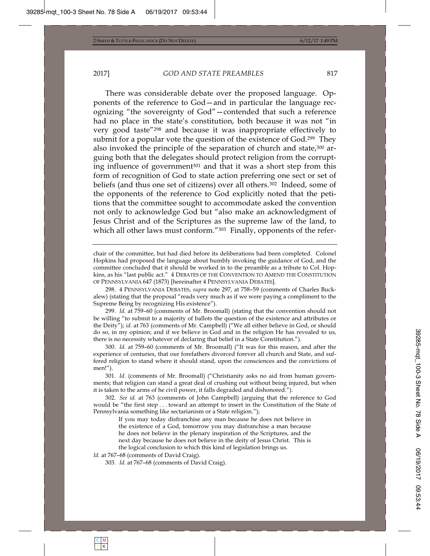There was considerable debate over the proposed language. Opponents of the reference to God—and in particular the language recognizing "the sovereignty of God"—contended that such a reference had no place in the state's constitution, both because it was not "in very good taste"298 and because it was inappropriate effectively to submit for a popular vote the question of the existence of God.<sup>299</sup> They also invoked the principle of the separation of church and state,<sup>300</sup> arguing both that the delegates should protect religion from the corrupting influence of government301 and that it was a short step from this form of recognition of God to state action preferring one sect or set of beliefs (and thus one set of citizens) over all others.<sup>302</sup> Indeed, some of the opponents of the reference to God explicitly noted that the petitions that the committee sought to accommodate asked the convention not only to acknowledge God but "also make an acknowledgment of Jesus Christ and of the Scriptures as the supreme law of the land, to which all other laws must conform."<sup>303</sup> Finally, opponents of the refer-

298. 4 PENNSYLVANIA DEBATES, *supra* note 297, at 758–59 (comments of Charles Buckalew) (stating that the proposal "reads very much as if we were paying a compliment to the Supreme Being by recognizing His existence").

299*. Id.* at 759–60 (comments of Mr. Broomall) (stating that the convention should not be willing "to submit to a majority of ballots the question of the existence and attributes or the Deity"); *id.* at 763 (comments of Mr. Campbell) ("We all either believe in God, or should do so, in my opinion; and if we believe in God and in the religion He has revealed to us, there is no necessity whatever of declaring that belief in a State Constitution.").

300*. Id.* at 759–60 (comments of Mr. Broomall) ("It was for this reason, and after the experience of centuries, that our forefathers divorced forever all church and State, and suffered religion to stand where it should stand, upon the consciences and the convictions of men!").

301*. Id.* (comments of Mr. Broomall) ("Christianity asks no aid from human governments; that religion can stand a great deal of crushing out without being injured, but when it is taken to the arms of he civil power, it falls degraded and dishonored.").

302*. See id.* at 763 (comments of John Campbell) (arguing that the reference to God would be "the first step . . . toward an attempt to insert in the Constitution of the State of Pennsylvania something like sectarianism or a State religion.");

If you may today disfranchise any man because he does not believe in the existence of a God, tomorrow you may disfranchise a man because he does not believe in the plenary inspiration of the Scriptures, and the next day because he does not believe in the deity of Jesus Christ. This is the logical conclusion to which this kind of legislation brings us.

Id. at 767-68 (comments of David Craig).

303*. Id.* at 767–68 (comments of David Craig).

chair of the committee, but had died before its deliberations had been completed. Colonel Hopkins had proposed the language about humbly invoking the guidance of God, and the committee concluded that it should be worked in to the preamble as a tribute to Col. Hopkins, as his "last public act." 4 DEBATES OF THE CONVENTION TO AMEND THE CONSTITUTION OF PENNSYLVANIA 647 (1873) [hereinafter 4 PENNSYLVANIA DEBATES].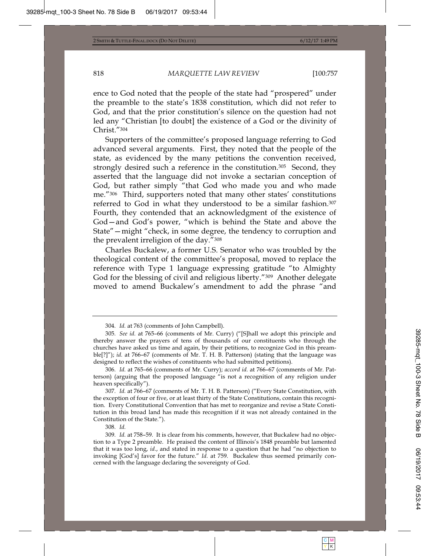ence to God noted that the people of the state had "prospered" under the preamble to the state's 1838 constitution, which did not refer to God, and that the prior constitution's silence on the question had not led any "Christian [to doubt] the existence of a God or the divinity of Christ."304

Supporters of the committee's proposed language referring to God advanced several arguments. First, they noted that the people of the state, as evidenced by the many petitions the convention received, strongly desired such a reference in the constitution.<sup>305</sup> Second, they asserted that the language did not invoke a sectarian conception of God, but rather simply "that God who made you and who made me."306 Third, supporters noted that many other states' constitutions referred to God in what they understood to be a similar fashion.307 Fourth, they contended that an acknowledgment of the existence of God—and God's power, "which is behind the State and above the State"—might "check, in some degree, the tendency to corruption and the prevalent irreligion of the day."308

Charles Buckalew, a former U.S. Senator who was troubled by the theological content of the committee's proposal, moved to replace the reference with Type 1 language expressing gratitude "to Almighty God for the blessing of civil and religious liberty."<sup>309</sup> Another delegate moved to amend Buckalew's amendment to add the phrase "and

308*. Id.*

<sup>304</sup>*. Id.* at 763 (comments of John Campbell).

<sup>305</sup>*. See id.* at 765–66 (comments of Mr. Curry) ("[S]hall we adopt this principle and thereby answer the prayers of tens of thousands of our constituents who through the churches have asked us time and again, by their petitions, to recognize God in this preamble<sup>[?]"</sup>); *id.* at 766–67 (comments of Mr. T. H. B. Patterson) (stating that the language was designed to reflect the wishes of constituents who had submitted petitions).

<sup>306</sup>*. Id.* at 765–66 (comments of Mr. Curry); *accord id.* at 766–67 (comments of Mr. Patterson) (arguing that the proposed language "is not a recognition of any religion under heaven specifically").

<sup>307</sup>*. Id.* at 766–67 (comments of Mr. T. H. B. Patterson) ("Every State Constitution, with the exception of four or five, or at least thirty of the State Constitutions, contain this recognition. Every Constitutional Convention that has met to reorganize and revise a State Constitution in this broad land has made this recognition if it was not already contained in the Constitution of the State.").

<sup>309</sup>*. Id.* at 758–59. It is clear from his comments, however, that Buckalew had no objection to a Type 2 preamble. He praised the content of Illinois's 1848 preamble but lamented that it was too long, *id.*, and stated in response to a question that he had "no objection to invoking [God's] favor for the future." *Id.* at 759. Buckalew thus seemed primarily concerned with the language declaring the sovereignty of God.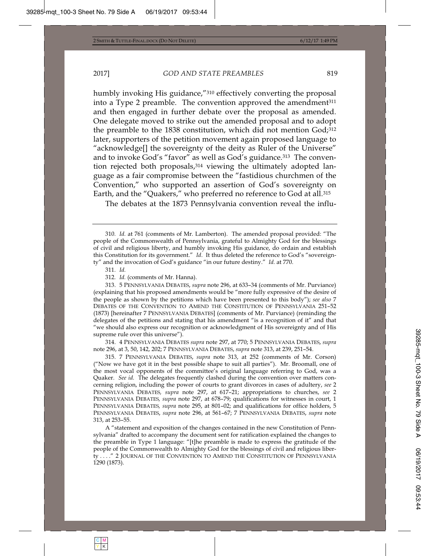humbly invoking His guidance,"310 effectively converting the proposal into a Type 2 preamble. The convention approved the amendment $311$ and then engaged in further debate over the proposal as amended. One delegate moved to strike out the amended proposal and to adopt the preamble to the 1838 constitution, which did not mention God;312 later, supporters of the petition movement again proposed language to "acknowledge[] the sovereignty of the deity as Ruler of the Universe" and to invoke God's "favor" as well as God's guidance.<sup>313</sup> The convention rejected both proposals,314 viewing the ultimately adopted language as a fair compromise between the "fastidious churchmen of the Convention," who supported an assertion of God's sovereignty on Earth, and the "Quakers," who preferred no reference to God at all.<sup>315</sup>

The debates at the 1873 Pennsylvania convention reveal the influ-

311*. Id.*

312*. Id.* (comments of Mr. Hanna).

313. 5 PENNSYLVANIA DEBATES, *supra* note 296, at 633–34 (comments of Mr. Purviance) (explaining that his proposed amendments would be "more fully expressive of the desire of the people as shown by the petitions which have been presented to this body"); *see also* 7 DEBATES OF THE CONVENTION TO AMEND THE CONSTITUTION OF PENNSYLVANIA 251–52 (1873) [hereinafter 7 PENNSYLVANIA DEBATES] (comments of Mr. Purviance) (reminding the delegates of the petitions and stating that his amendment "is a recognition of it" and that "we should also express our recognition or acknowledgment of His sovereignty and of His supreme rule over this universe").

314. 4 PENNSYLVANIA DEBATES *supra* note 297, at 770; 5 PENNSYLVANIA DEBATES, *supra*  note 296, at 3, 50, 142, 202; 7 PENNSYLVANIA DEBATES, *supra* note 313, at 239, 251–54.

315. 7 PENNSYLVANIA DEBATES, *supra* note 313, at 252 (comments of Mr. Corson) ("Now we have got it in the best possible shape to suit all parties"). Mr. Broomall, one of the most vocal opponents of the committee's original language referring to God, was a Quaker. *See id.* The delegates frequently clashed during the convention over matters concerning religion, including the power of courts to grant divorces in cases of adultery, *see* 2 PENNSYLVANIA DEBATES*, supra* note 297, at 617–21; appropriations to churches, *see* 2 PENNSYLVANIA DEBATES*, supra* note 297, at 678–79; qualifications for witnesses in court, 1 PENNSYLVANIA DEBATES*, supra* note 295, at 801–02; and qualifications for office holders, 5 PENNSYLVANIA DEBATES, *supra* note 296, at 561–67; 7 PENNSYLVANIA DEBATES, *supra* note 313, at 253–55.

A "statement and exposition of the changes contained in the new Constitution of Pennsylvania" drafted to accompany the document sent for ratification explained the changes to the preamble in Type 1 language: "[t]he preamble is made to express the gratitude of the people of the Commonwealth to Almighty God for the blessings of civil and religious liberty . . . ." 2 JOURNAL OF THE CONVENTION TO AMEND THE CONSTITUTION OF PENNSYLVANIA 1290 (1873).

<sup>310</sup>*. Id.* at 761 (comments of Mr. Lamberton). The amended proposal provided: "The people of the Commonwealth of Pennsylvania, grateful to Almighty God for the blessings of civil and religious liberty, and humbly invoking His guidance, do ordain and establish this Constitution for its government." *Id*. It thus deleted the reference to God's "sovereignty" and the invocation of God's guidance "in our future destiny." *Id.* at 770.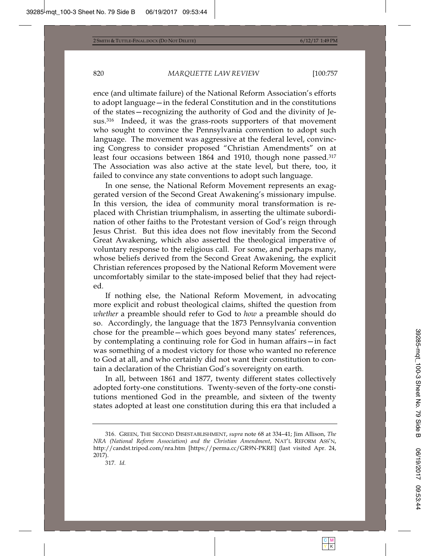ence (and ultimate failure) of the National Reform Association's efforts to adopt language—in the federal Constitution and in the constitutions of the states—recognizing the authority of God and the divinity of Jesus.316 Indeed, it was the grass-roots supporters of that movement who sought to convince the Pennsylvania convention to adopt such language. The movement was aggressive at the federal level, convincing Congress to consider proposed "Christian Amendments" on at least four occasions between 1864 and 1910, though none passed.<sup>317</sup> The Association was also active at the state level, but there, too, it failed to convince any state conventions to adopt such language.

In one sense, the National Reform Movement represents an exaggerated version of the Second Great Awakening's missionary impulse. In this version, the idea of community moral transformation is replaced with Christian triumphalism, in asserting the ultimate subordination of other faiths to the Protestant version of God's reign through Jesus Christ. But this idea does not flow inevitably from the Second Great Awakening, which also asserted the theological imperative of voluntary response to the religious call. For some, and perhaps many, whose beliefs derived from the Second Great Awakening, the explicit Christian references proposed by the National Reform Movement were uncomfortably similar to the state-imposed belief that they had rejected.

If nothing else, the National Reform Movement, in advocating more explicit and robust theological claims, shifted the question from *whether* a preamble should refer to God to *how* a preamble should do so. Accordingly, the language that the 1873 Pennsylvania convention chose for the preamble—which goes beyond many states' references, by contemplating a continuing role for God in human affairs—in fact was something of a modest victory for those who wanted no reference to God at all, and who certainly did not want their constitution to contain a declaration of the Christian God's sovereignty on earth.

In all, between 1861 and 1877, twenty different states collectively adopted forty-one constitutions. Twenty-seven of the forty-one constitutions mentioned God in the preamble, and sixteen of the twenty states adopted at least one constitution during this era that included a

<sup>316.</sup> GREEN, THE SECOND DISESTABLISHMENT, *supra* note 68 at 334–41; Jim Allison, *The NRA (National Reform Association) and the Christian Amendment*, NAT'L REFORM ASS'N, http://candst.tripod.com/nra.htm [https://perma.cc/GR9N-PKRE] (last visited Apr. 24, 2017).

<sup>317</sup>*. Id.*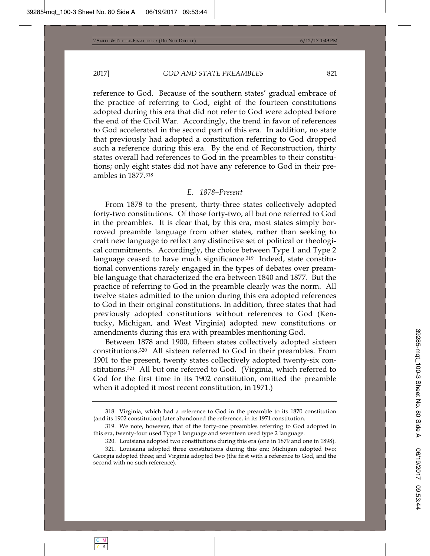reference to God. Because of the southern states' gradual embrace of the practice of referring to God, eight of the fourteen constitutions adopted during this era that did not refer to God were adopted before the end of the Civil War. Accordingly, the trend in favor of references to God accelerated in the second part of this era. In addition, no state that previously had adopted a constitution referring to God dropped such a reference during this era. By the end of Reconstruction, thirty states overall had references to God in the preambles to their constitutions; only eight states did not have any reference to God in their preambles in 1877.318

## *E. 1878–Present*

From 1878 to the present, thirty-three states collectively adopted forty-two constitutions. Of those forty-two, all but one referred to God in the preambles. It is clear that, by this era, most states simply borrowed preamble language from other states, rather than seeking to craft new language to reflect any distinctive set of political or theological commitments. Accordingly, the choice between Type 1 and Type 2 language ceased to have much significance.<sup>319</sup> Indeed, state constitutional conventions rarely engaged in the types of debates over preamble language that characterized the era between 1840 and 1877. But the practice of referring to God in the preamble clearly was the norm. All twelve states admitted to the union during this era adopted references to God in their original constitutions. In addition, three states that had previously adopted constitutions without references to God (Kentucky, Michigan, and West Virginia) adopted new constitutions or amendments during this era with preambles mentioning God.

Between 1878 and 1900, fifteen states collectively adopted sixteen constitutions.320 All sixteen referred to God in their preambles. From 1901 to the present, twenty states collectively adopted twenty-six constitutions.321 All but one referred to God. (Virginia, which referred to God for the first time in its 1902 constitution, omitted the preamble when it adopted it most recent constitution, in 1971.)

<sup>318.</sup> Virginia, which had a reference to God in the preamble to its 1870 constitution (and its 1902 constitution) later abandoned the reference, in its 1971 constitution.

<sup>319.</sup> We note, however, that of the forty-one preambles referring to God adopted in this era, twenty-four used Type 1 language and seventeen used type 2 language.

<sup>320.</sup> Louisiana adopted two constitutions during this era (one in 1879 and one in 1898).

<sup>321.</sup> Louisiana adopted three constitutions during this era; Michigan adopted two; Georgia adopted three; and Virginia adopted two (the first with a reference to God, and the second with no such reference).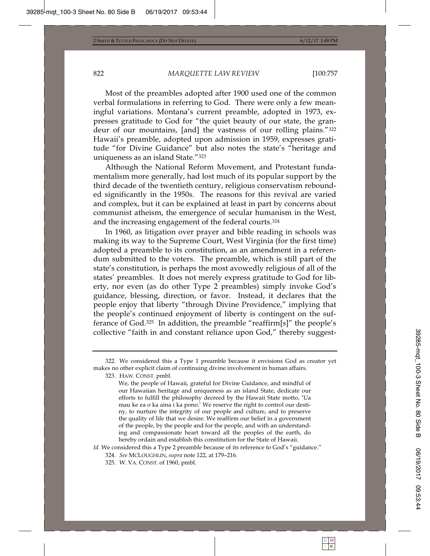Most of the preambles adopted after 1900 used one of the common verbal formulations in referring to God. There were only a few meaningful variations. Montana's current preamble, adopted in 1973, expresses gratitude to God for "the quiet beauty of our state, the grandeur of our mountains, [and] the vastness of our rolling plains."322 Hawaii's preamble, adopted upon admission in 1959, expresses gratitude "for Divine Guidance" but also notes the state's "heritage and uniqueness as an island State."323

Although the National Reform Movement, and Protestant fundamentalism more generally, had lost much of its popular support by the third decade of the twentieth century, religious conservatism rebounded significantly in the 1950s. The reasons for this revival are varied and complex, but it can be explained at least in part by concerns about communist atheism, the emergence of secular humanism in the West, and the increasing engagement of the federal courts.324

In 1960, as litigation over prayer and bible reading in schools was making its way to the Supreme Court, West Virginia (for the first time) adopted a preamble to its constitution, as an amendment in a referendum submitted to the voters. The preamble, which is still part of the state's constitution, is perhaps the most avowedly religious of all of the states' preambles. It does not merely express gratitude to God for liberty, nor even (as do other Type 2 preambles) simply invoke God's guidance, blessing, direction, or favor. Instead, it declares that the people enjoy that liberty "through Divine Providence," implying that the people's continued enjoyment of liberty is contingent on the sufferance of God.325 In addition, the preamble "reaffirm[s]" the people's collective "faith in and constant reliance upon God," thereby suggest-

<sup>322.</sup> We considered this a Type 1 preamble because it envisions God as creator yet makes no other explicit claim of continuing divine involvement in human affairs.

<sup>323.</sup> HAW. CONST. pmbl.

We, the people of Hawaii, grateful for Divine Guidance, and mindful of our Hawaiian heritage and uniqueness as an island State, dedicate our efforts to fulfill the philosophy decreed by the Hawaii State motto, 'Ua mau ke ea o ka aina i ka pono.' We reserve the right to control our destiny, to nurture the integrity of our people and culture, and to preserve the quality of life that we desire. We reaffirm our belief in a government of the people, by the people and for the people, and with an understanding and compassionate heart toward all the peoples of the earth, do hereby ordain and establish this constitution for the State of Hawaii.

Id. We considered this a Type 2 preamble because of its reference to God's "guidance."

<sup>324</sup>*. See* MCLOUGHLIN, *supra* note 122, at 179–216.

<sup>325.</sup> W. VA. CONST. of 1960, pmbl.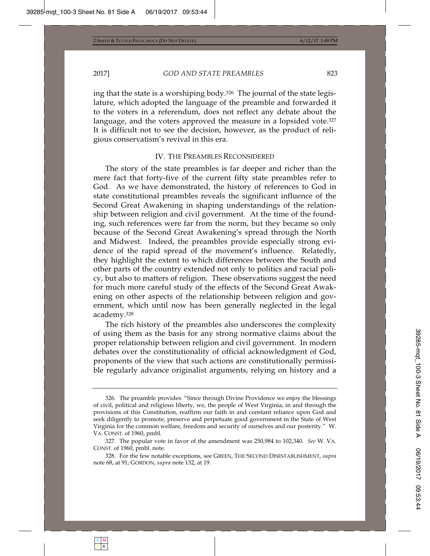ing that the state is a worshiping body.326 The journal of the state legislature, which adopted the language of the preamble and forwarded it to the voters in a referendum, does not reflect any debate about the language, and the voters approved the measure in a lopsided vote.<sup>327</sup> It is difficult not to see the decision, however, as the product of religious conservatism's revival in this era.

## IV. THE PREAMBLES RECONSIDERED

The story of the state preambles is far deeper and richer than the mere fact that forty-five of the current fifty state preambles refer to God. As we have demonstrated, the history of references to God in state constitutional preambles reveals the significant influence of the Second Great Awakening in shaping understandings of the relationship between religion and civil government. At the time of the founding, such references were far from the norm, but they became so only because of the Second Great Awakening's spread through the North and Midwest. Indeed, the preambles provide especially strong evidence of the rapid spread of the movement's influence. Relatedly, they highlight the extent to which differences between the South and other parts of the country extended not only to politics and racial policy, but also to matters of religion. These observations suggest the need for much more careful study of the effects of the Second Great Awakening on other aspects of the relationship between religion and government, which until now has been generally neglected in the legal academy.328

The rich history of the preambles also underscores the complexity of using them as the basis for any strong normative claims about the proper relationship between religion and civil government. In modern debates over the constitutionality of official acknowledgment of God, proponents of the view that such actions are constitutionally permissible regularly advance originalist arguments, relying on history and a

<sup>326.</sup> The preamble provides: "Since through Divine Providence we enjoy the blessings of civil, political and religious liberty, we, the people of West Virginia, in and through the provisions of this Constitution, reaffirm our faith in and constant reliance upon God and seek diligently to promote, preserve and perpetuate good government in the State of West Virginia for the common welfare, freedom and security of ourselves and our posterity." W. VA. CONST. of 1960, pmbl.

<sup>327.</sup> The popular vote in favor of the amendment was 250,984 to 102,340. *See* W. VA. CONST. of 1960, pmbl. note.

<sup>328.</sup> For the few notable exceptions, see GREEN, THE SECOND DISESTABLISHMENT, *supra* note 68, at 91; GORDON, *supra* note 132, at 19.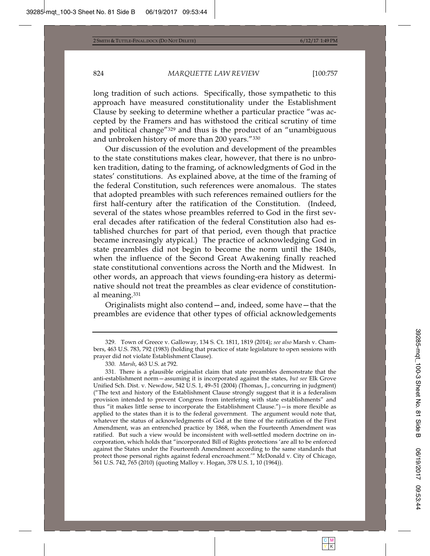long tradition of such actions. Specifically, those sympathetic to this approach have measured constitutionality under the Establishment Clause by seeking to determine whether a particular practice "was accepted by the Framers and has withstood the critical scrutiny of time and political change"329 and thus is the product of an "unambiguous and unbroken history of more than 200 years."330

Our discussion of the evolution and development of the preambles to the state constitutions makes clear, however, that there is no unbroken tradition, dating to the framing, of acknowledgments of God in the states' constitutions. As explained above, at the time of the framing of the federal Constitution, such references were anomalous. The states that adopted preambles with such references remained outliers for the first half-century after the ratification of the Constitution. (Indeed, several of the states whose preambles referred to God in the first several decades after ratification of the federal Constitution also had established churches for part of that period, even though that practice became increasingly atypical.) The practice of acknowledging God in state preambles did not begin to become the norm until the 1840s, when the influence of the Second Great Awakening finally reached state constitutional conventions across the North and the Midwest. In other words, an approach that views founding-era history as determinative should not treat the preambles as clear evidence of constitutional meaning.331

Originalists might also contend—and, indeed, some have—that the preambles are evidence that other types of official acknowledgements

<sup>329.</sup> Town of Greece v. Galloway, 134 S. Ct. 1811, 1819 (2014); *see also* Marsh v. Chambers, 463 U.S. 783, 792 (1983) (holding that practice of state legislature to open sessions with prayer did not violate Establishment Clause).

<sup>330</sup>*. Marsh*, 463 U.S. at 792.

<sup>331.</sup> There is a plausible originalist claim that state preambles demonstrate that the anti-establishment norm—assuming it is incorporated against the states, *but see* Elk Grove Unified Sch. Dist. v. Newdow, 542 U.S. 1, 49–51 (2004) (Thomas, J., concurring in judgment) ("The text and history of the Establishment Clause strongly suggest that it is a federalism provision intended to prevent Congress from interfering with state establishments" and thus "it makes little sense to incorporate the Establishment Clause.")—is more flexible as applied to the states than it is to the federal government. The argument would note that, whatever the status of acknowledgments of God at the time of the ratification of the First Amendment, was an entrenched practice by 1868, when the Fourteenth Amendment was ratified. But such a view would be inconsistent with well-settled modern doctrine on incorporation, which holds that "incorporated Bill of Rights protections 'are all to be enforced against the States under the Fourteenth Amendment according to the same standards that protect those personal rights against federal encroachment.'" McDonald v. City of Chicago, 561 U.S. 742, 765 (2010) (quoting Malloy v. Hogan, 378 U.S. 1, 10 (1964)).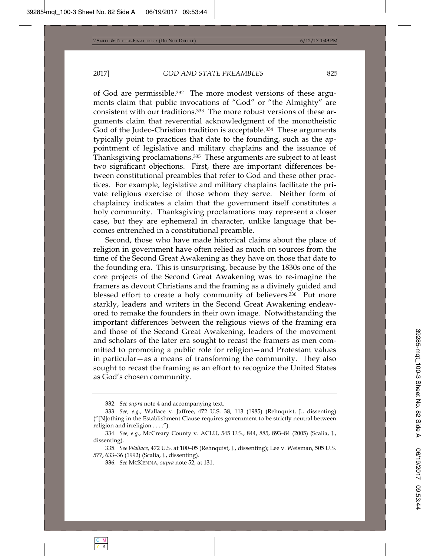of God are permissible.332 The more modest versions of these arguments claim that public invocations of "God" or "the Almighty" are consistent with our traditions.333 The more robust versions of these arguments claim that reverential acknowledgment of the monotheistic God of the Judeo-Christian tradition is acceptable.334 These arguments typically point to practices that date to the founding, such as the appointment of legislative and military chaplains and the issuance of Thanksgiving proclamations.335 These arguments are subject to at least two significant objections. First, there are important differences between constitutional preambles that refer to God and these other practices. For example, legislative and military chaplains facilitate the private religious exercise of those whom they serve. Neither form of chaplaincy indicates a claim that the government itself constitutes a holy community. Thanksgiving proclamations may represent a closer case, but they are ephemeral in character, unlike language that becomes entrenched in a constitutional preamble.

Second, those who have made historical claims about the place of religion in government have often relied as much on sources from the time of the Second Great Awakening as they have on those that date to the founding era. This is unsurprising, because by the 1830s one of the core projects of the Second Great Awakening was to re-imagine the framers as devout Christians and the framing as a divinely guided and blessed effort to create a holy community of believers.<sup>336</sup> Put more starkly, leaders and writers in the Second Great Awakening endeavored to remake the founders in their own image. Notwithstanding the important differences between the religious views of the framing era and those of the Second Great Awakening, leaders of the movement and scholars of the later era sought to recast the framers as men committed to promoting a public role for religion—and Protestant values in particular—as a means of transforming the community. They also sought to recast the framing as an effort to recognize the United States as God's chosen community.

<sup>332</sup>*. See supra* note 4 and accompanying text.

<sup>333</sup>*. See, e.g.*, Wallace v. Jaffree, 472 U.S. 38, 113 (1985) (Rehnquist, J., dissenting) ("[N]othing in the Establishment Clause requires government to be strictly neutral between religion and irreligion . . . .").

<sup>334</sup>*. See, e.g.*, McCreary County v. ACLU, 545 U.S., 844, 885, 893–84 (2005) (Scalia, J., dissenting).

<sup>335</sup>*. See Wallace*, 472 U.S. at 100–05 (Rehnquist, J., dissenting); Lee v. Weisman, 505 U.S. 577, 633–36 (1992) (Scalia, J., dissenting).

<sup>336</sup>*. See* MCKENNA, *supra* note 52, at 131.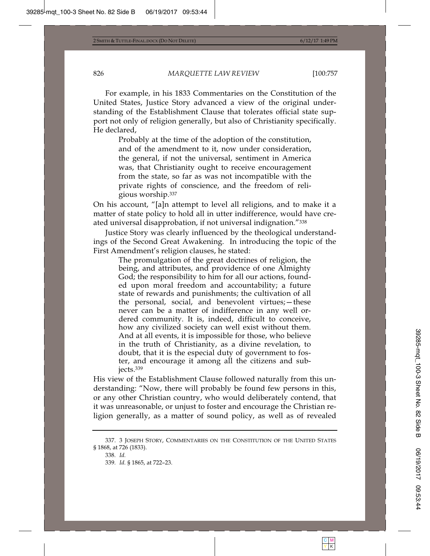For example, in his 1833 Commentaries on the Constitution of the United States, Justice Story advanced a view of the original understanding of the Establishment Clause that tolerates official state support not only of religion generally, but also of Christianity specifically. He declared,

> Probably at the time of the adoption of the constitution, and of the amendment to it, now under consideration, the general, if not the universal, sentiment in America was, that Christianity ought to receive encouragement from the state, so far as was not incompatible with the private rights of conscience, and the freedom of religious worship.337

On his account, "[a]n attempt to level all religions, and to make it a matter of state policy to hold all in utter indifference, would have created universal disapprobation, if not universal indignation."338

Justice Story was clearly influenced by the theological understandings of the Second Great Awakening. In introducing the topic of the First Amendment's religion clauses, he stated:

> The promulgation of the great doctrines of religion, the being, and attributes, and providence of one Almighty God; the responsibility to him for all our actions, founded upon moral freedom and accountability; a future state of rewards and punishments; the cultivation of all the personal, social, and benevolent virtues;—these never can be a matter of indifference in any well ordered community. It is, indeed, difficult to conceive, how any civilized society can well exist without them. And at all events, it is impossible for those, who believe in the truth of Christianity, as a divine revelation, to doubt, that it is the especial duty of government to foster, and encourage it among all the citizens and subjects.339

His view of the Establishment Clause followed naturally from this understanding: "Now, there will probably be found few persons in this, or any other Christian country, who would deliberately contend, that it was unreasonable, or unjust to foster and encourage the Christian religion generally, as a matter of sound policy, as well as of revealed

<sup>337. 3</sup> JOSEPH STORY, COMMENTARIES ON THE CONSTITUTION OF THE UNITED STATES § 1868, at 726 (1833).

<sup>338</sup>*. Id.* 339*. Id.* § 1865, at 722–23.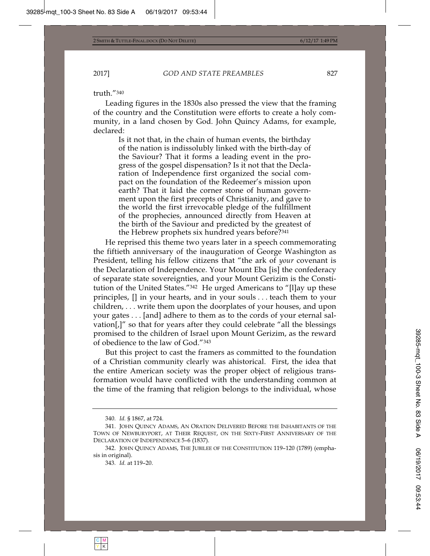truth."340

Leading figures in the 1830s also pressed the view that the framing of the country and the Constitution were efforts to create a holy community, in a land chosen by God. John Quincy Adams, for example, declared:

> Is it not that, in the chain of human events, the birthday of the nation is indissolubly linked with the birth-day of the Saviour? That it forms a leading event in the progress of the gospel dispensation? Is it not that the Declaration of Independence first organized the social compact on the foundation of the Redeemer's mission upon earth? That it laid the corner stone of human government upon the first precepts of Christianity, and gave to the world the first irrevocable pledge of the fulfillment of the prophecies, announced directly from Heaven at the birth of the Saviour and predicted by the greatest of the Hebrew prophets six hundred years before?341

He reprised this theme two years later in a speech commemorating the fiftieth anniversary of the inauguration of George Washington as President, telling his fellow citizens that "the ark of *your* covenant is the Declaration of Independence. Your Mount Eba [is] the confederacy of separate state sovereignties, and your Mount Gerizim is the Constitution of the United States."342 He urged Americans to "[l]ay up these principles, [] in your hearts, and in your souls . . . teach them to your children, . . . write them upon the doorplates of your houses, and upon your gates . . . [and] adhere to them as to the cords of your eternal salvation[,]" so that for years after they could celebrate "all the blessings promised to the children of Israel upon Mount Gerizim, as the reward of obedience to the law of God."343

But this project to cast the framers as committed to the foundation of a Christian community clearly was ahistorical. First, the idea that the entire American society was the proper object of religious transformation would have conflicted with the understanding common at the time of the framing that religion belongs to the individual, whose

<sup>340</sup>*. Id.* § 1867, at 724.

<sup>341.</sup> JOHN QUINCY ADAMS, AN ORATION DELIVERED BEFORE THE INHABITANTS OF THE TOWN OF NEWBURYPORT, AT THEIR REQUEST, ON THE SIXTY-FIRST ANNIVERSARY OF THE DECLARATION OF INDEPENDENCE 5–6 (1837).

<sup>342.</sup> JOHN QUINCY ADAMS, THE JUBILEE OF THE CONSTITUTION 119–120 (1789) (emphasis in original).

<sup>343</sup>*. Id.* at 119–20.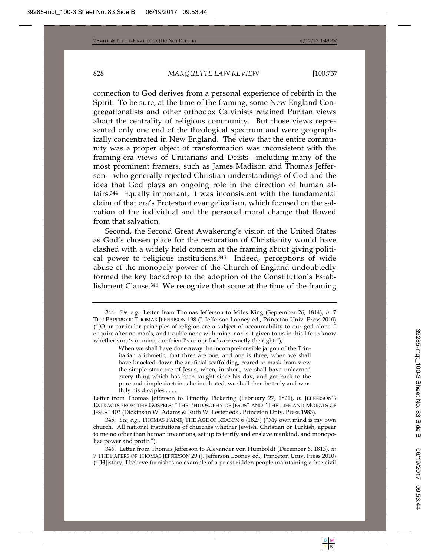connection to God derives from a personal experience of rebirth in the Spirit. To be sure, at the time of the framing, some New England Congregationalists and other orthodox Calvinists retained Puritan views about the centrality of religious community. But those views represented only one end of the theological spectrum and were geographically concentrated in New England. The view that the entire community was a proper object of transformation was inconsistent with the framing-era views of Unitarians and Deists—including many of the most prominent framers, such as James Madison and Thomas Jefferson—who generally rejected Christian understandings of God and the idea that God plays an ongoing role in the direction of human affairs.344 Equally important, it was inconsistent with the fundamental claim of that era's Protestant evangelicalism, which focused on the salvation of the individual and the personal moral change that flowed from that salvation.

Second, the Second Great Awakening's vision of the United States as God's chosen place for the restoration of Christianity would have clashed with a widely held concern at the framing about giving political power to religious institutions.345 Indeed, perceptions of wide abuse of the monopoly power of the Church of England undoubtedly formed the key backdrop to the adoption of the Constitution's Establishment Clause.346 We recognize that some at the time of the framing

Letter from Thomas Jefferson to Timothy Pickering (February 27, 1821), *in* JEFFERSON'S EXTRACTS FROM THE GOSPELS: "THE PHILOSOPHY OF JESUS" AND "THE LIFE AND MORALS OF JESUS" 403 (Dickinson W. Adams & Ruth W. Lester eds., Princeton Univ. Press 1983).

345*. See, e.g.*, THOMAS PAINE, THE AGE OF REASON 6 (1827) ("My own mind is my own church. All national institutions of churches whether Jewish, Christian or Turkish, appear to me no other than human inventions, set up to terrify and enslave mankind, and monopolize power and profit.").

346. Letter from Thomas Jefferson to Alexander von Humboldt (December 6, 1813), *in* 7 THE PAPERS OF THOMAS JEFFERSON 29 (J. Jefferson Looney ed., Princeton Univ. Press 2010) ("[H]istory, I believe furnishes no example of a priest-ridden people maintaining a free civil

<sup>344</sup>*. See, e.g.*, Letter from Thomas Jefferson to Miles King (September 26, 1814), *in* 7 THE PAPERS OF THOMAS JEFFERSON 198 (J. Jefferson Looney ed., Princeton Univ. Press 2010) ("[O]ur particular principles of religion are a subject of accountability to our god alone. I enquire after no man's, and trouble none with mine: nor is it given to us in this life to know whether your's or mine, our friend's or our foe's are exactly the right.");

When we shall have done away the incomprehensible jargon of the Trinitarian arithmetic, that three are one, and one is three; when we shall have knocked down the artificial scaffolding, reared to mask from view the simple structure of Jesus, when, in short, we shall have unlearned every thing which has been taught since his day, and got back to the pure and simple doctrines he inculcated, we shall then be truly and worthily his disciples . . . .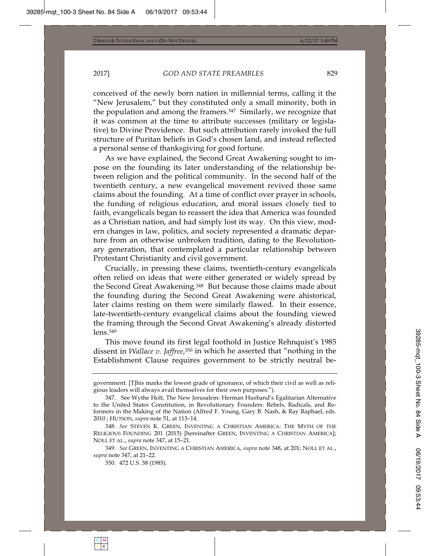conceived of the newly born nation in millennial terms, calling it the "New Jerusalem," but they constituted only a small minority, both in the population and among the framers.347 Similarly, we recognize that it was common at the time to attribute successes (military or legislative) to Divine Providence. But such attribution rarely invoked the full structure of Puritan beliefs in God's chosen land, and instead reflected a personal sense of thanksgiving for good fortune.

As we have explained, the Second Great Awakening sought to impose on the founding its later understanding of the relationship between religion and the political community. In the second half of the twentieth century, a new evangelical movement revived those same claims about the founding. At a time of conflict over prayer in schools, the funding of religious education, and moral issues closely tied to faith, evangelicals began to reassert the idea that America was founded as a Christian nation, and had simply lost its way. On this view, modern changes in law, politics, and society represented a dramatic departure from an otherwise unbroken tradition, dating to the Revolutionary generation, that contemplated a particular relationship between Protestant Christianity and civil government.

Crucially, in pressing these claims, twentieth-century evangelicals often relied on ideas that were either generated or widely spread by the Second Great Awakening.348 But because those claims made about the founding during the Second Great Awakening were ahistorical, later claims resting on them were similarly flawed. In their essence, late-twentieth-century evangelical claims about the founding viewed the framing through the Second Great Awakening's already distorted lens.349

This move found its first legal foothold in Justice Rehnquist's 1985 dissent in *Wallace v. Jaffree*,350 in which he asserted that "nothing in the Establishment Clause requires government to be strictly neutral be-

government. [T]his marks the lowest grade of ignorance, of which their civil as well as religious leaders will always avail themselves for their own purposes.").

<sup>347.</sup> See Wythe Holt, The New Jerusalem: Herman Husband's Egalitarian Alternative to the United States Constitution, in Revolutionary Founders: Rebels, Radicals, and Reformers in the Making of the Nation (Alfred F. Young, Gary B. Nash, & Ray Raphael, eds. 2010 ; HUTSON, *supra* note 51, at 113–14.

<sup>348</sup>*. See* STEVEN K. GREEN, INVENTING A CHRISTIAN AMERICA: THE MYTH OF THE RELIGIOUS FOUNDING 201 (2015) [hereinafter GREEN, INVENTING A CHRISTIAN AMERICA]; NOLL ET AL., *supra* note 347, at 15–21.

<sup>349</sup>*. See* GREEN, INVENTING A CHRISTIAN AMERICA, *supra* note 348, at 201; NOLL ET AL., *supra* note 347, at 21–22.

<sup>350. 472</sup> U.S. 38 (1985).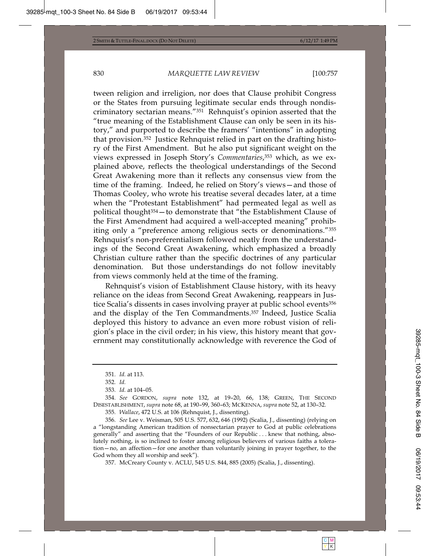tween religion and irreligion, nor does that Clause prohibit Congress or the States from pursuing legitimate secular ends through nondiscriminatory sectarian means."351 Rehnquist's opinion asserted that the "true meaning of the Establishment Clause can only be seen in its history," and purported to describe the framers' "intentions" in adopting that provision.352 Justice Rehnquist relied in part on the drafting history of the First Amendment. But he also put significant weight on the views expressed in Joseph Story's *Commentaries*,353 which, as we explained above, reflects the theological understandings of the Second Great Awakening more than it reflects any consensus view from the time of the framing. Indeed, he relied on Story's views—and those of Thomas Cooley, who wrote his treatise several decades later, at a time when the "Protestant Establishment" had permeated legal as well as political thought354—to demonstrate that "the Establishment Clause of the First Amendment had acquired a well-accepted meaning" prohibiting only a "preference among religious sects or denominations."355 Rehnquist's non-preferentialism followed neatly from the understandings of the Second Great Awakening, which emphasized a broadly Christian culture rather than the specific doctrines of any particular denomination. But those understandings do not follow inevitably from views commonly held at the time of the framing.

Rehnquist's vision of Establishment Clause history, with its heavy reliance on the ideas from Second Great Awakening, reappears in Justice Scalia's dissents in cases involving prayer at public school events<sup>356</sup> and the display of the Ten Commandments.357 Indeed, Justice Scalia deployed this history to advance an even more robust vision of religion's place in the civil order; in his view, this history meant that government may constitutionally acknowledge with reverence the God of

357. McCreary County v. ACLU, 545 U.S. 844, 885 (2005) (Scalia, J., dissenting).

<sup>351</sup>*. Id.* at 113.

<sup>352</sup>*. Id.*

<sup>353</sup>*. Id.* at 104–05.

<sup>354</sup>*. See* GORDON, *supra* note 132, at 19–20, 66, 138; GREEN, THE SECOND DISESTABLISHMENT, *supra* note 68, at 190–99, 360–63; MCKENNA, *supra* note 52, at 130–32.

<sup>355</sup>*. Wallace*, 472 U.S. at 106 (Rehnquist, J., dissenting).

<sup>356</sup>*. See* Lee v. Weisman, 505 U.S. 577, 632, 646 (1992) (Scalia, J., dissenting) (relying on a "longstanding American tradition of nonsectarian prayer to God at public celebrations generally" and asserting that the "Founders of our Republic . . . knew that nothing, absolutely nothing, is so inclined to foster among religious believers of various faiths a toleration—no, an affection—for one another than voluntarily joining in prayer together, to the God whom they all worship and seek").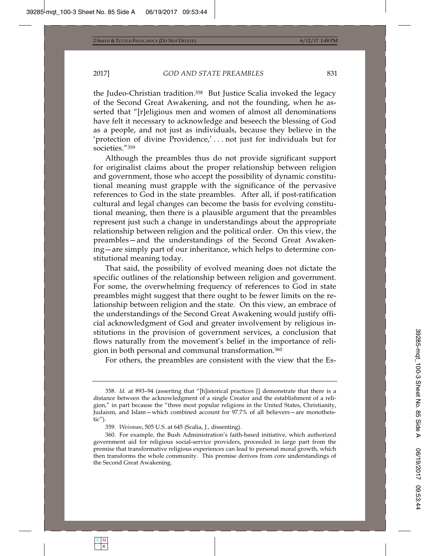the Judeo-Christian tradition.358 But Justice Scalia invoked the legacy of the Second Great Awakening, and not the founding, when he asserted that "[r]eligious men and women of almost all denominations have felt it necessary to acknowledge and beseech the blessing of God as a people, and not just as individuals, because they believe in the 'protection of divine Providence,' . . . not just for individuals but for societies."359

Although the preambles thus do not provide significant support for originalist claims about the proper relationship between religion and government, those who accept the possibility of dynamic constitutional meaning must grapple with the significance of the pervasive references to God in the state preambles. After all, if post-ratification cultural and legal changes can become the basis for evolving constitutional meaning, then there is a plausible argument that the preambles represent just such a change in understandings about the appropriate relationship between religion and the political order. On this view, the preambles—and the understandings of the Second Great Awakening—are simply part of our inheritance, which helps to determine constitutional meaning today.

That said, the possibility of evolved meaning does not dictate the specific outlines of the relationship between religion and government. For some, the overwhelming frequency of references to God in state preambles might suggest that there ought to be fewer limits on the relationship between religion and the state. On this view, an embrace of the understandings of the Second Great Awakening would justify official acknowledgment of God and greater involvement by religious institutions in the provision of government services, a conclusion that flows naturally from the movement's belief in the importance of religion in both personal and communal transformation.360

For others, the preambles are consistent with the view that the Es-

<sup>358</sup>*. Id.* at 893–94 (asserting that "[h]istorical practices [] demonstrate that there is a distance between the acknowledgment of a single Creator and the establishment of a religion," in part because the "three most popular religions in the United States, Christianity, Judaism, and Islam—which combined account for 97.7% of all believers—are monotheistic").

<sup>359</sup>*. Weisman*, 505 U.S. at 645 (Scalia, J., dissenting).

<sup>360.</sup> For example, the Bush Administration's faith-based initiative, which authorized government aid for religious social-service providers, proceeded in large part from the premise that transformative religious experiences can lead to personal moral growth, which then transforms the whole community. This premise derives from core understandings of the Second Great Awakening.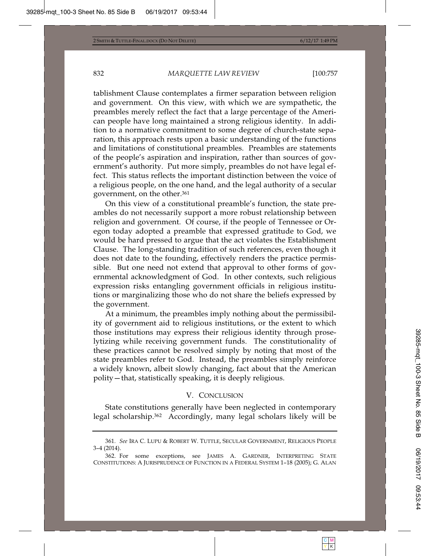tablishment Clause contemplates a firmer separation between religion and government. On this view, with which we are sympathetic, the preambles merely reflect the fact that a large percentage of the American people have long maintained a strong religious identity. In addition to a normative commitment to some degree of church-state separation, this approach rests upon a basic understanding of the functions and limitations of constitutional preambles. Preambles are statements of the people's aspiration and inspiration, rather than sources of government's authority. Put more simply, preambles do not have legal effect. This status reflects the important distinction between the voice of a religious people, on the one hand, and the legal authority of a secular government, on the other.361

On this view of a constitutional preamble's function, the state preambles do not necessarily support a more robust relationship between religion and government. Of course, if the people of Tennessee or Oregon today adopted a preamble that expressed gratitude to God, we would be hard pressed to argue that the act violates the Establishment Clause. The long-standing tradition of such references, even though it does not date to the founding, effectively renders the practice permissible. But one need not extend that approval to other forms of governmental acknowledgment of God. In other contexts, such religious expression risks entangling government officials in religious institutions or marginalizing those who do not share the beliefs expressed by the government.

At a minimum, the preambles imply nothing about the permissibility of government aid to religious institutions, or the extent to which those institutions may express their religious identity through proselytizing while receiving government funds. The constitutionality of these practices cannot be resolved simply by noting that most of the state preambles refer to God. Instead, the preambles simply reinforce a widely known, albeit slowly changing, fact about that the American polity—that, statistically speaking, it is deeply religious.

## V. CONCLUSION

State constitutions generally have been neglected in contemporary legal scholarship.362 Accordingly, many legal scholars likely will be

<sup>361</sup>*. See* IRA C. LUPU & ROBERT W. TUTTLE, SECULAR GOVERNMENT, RELIGIOUS PEOPLE 3–4 (2014).

<sup>362.</sup> For some exceptions, see JAMES A. GARDNER, INTERPRETING STATE CONSTITUTIONS: A JURISPRUDENCE OF FUNCTION IN A FEDERAL SYSTEM 1-18 (2005); G. ALAN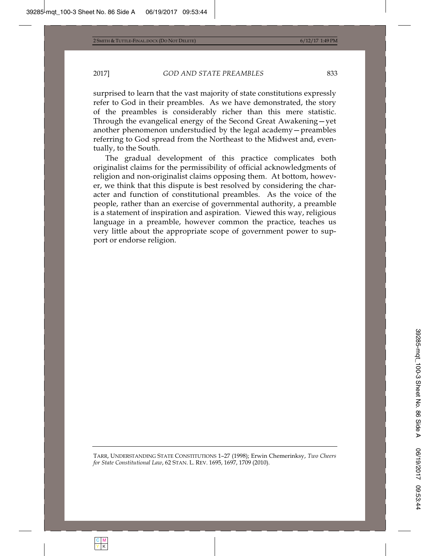surprised to learn that the vast majority of state constitutions expressly refer to God in their preambles. As we have demonstrated, the story of the preambles is considerably richer than this mere statistic. Through the evangelical energy of the Second Great Awakening—yet another phenomenon understudied by the legal academy—preambles referring to God spread from the Northeast to the Midwest and, eventually, to the South.

The gradual development of this practice complicates both originalist claims for the permissibility of official acknowledgments of religion and non-originalist claims opposing them. At bottom, however, we think that this dispute is best resolved by considering the character and function of constitutional preambles. As the voice of the people, rather than an exercise of governmental authority, a preamble is a statement of inspiration and aspiration. Viewed this way, religious language in a preamble, however common the practice, teaches us very little about the appropriate scope of government power to support or endorse religion.

TARR, UNDERSTANDING STATE CONSTITUTIONS 1–27 (1998); Erwin Chemerinksy, *Two Cheers for State Constitutional Law*, 62 STAN. L. REV. 1695, 1697, 1709 (2010).